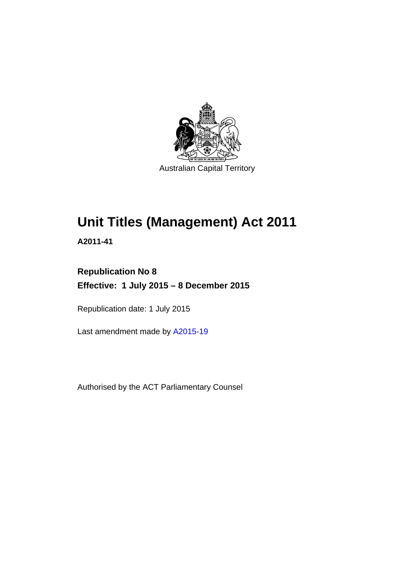

# **Unit Titles (Management) Act 2011**

**A2011-41** 

## **Republication No 8 Effective: 1 July 2015 – 8 December 2015**

Republication date: 1 July 2015

Last amendment made by [A2015-19](http://www.legislation.act.gov.au/a/2015-19)

Authorised by the ACT Parliamentary Counsel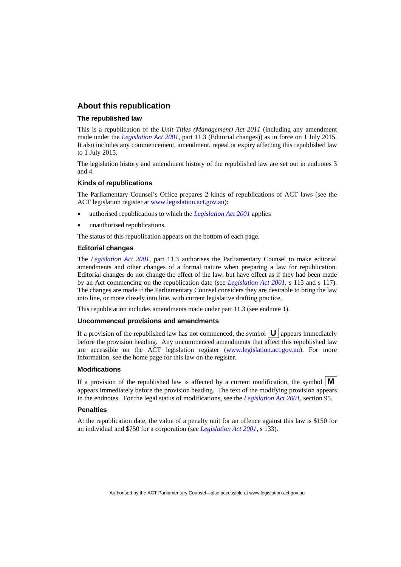#### **About this republication**

#### **The republished law**

This is a republication of the *Unit Titles (Management) Act 2011* (including any amendment made under the *[Legislation Act 2001](http://www.legislation.act.gov.au/a/2001-14)*, part 11.3 (Editorial changes)) as in force on 1 July 2015*.*  It also includes any commencement, amendment, repeal or expiry affecting this republished law to 1 July 2015.

The legislation history and amendment history of the republished law are set out in endnotes 3 and 4.

#### **Kinds of republications**

The Parliamentary Counsel's Office prepares 2 kinds of republications of ACT laws (see the ACT legislation register at [www.legislation.act.gov.au](http://www.legislation.act.gov.au/)):

- authorised republications to which the *[Legislation Act 2001](http://www.legislation.act.gov.au/a/2001-14)* applies
- unauthorised republications.

The status of this republication appears on the bottom of each page.

#### **Editorial changes**

The *[Legislation Act 2001](http://www.legislation.act.gov.au/a/2001-14)*, part 11.3 authorises the Parliamentary Counsel to make editorial amendments and other changes of a formal nature when preparing a law for republication. Editorial changes do not change the effect of the law, but have effect as if they had been made by an Act commencing on the republication date (see *[Legislation Act 2001](http://www.legislation.act.gov.au/a/2001-14)*, s 115 and s 117). The changes are made if the Parliamentary Counsel considers they are desirable to bring the law into line, or more closely into line, with current legislative drafting practice.

This republication includes amendments made under part 11.3 (see endnote 1).

#### **Uncommenced provisions and amendments**

If a provision of the republished law has not commenced, the symbol  $\mathbf{U}$  appears immediately before the provision heading. Any uncommenced amendments that affect this republished law are accessible on the ACT legislation register [\(www.legislation.act.gov.au\)](http://www.legislation.act.gov.au/). For more information, see the home page for this law on the register.

#### **Modifications**

If a provision of the republished law is affected by a current modification, the symbol  $\mathbf{M}$ appears immediately before the provision heading. The text of the modifying provision appears in the endnotes. For the legal status of modifications, see the *[Legislation Act 2001](http://www.legislation.act.gov.au/a/2001-14)*, section 95.

#### **Penalties**

At the republication date, the value of a penalty unit for an offence against this law is \$150 for an individual and \$750 for a corporation (see *[Legislation Act 2001](http://www.legislation.act.gov.au/a/2001-14)*, s 133).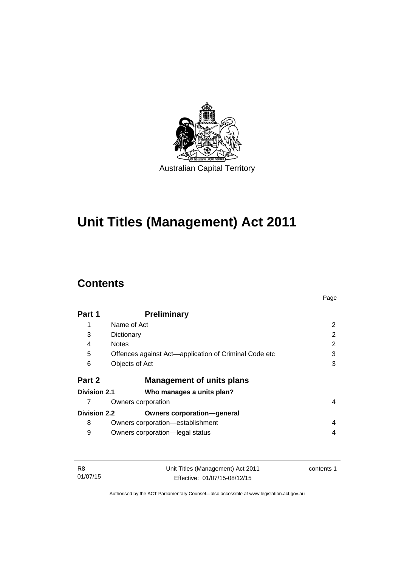

# **Unit Titles (Management) Act 2011**

### **Contents**

|                     |                                                       | Page |
|---------------------|-------------------------------------------------------|------|
| Part 1              | <b>Preliminary</b>                                    |      |
| 1                   | Name of Act                                           | 2    |
| 3                   | Dictionary                                            | 2    |
| 4                   | <b>Notes</b>                                          | 2    |
| 5                   | Offences against Act—application of Criminal Code etc | 3    |
| 6                   | Objects of Act                                        | 3    |
| Part 2              | <b>Management of units plans</b>                      |      |
| Division 2.1        | Who manages a units plan?                             |      |
| 7                   | Owners corporation                                    | 4    |
| <b>Division 2.2</b> | <b>Owners corporation-general</b>                     |      |
| 8                   | Owners corporation-establishment                      | 4    |
| 9                   | Owners corporation-legal status                       | 4    |

| -R8      | Unit Titles (Management) Act 2011 | contents 1 |
|----------|-----------------------------------|------------|
| 01/07/15 | Effective: 01/07/15-08/12/15      |            |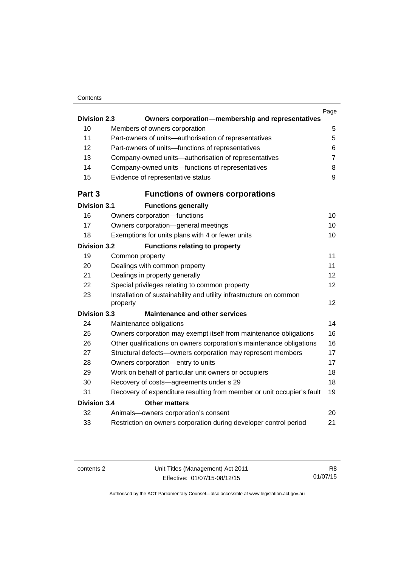#### **Contents**

|                     |                                                                                 | Page           |
|---------------------|---------------------------------------------------------------------------------|----------------|
| <b>Division 2.3</b> | Owners corporation-membership and representatives                               |                |
| 10                  | Members of owners corporation                                                   | 5              |
| 11                  | Part-owners of units-authorisation of representatives                           | 5              |
| 12                  | Part-owners of units-functions of representatives                               | 6              |
| 13                  | Company-owned units-authorisation of representatives                            | $\overline{7}$ |
| 14                  | Company-owned units-functions of representatives                                | 8              |
| 15                  | Evidence of representative status                                               | 9              |
| Part 3              | <b>Functions of owners corporations</b>                                         |                |
| <b>Division 3.1</b> | <b>Functions generally</b>                                                      |                |
| 16                  | Owners corporation-functions                                                    | 10             |
| 17                  | Owners corporation-general meetings                                             | 10             |
| 18                  | Exemptions for units plans with 4 or fewer units                                | 10             |
| <b>Division 3.2</b> | <b>Functions relating to property</b>                                           |                |
| 19                  | Common property                                                                 | 11             |
| 20                  | Dealings with common property                                                   | 11             |
| 21                  | Dealings in property generally                                                  | 12             |
| 22                  | Special privileges relating to common property                                  | 12             |
| 23                  | Installation of sustainability and utility infrastructure on common<br>property | 12             |
| <b>Division 3.3</b> | <b>Maintenance and other services</b>                                           |                |
| 24                  | Maintenance obligations                                                         | 14             |
| 25                  | Owners corporation may exempt itself from maintenance obligations               | 16             |
| 26                  | Other qualifications on owners corporation's maintenance obligations            | 16             |
| 27                  | Structural defects-owners corporation may represent members                     | 17             |
| 28                  | Owners corporation-entry to units                                               | 17             |
| 29                  | Work on behalf of particular unit owners or occupiers                           | 18             |
| 30                  | Recovery of costs-agreements under s 29                                         | 18             |
| 31                  | Recovery of expenditure resulting from member or unit occupier's fault          | 19             |
| <b>Division 3.4</b> | <b>Other matters</b>                                                            |                |
| 32                  | Animals-owners corporation's consent                                            | 20             |
| 33                  | Restriction on owners corporation during developer control period               | 21             |
|                     |                                                                                 |                |

R8 01/07/15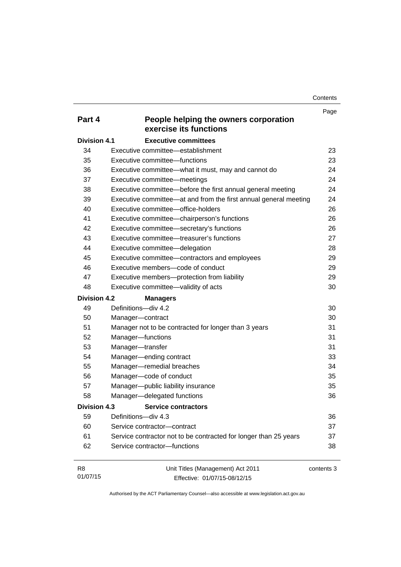**Contents** 

| Part 4              | People helping the owners corporation                             | Page       |
|---------------------|-------------------------------------------------------------------|------------|
|                     | exercise its functions                                            |            |
| <b>Division 4.1</b> | <b>Executive committees</b>                                       |            |
| 34                  | Executive committee-establishment                                 | 23         |
| 35                  | Executive committee-functions                                     | 23         |
| 36                  | Executive committee-what it must, may and cannot do               | 24         |
| 37                  | Executive committee-meetings                                      | 24         |
| 38                  | Executive committee—before the first annual general meeting       | 24         |
| 39                  | Executive committee—at and from the first annual general meeting  | 24         |
| 40                  | Executive committee-office-holders                                | 26         |
| 41                  | Executive committee-chairperson's functions                       | 26         |
| 42                  | Executive committee-secretary's functions                         | 26         |
| 43                  | Executive committee—treasurer's functions                         | 27         |
| 44                  | Executive committee-delegation                                    | 28         |
| 45                  | Executive committee-contractors and employees                     | 29         |
| 46                  | Executive members-code of conduct                                 | 29         |
| 47                  | Executive members-protection from liability                       | 29         |
| 48                  | Executive committee-validity of acts                              | 30         |
| <b>Division 4.2</b> | <b>Managers</b>                                                   |            |
| 49                  | Definitions-div 4.2                                               | 30         |
| 50                  | Manager-contract                                                  | 30         |
| 51                  | Manager not to be contracted for longer than 3 years              | 31         |
| 52                  | Manager-functions                                                 | 31         |
| 53                  | Manager-transfer                                                  | 31         |
| 54                  | Manager-ending contract                                           | 33         |
| 55                  | Manager-remedial breaches                                         | 34         |
| 56                  | Manager-code of conduct                                           | 35         |
| 57                  | Manager-public liability insurance                                | 35         |
| 58                  | Manager-delegated functions                                       | 36         |
| Division 4.3        | <b>Service contractors</b>                                        |            |
| 59                  | Definitions-div 4.3                                               | 36         |
| 60                  | Service contractor-contract                                       | 37         |
| 61                  | Service contractor not to be contracted for longer than 25 years  | 37         |
| 62                  | Service contractor-functions                                      | 38         |
| R8<br>01/07/15      | Unit Titles (Management) Act 2011<br>Effective: 01/07/15-08/12/15 | contents 3 |

Effective: 01/07/15-08/12/15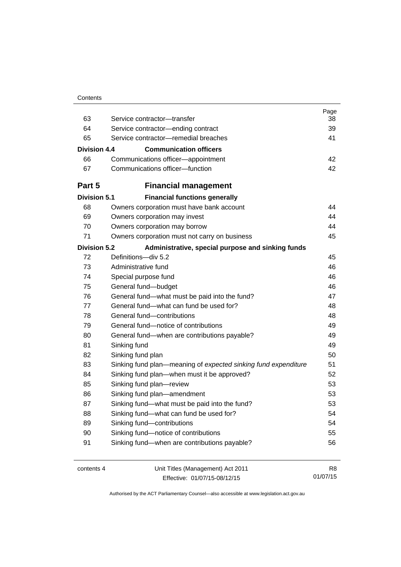| Contents |
|----------|
|----------|

| 63                  | Service contractor-transfer                                           | Page<br>38     |
|---------------------|-----------------------------------------------------------------------|----------------|
| 64                  | Service contractor-ending contract                                    | 39             |
| 65                  | Service contractor-remedial breaches                                  | 41             |
| Division 4.4        | <b>Communication officers</b>                                         |                |
|                     |                                                                       |                |
| 66<br>67            | Communications officer-appointment<br>Communications officer-function | 42<br>42       |
|                     |                                                                       |                |
| Part 5              | <b>Financial management</b>                                           |                |
| <b>Division 5.1</b> | <b>Financial functions generally</b>                                  |                |
| 68                  | Owners corporation must have bank account                             | 44             |
| 69                  | Owners corporation may invest                                         | 44             |
| 70                  | Owners corporation may borrow                                         | 44             |
| 71                  | Owners corporation must not carry on business                         | 45             |
| <b>Division 5.2</b> | Administrative, special purpose and sinking funds                     |                |
| 72                  | Definitions-div 5.2                                                   | 45             |
| 73                  | Administrative fund                                                   | 46             |
| 74                  | Special purpose fund                                                  | 46             |
| 75                  | General fund-budget                                                   | 46             |
| 76                  | General fund-what must be paid into the fund?                         | 47             |
| 77                  | General fund—what can fund be used for?                               | 48             |
| 78                  | General fund-contributions                                            | 48             |
| 79                  | General fund-notice of contributions                                  | 49             |
| 80                  | General fund—when are contributions payable?                          | 49             |
| 81                  | Sinking fund                                                          | 49             |
| 82                  | Sinking fund plan                                                     | 50             |
| 83                  | Sinking fund plan—meaning of expected sinking fund expenditure        | 51             |
| 84                  | Sinking fund plan—when must it be approved?                           | 52             |
| 85                  | Sinking fund plan-review                                              | 53             |
| 86                  | Sinking fund plan-amendment                                           | 53             |
| 87                  | Sinking fund-what must be paid into the fund?                         | 53             |
| 88                  | Sinking fund-what can fund be used for?                               | 54             |
| 89                  | Sinking fund-contributions                                            | 54             |
| 90                  | Sinking fund-notice of contributions                                  | 55             |
| 91                  | Sinking fund-when are contributions payable?                          | 56             |
| contents 4          | Unit Titles (Management) Act 2011                                     | R <sub>8</sub> |

Effective: 01/07/15-08/12/15

01/07/15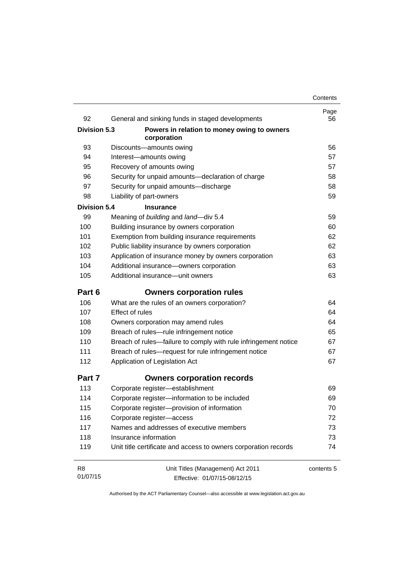| 92                  | General and sinking funds in staged developments                | Page<br>56 |
|---------------------|-----------------------------------------------------------------|------------|
| <b>Division 5.3</b> | Powers in relation to money owing to owners                     |            |
|                     | corporation                                                     |            |
| 93                  | Discounts-amounts owing                                         | 56         |
| 94                  | Interest-amounts owing                                          | 57         |
| 95                  | Recovery of amounts owing                                       | 57         |
| 96                  | Security for unpaid amounts-declaration of charge               | 58         |
| 97                  | Security for unpaid amounts-discharge                           | 58         |
| 98                  | Liability of part-owners                                        | 59         |
| <b>Division 5.4</b> | <b>Insurance</b>                                                |            |
| 99                  | Meaning of building and land-div 5.4                            | 59         |
| 100                 | Building insurance by owners corporation                        | 60         |
| 101                 | Exemption from building insurance requirements                  | 62         |
| 102                 | Public liability insurance by owners corporation                | 62         |
| 103                 | Application of insurance money by owners corporation            | 63         |
| 104                 | Additional insurance-owners corporation                         | 63         |
| 105                 | Additional insurance-unit owners                                | 63         |
| Part 6              | <b>Owners corporation rules</b>                                 |            |
| 106                 | What are the rules of an owners corporation?                    | 64         |
| 107                 | Effect of rules                                                 | 64         |
| 108                 | Owners corporation may amend rules                              | 64         |
| 109                 | Breach of rules-rule infringement notice                        | 65         |
| 110                 | Breach of rules-failure to comply with rule infringement notice | 67         |
| 111                 | Breach of rules-request for rule infringement notice            | 67         |
| 112                 | Application of Legislation Act                                  | 67         |
| Part 7              | <b>Owners corporation records</b>                               |            |
| 113                 | Corporate register-establishment                                | 69         |
| 114                 | Corporate register-information to be included                   | 69         |
| 115                 | Corporate register-provision of information                     | 70         |
| 116                 | Corporate register-access                                       | 72         |
| 117                 | Names and addresses of executive members                        | 73         |
| 118                 | Insurance information                                           | 73         |
| 119                 | Unit title certificate and access to owners corporation records | 74         |
| R <sub>8</sub>      | Unit Titles (Management) Act 2011                               | contents 5 |
| 01/07/15            | Effective: 01/07/15-08/12/15                                    |            |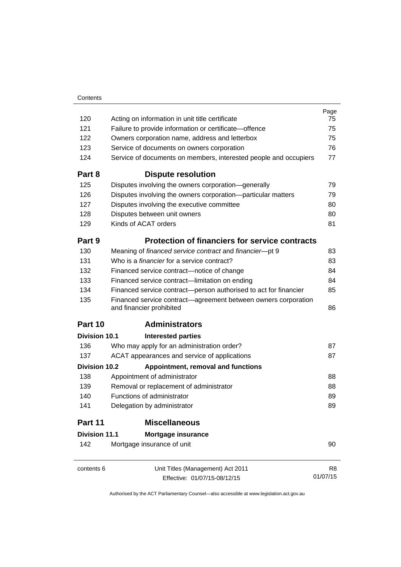| Contents |
|----------|
|          |

|                      |                                                                                            | Page     |
|----------------------|--------------------------------------------------------------------------------------------|----------|
| 120                  | Acting on information in unit title certificate                                            | 75       |
| 121                  | Failure to provide information or certificate-offence                                      | 75       |
| 122                  | Owners corporation name, address and letterbox                                             | 75       |
| 123                  | Service of documents on owners corporation                                                 | 76       |
| 124                  | Service of documents on members, interested people and occupiers                           | 77       |
| Part 8               | <b>Dispute resolution</b>                                                                  |          |
| 125                  | Disputes involving the owners corporation-generally                                        | 79       |
| 126                  | Disputes involving the owners corporation-particular matters                               | 79       |
| 127                  | Disputes involving the executive committee                                                 | 80       |
| 128                  | Disputes between unit owners                                                               | 80       |
| 129                  | Kinds of ACAT orders                                                                       | 81       |
| Part 9               | <b>Protection of financiers for service contracts</b>                                      |          |
| 130                  | Meaning of financed service contract and financier-pt 9                                    | 83       |
| 131                  | Who is a <i>financier</i> for a service contract?                                          | 83       |
| 132                  | Financed service contract-notice of change                                                 | 84       |
| 133                  | Financed service contract—limitation on ending                                             | 84       |
| 134                  | Financed service contract-person authorised to act for financier                           | 85       |
| 135                  | Financed service contract—agreement between owners corporation<br>and financier prohibited | 86       |
| Part 10              | <b>Administrators</b>                                                                      |          |
| Division 10.1        | <b>Interested parties</b>                                                                  |          |
| 136                  | Who may apply for an administration order?                                                 | 87       |
| 137                  | ACAT appearances and service of applications                                               | 87       |
| <b>Division 10.2</b> | Appointment, removal and functions                                                         |          |
| 138                  | Appointment of administrator                                                               | 88       |
| 139                  | Removal or replacement of administrator                                                    | 88       |
| 140                  | Functions of administrator                                                                 | 89       |
| 141                  | Delegation by administrator                                                                | 89       |
| Part 11              | <b>Miscellaneous</b>                                                                       |          |
| <b>Division 11.1</b> | Mortgage insurance                                                                         |          |
| 142                  | Mortgage insurance of unit                                                                 | 90       |
| contents 6           | Unit Titles (Management) Act 2011                                                          | R8       |
|                      | Effective: 01/07/15-08/12/15                                                               | 01/07/15 |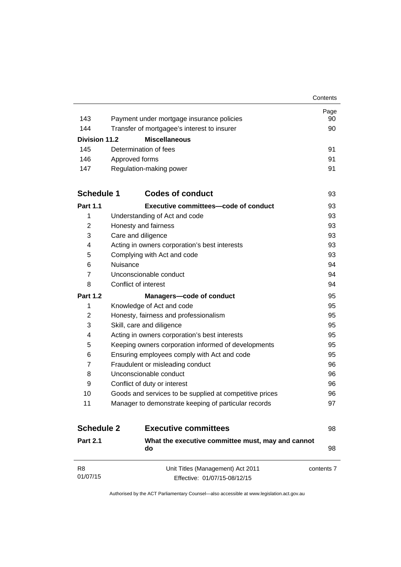|                      |                                                                   | Contents   |
|----------------------|-------------------------------------------------------------------|------------|
|                      |                                                                   | Page       |
| 143                  | Payment under mortgage insurance policies                         | 90         |
| 144                  | Transfer of mortgagee's interest to insurer                       | 90         |
| <b>Division 11.2</b> | <b>Miscellaneous</b>                                              |            |
| 145                  | Determination of fees                                             | 91         |
| 146                  | Approved forms                                                    | 91         |
| 147                  | Regulation-making power                                           | 91         |
| <b>Schedule 1</b>    | <b>Codes of conduct</b>                                           | 93         |
| <b>Part 1.1</b>      | <b>Executive committees-code of conduct</b>                       | 93         |
| 1                    | Understanding of Act and code                                     | 93         |
| 2                    | Honesty and fairness                                              | 93         |
| 3                    | Care and diligence                                                | 93         |
| 4                    | Acting in owners corporation's best interests                     | 93         |
| 5                    | Complying with Act and code                                       | 93         |
| 6                    | Nuisance                                                          | 94         |
| 7                    | Unconscionable conduct                                            | 94         |
| 8                    | Conflict of interest                                              | 94         |
| <b>Part 1.2</b>      | Managers-code of conduct                                          | 95         |
| 1                    | Knowledge of Act and code                                         | 95         |
| $\overline{2}$       | Honesty, fairness and professionalism                             | 95         |
| 3                    | Skill, care and diligence                                         | 95         |
| 4                    | Acting in owners corporation's best interests                     | 95         |
| 5                    | Keeping owners corporation informed of developments               | 95         |
| 6                    | Ensuring employees comply with Act and code                       | 95         |
| 7                    | Fraudulent or misleading conduct                                  | 96         |
| 8                    | Unconscionable conduct                                            | 96         |
| 9                    | Conflict of duty or interest                                      | 96         |
| 10                   | Goods and services to be supplied at competitive prices           | 96         |
| 11                   | Manager to demonstrate keeping of particular records              | 97         |
| <b>Schedule 2</b>    | <b>Executive committees</b>                                       | 98         |
| <b>Part 2.1</b>      | What the executive committee must, may and cannot<br>do           | 98         |
| R8<br>01/07/15       | Unit Titles (Management) Act 2011<br>Effective: 01/07/15-08/12/15 | contents 7 |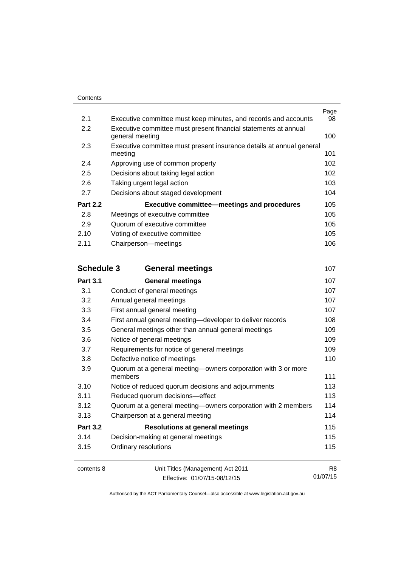|                   |                                                                                    | Page           |
|-------------------|------------------------------------------------------------------------------------|----------------|
| 2.1               | Executive committee must keep minutes, and records and accounts                    | 98             |
| 2.2               | Executive committee must present financial statements at annual<br>general meeting | 100            |
| 2.3               | Executive committee must present insurance details at annual general<br>meeting    | 101            |
| 2.4               | Approving use of common property                                                   | 102            |
| 2.5               | Decisions about taking legal action                                                | 102            |
| 2.6               | Taking urgent legal action                                                         | 103            |
| 2.7               | Decisions about staged development                                                 | 104            |
| <b>Part 2.2</b>   | <b>Executive committee-meetings and procedures</b>                                 | 105            |
| 2.8               | Meetings of executive committee                                                    | 105            |
| 2.9               | Quorum of executive committee                                                      | 105            |
| 2.10              | Voting of executive committee                                                      | 105            |
| 2.11              | Chairperson-meetings                                                               | 106            |
| <b>Schedule 3</b> | <b>General meetings</b>                                                            | 107            |
| <b>Part 3.1</b>   | <b>General meetings</b>                                                            | 107            |
| 3.1               | Conduct of general meetings                                                        | 107            |
| 3.2               | Annual general meetings                                                            | 107            |
| 3.3               | First annual general meeting                                                       | 107            |
| 3.4               | First annual general meeting-developer to deliver records                          | 108            |
| 3.5               | General meetings other than annual general meetings                                | 109            |
| 3.6               | Notice of general meetings                                                         | 109            |
| 3.7               | Requirements for notice of general meetings                                        | 109            |
| 3.8               | Defective notice of meetings                                                       | 110            |
| 3.9               | Quorum at a general meeting-owners corporation with 3 or more<br>members           | 111            |
| 3.10              | Notice of reduced quorum decisions and adjournments                                | 113            |
| 3.11              | Reduced quorum decisions-effect                                                    | 113            |
| 3.12              | Quorum at a general meeting-owners corporation with 2 members                      | 114            |
| 3.13              | Chairperson at a general meeting                                                   | 114            |
| <b>Part 3.2</b>   | <b>Resolutions at general meetings</b>                                             | 115            |
| 3.14              | Decision-making at general meetings                                                | 115            |
| 3.15              | Ordinary resolutions                                                               | 115            |
| contents 8        | Unit Titles (Management) Act 2011                                                  | R <sub>8</sub> |

Effective: 01/07/15-08/12/15

01/07/15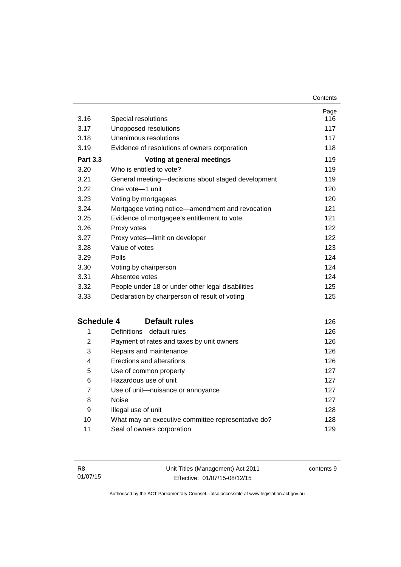| 3.16              | Special resolutions                                | Page<br>116 |
|-------------------|----------------------------------------------------|-------------|
| 3.17              | Unopposed resolutions                              | 117         |
| 3.18              | Unanimous resolutions                              | 117         |
| 3.19              | Evidence of resolutions of owners corporation      | 118         |
| <b>Part 3.3</b>   | Voting at general meetings                         | 119         |
| 3.20              | Who is entitled to vote?                           | 119         |
| 3.21              | General meeting-decisions about staged development | 119         |
| 3.22              | One vote-1 unit                                    | 120         |
| 3.23              | Voting by mortgagees                               | 120         |
| 3.24              | Mortgagee voting notice-amendment and revocation   | 121         |
| 3.25              | Evidence of mortgagee's entitlement to vote        | 121         |
| 3.26              | Proxy votes                                        | 122         |
| 3.27              | Proxy votes-limit on developer                     | 122         |
| 3.28              | Value of votes                                     | 123         |
| 3.29              | Polls                                              | 124         |
| 3.30              | Voting by chairperson                              | 124         |
| 3.31              | Absentee votes                                     | 124         |
| 3.32              | People under 18 or under other legal disabilities  | 125         |
| 3.33              | Declaration by chairperson of result of voting     | 125         |
| <b>Schedule 4</b> | <b>Default rules</b>                               | 126         |
| 1                 | Definitions-default rules                          | 126         |
| $\overline{2}$    | Payment of rates and taxes by unit owners          | 126         |
| 3                 | Repairs and maintenance                            | 126         |
| 4                 | Erections and alterations                          | 126         |
| 5                 | Use of common property                             | 127         |
| 6                 | Hazardous use of unit                              | 127         |
| $\overline{7}$    | Use of unit-nuisance or annoyance                  | 127         |
| 8                 | <b>Noise</b>                                       | 127         |
| 9                 | Illegal use of unit                                | 128         |
| 10                | What may an executive committee representative do? | 128         |
| 11                | Seal of owners corporation                         | 129         |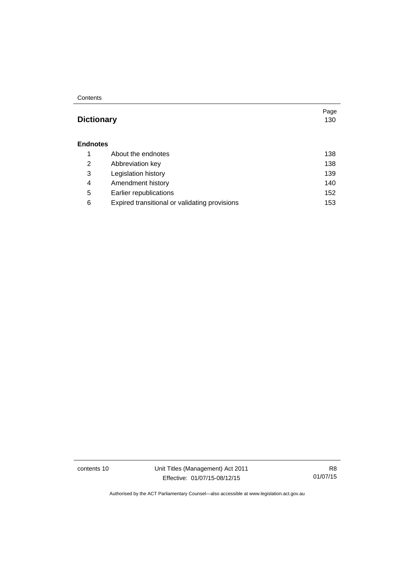#### **Contents**

### **Dictionary** [130](#page-141-0)

#### **[Endnotes](#page-149-0)**

|   | About the endnotes                            | 138 |
|---|-----------------------------------------------|-----|
| 2 | Abbreviation key                              | 138 |
| 3 | Legislation history                           | 139 |
| 4 | Amendment history                             | 140 |
| 5 | Earlier republications                        | 152 |
| 6 | Expired transitional or validating provisions | 153 |

contents 10 Unit Titles (Management) Act 2011 Effective: 01/07/15-08/12/15

R8 01/07/15

Page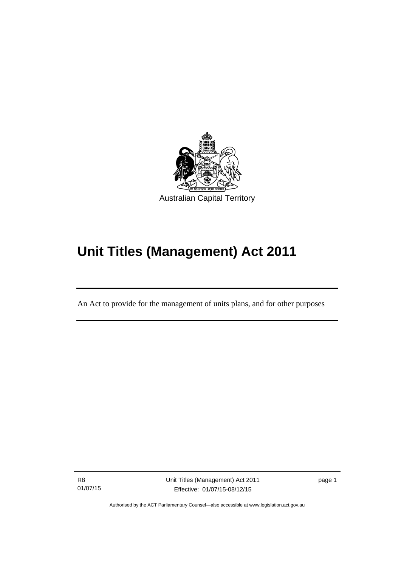

# **Unit Titles (Management) Act 2011**

An Act to provide for the management of units plans, and for other purposes

R8 01/07/15

l

Unit Titles (Management) Act 2011 Effective: 01/07/15-08/12/15

page 1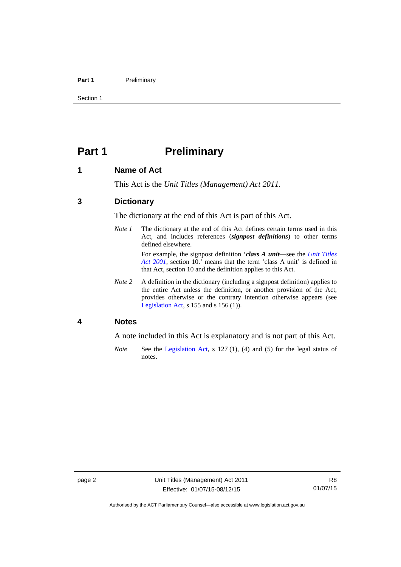#### Part 1 **Preliminary**

Section 1

### <span id="page-13-0"></span>**Part 1** Preliminary

#### <span id="page-13-1"></span>**1 Name of Act**

This Act is the *Unit Titles (Management) Act 2011*.

#### <span id="page-13-2"></span>**3 Dictionary**

The dictionary at the end of this Act is part of this Act.

*Note 1* The dictionary at the end of this Act defines certain terms used in this Act, and includes references (*signpost definitions*) to other terms defined elsewhere.

> For example, the signpost definition '*class A unit*—see the *[Unit Titles](http://www.legislation.act.gov.au/a/2001-16)  [Act 2001](http://www.legislation.act.gov.au/a/2001-16)*, section 10.' means that the term 'class A unit' is defined in that Act, section 10 and the definition applies to this Act.

*Note 2* A definition in the dictionary (including a signpost definition) applies to the entire Act unless the definition, or another provision of the Act, provides otherwise or the contrary intention otherwise appears (see [Legislation Act,](http://www.legislation.act.gov.au/a/2001-14) s 155 and s 156 (1)).

#### <span id="page-13-3"></span>**4 Notes**

A note included in this Act is explanatory and is not part of this Act.

*Note* See the [Legislation Act,](http://www.legislation.act.gov.au/a/2001-14) s 127 (1), (4) and (5) for the legal status of notes.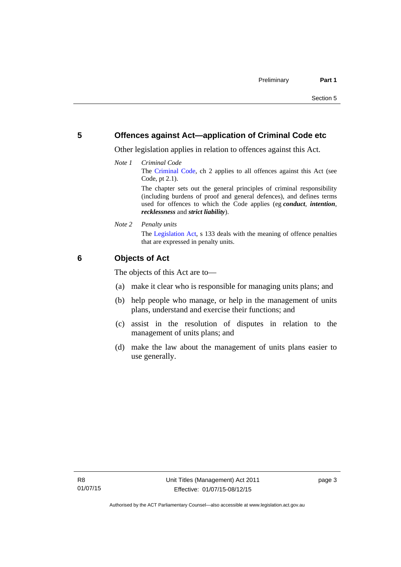#### <span id="page-14-0"></span>**5 Offences against Act—application of Criminal Code etc**

Other legislation applies in relation to offences against this Act.

*Note 1 Criminal Code* The [Criminal Code](http://www.legislation.act.gov.au/a/2002-51), ch 2 applies to all offences against this Act (see Code, pt 2.1). The chapter sets out the general principles of criminal responsibility

(including burdens of proof and general defences), and defines terms used for offences to which the Code applies (eg *conduct*, *intention*, *recklessness* and *strict liability*).

*Note 2 Penalty units* 

The [Legislation Act](http://www.legislation.act.gov.au/a/2001-14), s 133 deals with the meaning of offence penalties that are expressed in penalty units.

#### <span id="page-14-1"></span>**6 Objects of Act**

The objects of this Act are to—

- (a) make it clear who is responsible for managing units plans; and
- (b) help people who manage, or help in the management of units plans, understand and exercise their functions; and
- (c) assist in the resolution of disputes in relation to the management of units plans; and
- (d) make the law about the management of units plans easier to use generally.

page 3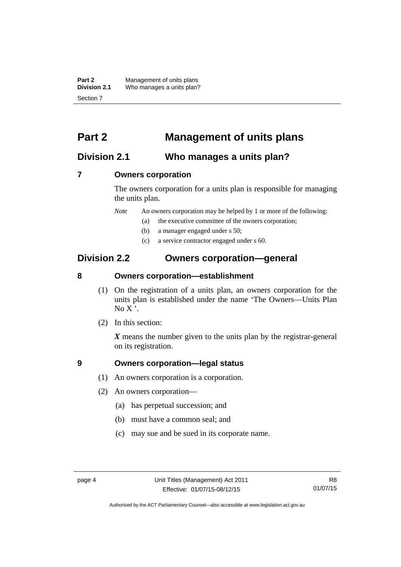**Part 2** Management of units plans<br>**Division 2.1** Who manages a units plan? Who manages a units plan? Section 7

### <span id="page-15-0"></span>**Part 2 Management of units plans**

### <span id="page-15-1"></span>**Division 2.1 Who manages a units plan?**

#### <span id="page-15-2"></span>**7 Owners corporation**

The owners corporation for a units plan is responsible for managing the units plan.

*Note* An owners corporation may be helped by 1 or more of the following:

- (a) the executive committee of the owners corporation;
- (b) a manager engaged under s 50;
- (c) a service contractor engaged under s 60.

### <span id="page-15-3"></span>**Division 2.2 Owners corporation—general**

#### <span id="page-15-4"></span>**8 Owners corporation—establishment**

- (1) On the registration of a units plan, an owners corporation for the units plan is established under the name 'The Owners—Units Plan  $No X'.$
- (2) In this section:

*X* means the number given to the units plan by the registrar-general on its registration.

#### <span id="page-15-5"></span>**9 Owners corporation—legal status**

- (1) An owners corporation is a corporation.
- (2) An owners corporation—
	- (a) has perpetual succession; and
	- (b) must have a common seal; and
	- (c) may sue and be sued in its corporate name.

Authorised by the ACT Parliamentary Counsel—also accessible at www.legislation.act.gov.au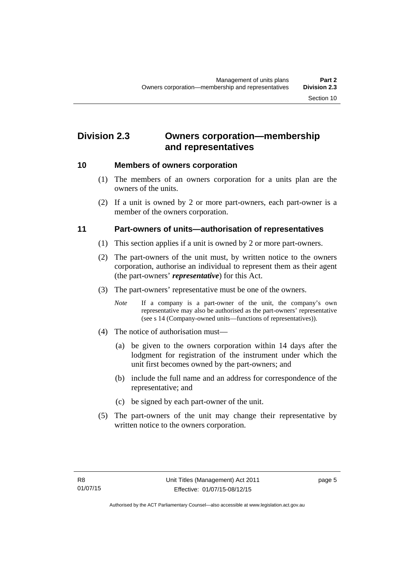### <span id="page-16-0"></span>**Division 2.3 Owners corporation—membership and representatives**

#### <span id="page-16-1"></span>**10 Members of owners corporation**

- (1) The members of an owners corporation for a units plan are the owners of the units.
- (2) If a unit is owned by 2 or more part-owners, each part-owner is a member of the owners corporation.

#### <span id="page-16-2"></span>**11 Part-owners of units—authorisation of representatives**

- (1) This section applies if a unit is owned by 2 or more part-owners.
- (2) The part-owners of the unit must, by written notice to the owners corporation, authorise an individual to represent them as their agent (the part-owners' *representative*) for this Act.
- (3) The part-owners' representative must be one of the owners.
	- *Note* If a company is a part-owner of the unit, the company's own representative may also be authorised as the part-owners' representative (see s 14 (Company-owned units—functions of representatives)).
- (4) The notice of authorisation must—
	- (a) be given to the owners corporation within 14 days after the lodgment for registration of the instrument under which the unit first becomes owned by the part-owners; and
	- (b) include the full name and an address for correspondence of the representative; and
	- (c) be signed by each part-owner of the unit.
- (5) The part-owners of the unit may change their representative by written notice to the owners corporation.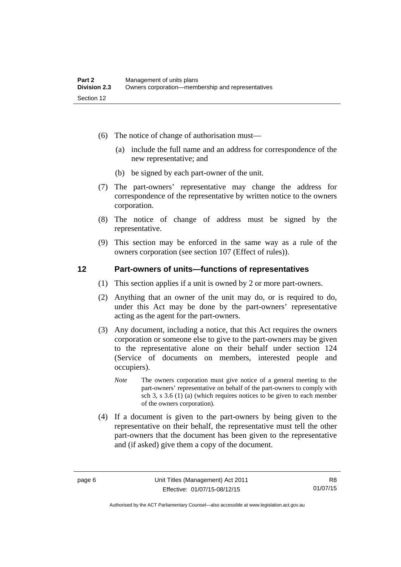- (6) The notice of change of authorisation must—
	- (a) include the full name and an address for correspondence of the new representative; and
	- (b) be signed by each part-owner of the unit.
- (7) The part-owners' representative may change the address for correspondence of the representative by written notice to the owners corporation.
- (8) The notice of change of address must be signed by the representative.
- (9) This section may be enforced in the same way as a rule of the owners corporation (see section 107 (Effect of rules)).

#### <span id="page-17-0"></span>**12 Part-owners of units—functions of representatives**

- (1) This section applies if a unit is owned by 2 or more part-owners.
- (2) Anything that an owner of the unit may do, or is required to do, under this Act may be done by the part-owners' representative acting as the agent for the part-owners.
- (3) Any document, including a notice, that this Act requires the owners corporation or someone else to give to the part-owners may be given to the representative alone on their behalf under section 124 (Service of documents on members, interested people and occupiers).
	- *Note* The owners corporation must give notice of a general meeting to the part-owners' representative on behalf of the part-owners to comply with sch 3, s 3.6 (1) (a) (which requires notices to be given to each member of the owners corporation).
- (4) If a document is given to the part-owners by being given to the representative on their behalf, the representative must tell the other part-owners that the document has been given to the representative and (if asked) give them a copy of the document.

Authorised by the ACT Parliamentary Counsel—also accessible at www.legislation.act.gov.au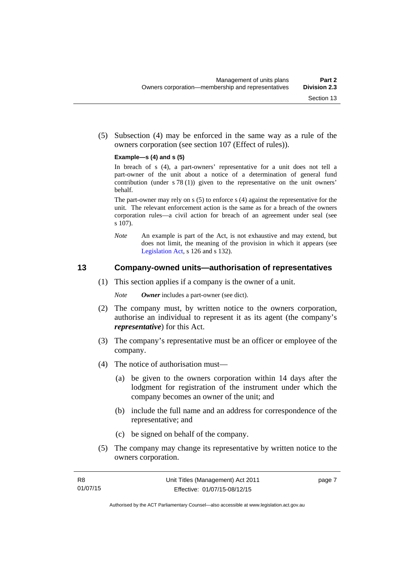(5) Subsection (4) may be enforced in the same way as a rule of the owners corporation (see section 107 (Effect of rules)).

#### **Example—s (4) and s (5)**

In breach of s (4), a part-owners' representative for a unit does not tell a part-owner of the unit about a notice of a determination of general fund contribution (under s 78 (1)) given to the representative on the unit owners' behalf.

The part-owner may rely on s (5) to enforce s (4) against the representative for the unit. The relevant enforcement action is the same as for a breach of the owners corporation rules—a civil action for breach of an agreement under seal (see s 107).

*Note* An example is part of the Act, is not exhaustive and may extend, but does not limit, the meaning of the provision in which it appears (see [Legislation Act,](http://www.legislation.act.gov.au/a/2001-14) s 126 and s 132).

#### <span id="page-18-0"></span>**13 Company-owned units—authorisation of representatives**

(1) This section applies if a company is the owner of a unit.

*Note Owner* includes a part-owner (see dict).

- (2) The company must, by written notice to the owners corporation, authorise an individual to represent it as its agent (the company's *representative*) for this Act.
- (3) The company's representative must be an officer or employee of the company.
- (4) The notice of authorisation must—
	- (a) be given to the owners corporation within 14 days after the lodgment for registration of the instrument under which the company becomes an owner of the unit; and
	- (b) include the full name and an address for correspondence of the representative; and
	- (c) be signed on behalf of the company.
- (5) The company may change its representative by written notice to the owners corporation.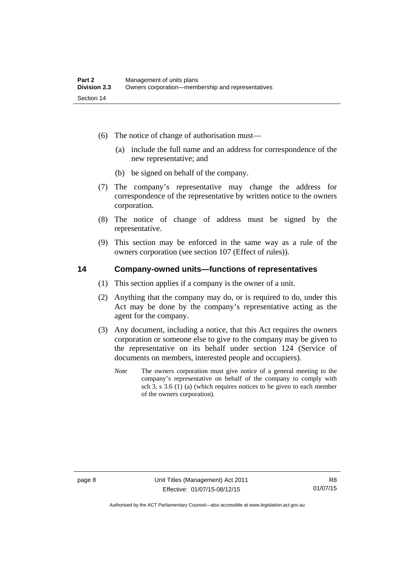- (6) The notice of change of authorisation must—
	- (a) include the full name and an address for correspondence of the new representative; and
	- (b) be signed on behalf of the company.
- (7) The company's representative may change the address for correspondence of the representative by written notice to the owners corporation.
- (8) The notice of change of address must be signed by the representative.
- (9) This section may be enforced in the same way as a rule of the owners corporation (see section 107 (Effect of rules)).

#### <span id="page-19-0"></span>**14 Company-owned units—functions of representatives**

- (1) This section applies if a company is the owner of a unit.
- (2) Anything that the company may do, or is required to do, under this Act may be done by the company's representative acting as the agent for the company.
- (3) Any document, including a notice, that this Act requires the owners corporation or someone else to give to the company may be given to the representative on its behalf under section 124 (Service of documents on members, interested people and occupiers).
	- *Note* The owners corporation must give notice of a general meeting to the company's representative on behalf of the company to comply with sch 3, s 3.6 (1) (a) (which requires notices to be given to each member of the owners corporation).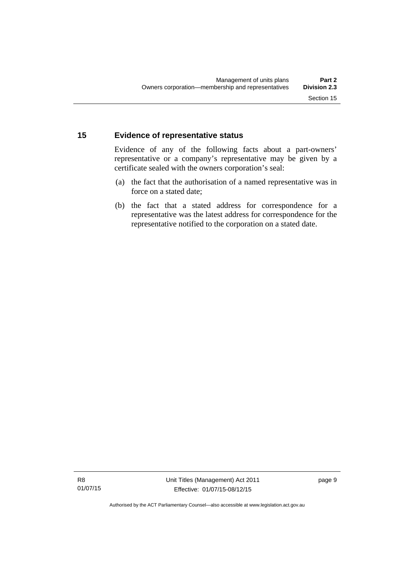#### <span id="page-20-0"></span>**15 Evidence of representative status**

Evidence of any of the following facts about a part-owners' representative or a company's representative may be given by a certificate sealed with the owners corporation's seal:

- (a) the fact that the authorisation of a named representative was in force on a stated date;
- (b) the fact that a stated address for correspondence for a representative was the latest address for correspondence for the representative notified to the corporation on a stated date.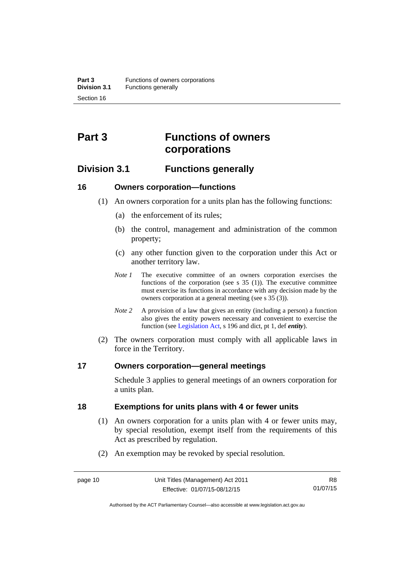## <span id="page-21-0"></span>**Part 3 Functions of owners corporations**

### <span id="page-21-1"></span>**Division 3.1 Functions generally**

#### <span id="page-21-2"></span>**16 Owners corporation—functions**

- (1) An owners corporation for a units plan has the following functions:
	- (a) the enforcement of its rules;
	- (b) the control, management and administration of the common property;
	- (c) any other function given to the corporation under this Act or another territory law.
	- *Note 1* The executive committee of an owners corporation exercises the functions of the corporation (see s  $35$  (1)). The executive committee must exercise its functions in accordance with any decision made by the owners corporation at a general meeting (see s 35 (3)).
	- *Note 2* A provision of a law that gives an entity (including a person) a function also gives the entity powers necessary and convenient to exercise the function (see [Legislation Act](http://www.legislation.act.gov.au/a/2001-14), s 196 and dict, pt 1, def *entity*).
- (2) The owners corporation must comply with all applicable laws in force in the Territory.

#### <span id="page-21-3"></span>**17 Owners corporation—general meetings**

Schedule 3 applies to general meetings of an owners corporation for a units plan.

#### <span id="page-21-4"></span>**18 Exemptions for units plans with 4 or fewer units**

- (1) An owners corporation for a units plan with 4 or fewer units may, by special resolution, exempt itself from the requirements of this Act as prescribed by regulation.
- (2) An exemption may be revoked by special resolution.

Authorised by the ACT Parliamentary Counsel—also accessible at www.legislation.act.gov.au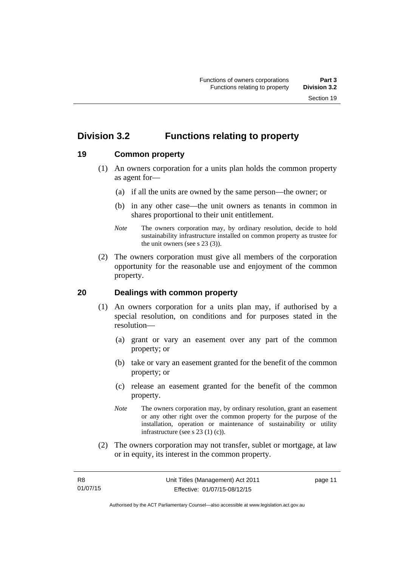### <span id="page-22-0"></span>**Division 3.2 Functions relating to property**

#### <span id="page-22-1"></span>**19 Common property**

- (1) An owners corporation for a units plan holds the common property as agent for—
	- (a) if all the units are owned by the same person—the owner; or
	- (b) in any other case—the unit owners as tenants in common in shares proportional to their unit entitlement.
	- *Note* The owners corporation may, by ordinary resolution, decide to hold sustainability infrastructure installed on common property as trustee for the unit owners (see s 23 (3)).
- (2) The owners corporation must give all members of the corporation opportunity for the reasonable use and enjoyment of the common property.

#### <span id="page-22-2"></span>**20 Dealings with common property**

- (1) An owners corporation for a units plan may, if authorised by a special resolution, on conditions and for purposes stated in the resolution—
	- (a) grant or vary an easement over any part of the common property; or
	- (b) take or vary an easement granted for the benefit of the common property; or
	- (c) release an easement granted for the benefit of the common property.
	- *Note* The owners corporation may, by ordinary resolution, grant an easement or any other right over the common property for the purpose of the installation, operation or maintenance of sustainability or utility infrastructure (see s 23 (1) (c)).
- (2) The owners corporation may not transfer, sublet or mortgage, at law or in equity, its interest in the common property.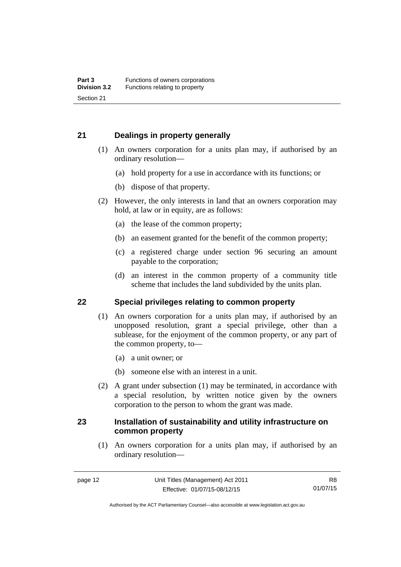#### <span id="page-23-0"></span>**21 Dealings in property generally**

- (1) An owners corporation for a units plan may, if authorised by an ordinary resolution—
	- (a) hold property for a use in accordance with its functions; or
	- (b) dispose of that property.
- (2) However, the only interests in land that an owners corporation may hold, at law or in equity, are as follows:
	- (a) the lease of the common property;
	- (b) an easement granted for the benefit of the common property;
	- (c) a registered charge under section 96 securing an amount payable to the corporation;
	- (d) an interest in the common property of a community title scheme that includes the land subdivided by the units plan.

#### <span id="page-23-1"></span>**22 Special privileges relating to common property**

- (1) An owners corporation for a units plan may, if authorised by an unopposed resolution, grant a special privilege, other than a sublease, for the enjoyment of the common property, or any part of the common property, to—
	- (a) a unit owner; or
	- (b) someone else with an interest in a unit.
- (2) A grant under subsection (1) may be terminated, in accordance with a special resolution, by written notice given by the owners corporation to the person to whom the grant was made.

#### <span id="page-23-2"></span>**23 Installation of sustainability and utility infrastructure on common property**

 (1) An owners corporation for a units plan may, if authorised by an ordinary resolution—

Authorised by the ACT Parliamentary Counsel—also accessible at www.legislation.act.gov.au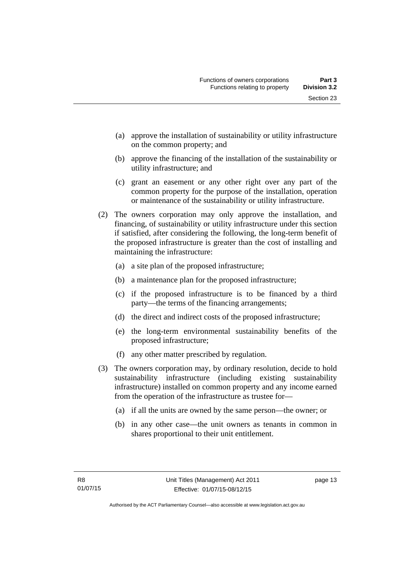- (a) approve the installation of sustainability or utility infrastructure on the common property; and
- (b) approve the financing of the installation of the sustainability or utility infrastructure; and
- (c) grant an easement or any other right over any part of the common property for the purpose of the installation, operation or maintenance of the sustainability or utility infrastructure.
- (2) The owners corporation may only approve the installation, and financing, of sustainability or utility infrastructure under this section if satisfied, after considering the following, the long-term benefit of the proposed infrastructure is greater than the cost of installing and maintaining the infrastructure:
	- (a) a site plan of the proposed infrastructure;
	- (b) a maintenance plan for the proposed infrastructure;
	- (c) if the proposed infrastructure is to be financed by a third party—the terms of the financing arrangements;
	- (d) the direct and indirect costs of the proposed infrastructure;
	- (e) the long-term environmental sustainability benefits of the proposed infrastructure;
	- (f) any other matter prescribed by regulation.
- (3) The owners corporation may, by ordinary resolution, decide to hold sustainability infrastructure (including existing sustainability infrastructure) installed on common property and any income earned from the operation of the infrastructure as trustee for—
	- (a) if all the units are owned by the same person—the owner; or
	- (b) in any other case—the unit owners as tenants in common in shares proportional to their unit entitlement.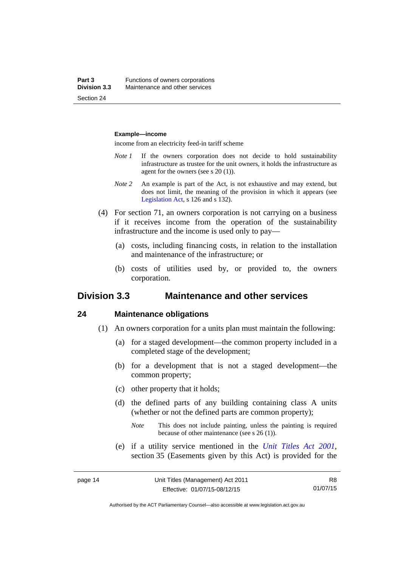#### **Example—income**

income from an electricity feed-in tariff scheme

- *Note 1* If the owners corporation does not decide to hold sustainability infrastructure as trustee for the unit owners, it holds the infrastructure as agent for the owners (see s 20 (1)).
- *Note 2* An example is part of the Act, is not exhaustive and may extend, but does not limit, the meaning of the provision in which it appears (see [Legislation Act,](http://www.legislation.act.gov.au/a/2001-14) s 126 and s 132).
- (4) For section 71, an owners corporation is not carrying on a business if it receives income from the operation of the sustainability infrastructure and the income is used only to pay—
	- (a) costs, including financing costs, in relation to the installation and maintenance of the infrastructure; or
	- (b) costs of utilities used by, or provided to, the owners corporation.

#### <span id="page-25-0"></span>**Division 3.3 Maintenance and other services**

#### <span id="page-25-1"></span>**24 Maintenance obligations**

- (1) An owners corporation for a units plan must maintain the following:
	- (a) for a staged development—the common property included in a completed stage of the development;
	- (b) for a development that is not a staged development—the common property;
	- (c) other property that it holds;
	- (d) the defined parts of any building containing class A units (whether or not the defined parts are common property);
		- *Note* This does not include painting, unless the painting is required because of other maintenance (see s 26 (1)).
	- (e) if a utility service mentioned in the *[Unit Titles Act 2001](http://www.legislation.act.gov.au/a/2001-16)*, section 35 (Easements given by this Act) is provided for the

R8 01/07/15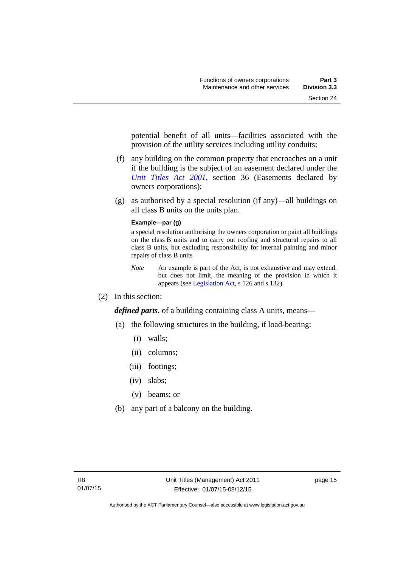potential benefit of all units—facilities associated with the provision of the utility services including utility conduits;

- (f) any building on the common property that encroaches on a unit if the building is the subject of an easement declared under the *[Unit Titles Act 2001](http://www.legislation.act.gov.au/a/2001-16)*, section 36 (Easements declared by owners corporations);
- (g) as authorised by a special resolution (if any)—all buildings on all class B units on the units plan.

#### **Example—par (g)**

a special resolution authorising the owners corporation to paint all buildings on the class B units and to carry out roofing and structural repairs to all class B units, but excluding responsibility for internal painting and minor repairs of class B units

- *Note* An example is part of the Act, is not exhaustive and may extend, but does not limit, the meaning of the provision in which it appears (see [Legislation Act,](http://www.legislation.act.gov.au/a/2001-14) s 126 and s 132).
- (2) In this section:

*defined parts*, of a building containing class A units, means—

- (a) the following structures in the building, if load-bearing:
	- (i) walls;
	- (ii) columns;
	- (iii) footings;
	- (iv) slabs;
	- (v) beams; or
- (b) any part of a balcony on the building.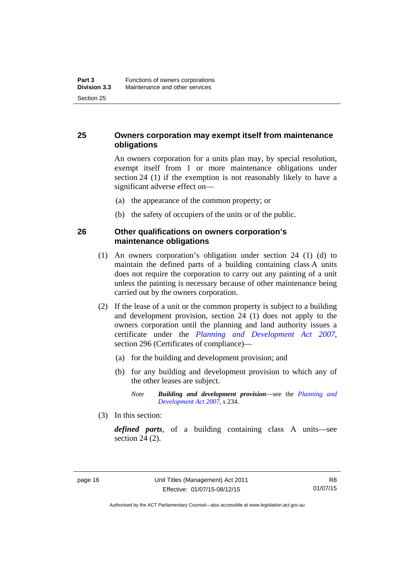#### <span id="page-27-0"></span>**25 Owners corporation may exempt itself from maintenance obligations**

An owners corporation for a units plan may, by special resolution, exempt itself from 1 or more maintenance obligations under section 24 (1) if the exemption is not reasonably likely to have a significant adverse effect on—

- (a) the appearance of the common property; or
- (b) the safety of occupiers of the units or of the public.

#### <span id="page-27-1"></span>**26 Other qualifications on owners corporation's maintenance obligations**

- (1) An owners corporation's obligation under section 24 (1) (d) to maintain the defined parts of a building containing class A units does not require the corporation to carry out any painting of a unit unless the painting is necessary because of other maintenance being carried out by the owners corporation.
- (2) If the lease of a unit or the common property is subject to a building and development provision, section 24 (1) does not apply to the owners corporation until the planning and land authority issues a certificate under the *[Planning and Development Act 2007](http://www.legislation.act.gov.au/a/2007-24)*, section 296 (Certificates of compliance)—
	- (a) for the building and development provision; and
	- (b) for any building and development provision to which any of the other leases are subject.

*Note Building and development provision*—see the *[Planning and](http://www.legislation.act.gov.au/a/2007-24)  [Development Act 2007](http://www.legislation.act.gov.au/a/2007-24)*, s 234.

(3) In this section:

*defined parts*, of a building containing class A units—see section 24 (2).

Authorised by the ACT Parliamentary Counsel—also accessible at www.legislation.act.gov.au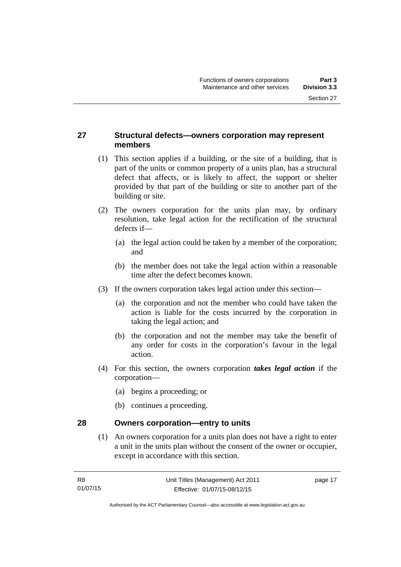#### <span id="page-28-0"></span>**27 Structural defects—owners corporation may represent members**

- (1) This section applies if a building, or the site of a building, that is part of the units or common property of a units plan, has a structural defect that affects, or is likely to affect, the support or shelter provided by that part of the building or site to another part of the building or site.
- (2) The owners corporation for the units plan may, by ordinary resolution, take legal action for the rectification of the structural defects if—
	- (a) the legal action could be taken by a member of the corporation; and
	- (b) the member does not take the legal action within a reasonable time after the defect becomes known.
- (3) If the owners corporation takes legal action under this section—
	- (a) the corporation and not the member who could have taken the action is liable for the costs incurred by the corporation in taking the legal action; and
	- (b) the corporation and not the member may take the benefit of any order for costs in the corporation's favour in the legal action.
- (4) For this section, the owners corporation *takes legal action* if the corporation—
	- (a) begins a proceeding; or
	- (b) continues a proceeding.

#### <span id="page-28-1"></span>**28 Owners corporation—entry to units**

(1) An owners corporation for a units plan does not have a right to enter a unit in the units plan without the consent of the owner or occupier, except in accordance with this section.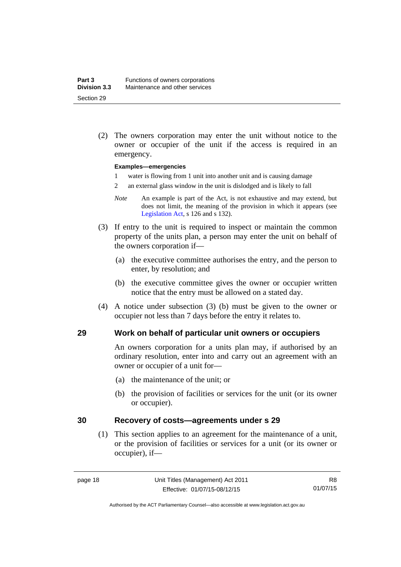(2) The owners corporation may enter the unit without notice to the owner or occupier of the unit if the access is required in an emergency.

#### **Examples—emergencies**

- 1 water is flowing from 1 unit into another unit and is causing damage
- 2 an external glass window in the unit is dislodged and is likely to fall
- *Note* An example is part of the Act, is not exhaustive and may extend, but does not limit, the meaning of the provision in which it appears (see [Legislation Act,](http://www.legislation.act.gov.au/a/2001-14) s 126 and s 132).
- (3) If entry to the unit is required to inspect or maintain the common property of the units plan, a person may enter the unit on behalf of the owners corporation if—
	- (a) the executive committee authorises the entry, and the person to enter, by resolution; and
	- (b) the executive committee gives the owner or occupier written notice that the entry must be allowed on a stated day.
- (4) A notice under subsection (3) (b) must be given to the owner or occupier not less than 7 days before the entry it relates to.

#### <span id="page-29-0"></span>**29 Work on behalf of particular unit owners or occupiers**

An owners corporation for a units plan may, if authorised by an ordinary resolution, enter into and carry out an agreement with an owner or occupier of a unit for—

- (a) the maintenance of the unit; or
- (b) the provision of facilities or services for the unit (or its owner or occupier).

#### <span id="page-29-1"></span>**30 Recovery of costs—agreements under s 29**

(1) This section applies to an agreement for the maintenance of a unit, or the provision of facilities or services for a unit (or its owner or occupier), if—

Authorised by the ACT Parliamentary Counsel—also accessible at www.legislation.act.gov.au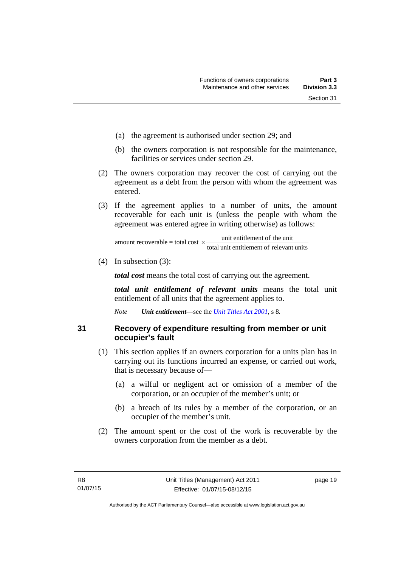- (a) the agreement is authorised under section 29; and
- (b) the owners corporation is not responsible for the maintenance, facilities or services under section 29.
- (2) The owners corporation may recover the cost of carrying out the agreement as a debt from the person with whom the agreement was entered.
- (3) If the agreement applies to a number of units, the amount recoverable for each unit is (unless the people with whom the agreement was entered agree in writing otherwise) as follows:

total unit entitlement of relevant units unit entitlement of the unit amount recoverable = total cost  $\times$ -

(4) In subsection (3):

*total cost* means the total cost of carrying out the agreement.

*total unit entitlement of relevant units* means the total unit entitlement of all units that the agreement applies to.

*Note Unit entitlement*—see the *[Unit Titles Act 2001](http://www.legislation.act.gov.au/a/2001-16)*, s 8.

<span id="page-30-0"></span>**31 Recovery of expenditure resulting from member or unit occupier's fault** 

- (1) This section applies if an owners corporation for a units plan has in carrying out its functions incurred an expense, or carried out work, that is necessary because of—
	- (a) a wilful or negligent act or omission of a member of the corporation, or an occupier of the member's unit; or
	- (b) a breach of its rules by a member of the corporation, or an occupier of the member's unit.
- (2) The amount spent or the cost of the work is recoverable by the owners corporation from the member as a debt.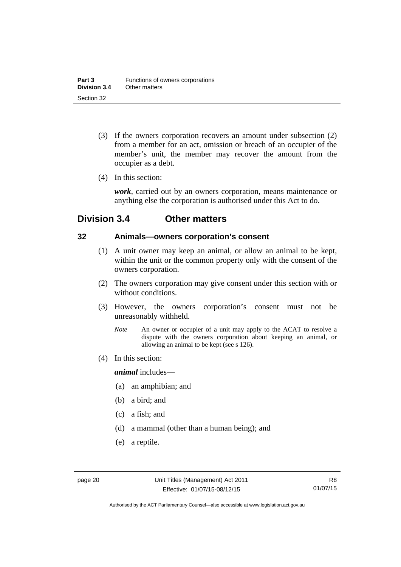- (3) If the owners corporation recovers an amount under subsection (2) from a member for an act, omission or breach of an occupier of the member's unit, the member may recover the amount from the occupier as a debt.
- (4) In this section:

*work*, carried out by an owners corporation, means maintenance or anything else the corporation is authorised under this Act to do.

### <span id="page-31-0"></span>**Division 3.4 Other matters**

#### <span id="page-31-1"></span>**32 Animals—owners corporation's consent**

- (1) A unit owner may keep an animal, or allow an animal to be kept, within the unit or the common property only with the consent of the owners corporation.
- (2) The owners corporation may give consent under this section with or without conditions.
- (3) However, the owners corporation's consent must not be unreasonably withheld.
	- *Note* An owner or occupier of a unit may apply to the ACAT to resolve a dispute with the owners corporation about keeping an animal, or allowing an animal to be kept (see s 126).
- (4) In this section:

*animal* includes—

- (a) an amphibian; and
- (b) a bird; and
- (c) a fish; and
- (d) a mammal (other than a human being); and
- (e) a reptile.

Authorised by the ACT Parliamentary Counsel—also accessible at www.legislation.act.gov.au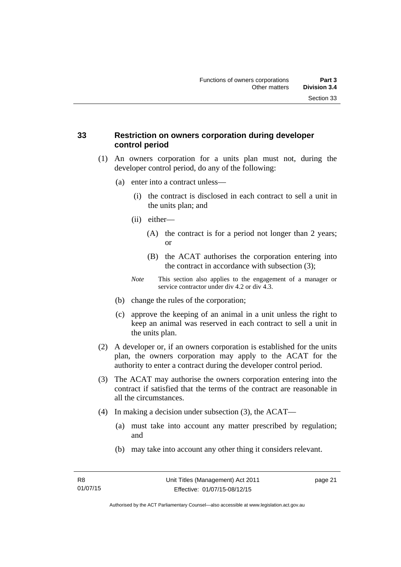#### <span id="page-32-0"></span>**33 Restriction on owners corporation during developer control period**

- (1) An owners corporation for a units plan must not, during the developer control period, do any of the following:
	- (a) enter into a contract unless—
		- (i) the contract is disclosed in each contract to sell a unit in the units plan; and
		- (ii) either—
			- (A) the contract is for a period not longer than 2 years; or
			- (B) the ACAT authorises the corporation entering into the contract in accordance with subsection (3);
		- *Note* This section also applies to the engagement of a manager or service contractor under div 4.2 or div 4.3.
	- (b) change the rules of the corporation;
	- (c) approve the keeping of an animal in a unit unless the right to keep an animal was reserved in each contract to sell a unit in the units plan.
- (2) A developer or, if an owners corporation is established for the units plan, the owners corporation may apply to the ACAT for the authority to enter a contract during the developer control period.
- (3) The ACAT may authorise the owners corporation entering into the contract if satisfied that the terms of the contract are reasonable in all the circumstances.
- (4) In making a decision under subsection (3), the ACAT—
	- (a) must take into account any matter prescribed by regulation; and
	- (b) may take into account any other thing it considers relevant.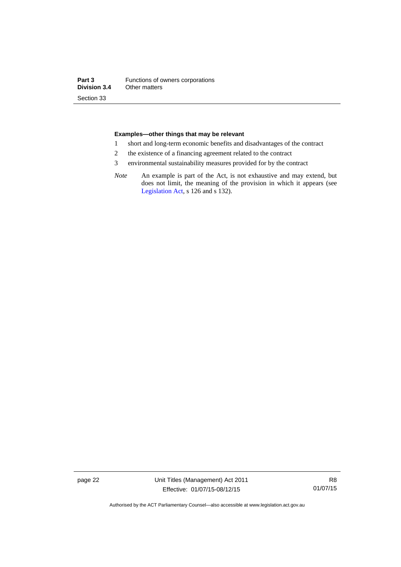#### **Examples—other things that may be relevant**

- 1 short and long-term economic benefits and disadvantages of the contract
- 2 the existence of a financing agreement related to the contract
- 3 environmental sustainability measures provided for by the contract
- *Note* An example is part of the Act, is not exhaustive and may extend, but does not limit, the meaning of the provision in which it appears (see [Legislation Act,](http://www.legislation.act.gov.au/a/2001-14) s 126 and s 132).

page 22 Unit Titles (Management) Act 2011 Effective: 01/07/15-08/12/15

R8 01/07/15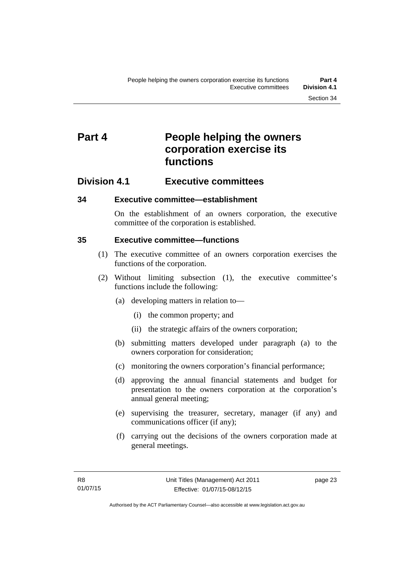## <span id="page-34-0"></span>**Part 4** People helping the owners **corporation exercise its functions**

### <span id="page-34-1"></span>**Division 4.1 Executive committees**

#### <span id="page-34-2"></span>**34 Executive committee—establishment**

On the establishment of an owners corporation, the executive committee of the corporation is established.

#### <span id="page-34-3"></span>**35 Executive committee—functions**

- (1) The executive committee of an owners corporation exercises the functions of the corporation.
- (2) Without limiting subsection (1), the executive committee's functions include the following:
	- (a) developing matters in relation to—
		- (i) the common property; and
		- (ii) the strategic affairs of the owners corporation;
	- (b) submitting matters developed under paragraph (a) to the owners corporation for consideration;
	- (c) monitoring the owners corporation's financial performance;
	- (d) approving the annual financial statements and budget for presentation to the owners corporation at the corporation's annual general meeting;
	- (e) supervising the treasurer, secretary, manager (if any) and communications officer (if any);
	- (f) carrying out the decisions of the owners corporation made at general meetings.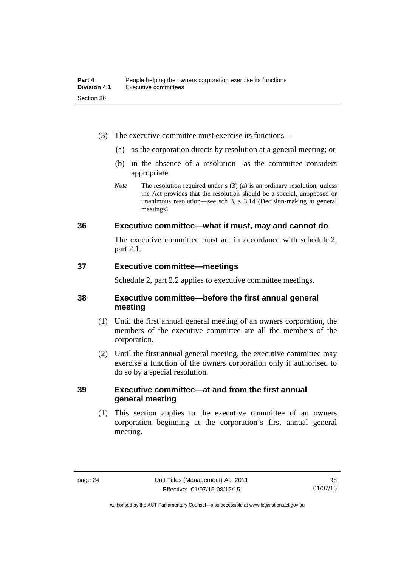- (3) The executive committee must exercise its functions—
	- (a) as the corporation directs by resolution at a general meeting; or
	- (b) in the absence of a resolution—as the committee considers appropriate.
	- *Note* The resolution required under s (3) (a) is an ordinary resolution, unless the Act provides that the resolution should be a special, unopposed or unanimous resolution—see sch 3, s 3.14 (Decision-making at general meetings).

#### <span id="page-35-0"></span>**36 Executive committee—what it must, may and cannot do**

The executive committee must act in accordance with schedule 2, part 2.1.

#### <span id="page-35-1"></span>**37 Executive committee—meetings**

Schedule 2, part 2.2 applies to executive committee meetings.

#### <span id="page-35-2"></span>**38 Executive committee—before the first annual general meeting**

- (1) Until the first annual general meeting of an owners corporation, the members of the executive committee are all the members of the corporation.
- (2) Until the first annual general meeting, the executive committee may exercise a function of the owners corporation only if authorised to do so by a special resolution.

#### <span id="page-35-3"></span>**39 Executive committee—at and from the first annual general meeting**

(1) This section applies to the executive committee of an owners corporation beginning at the corporation's first annual general meeting.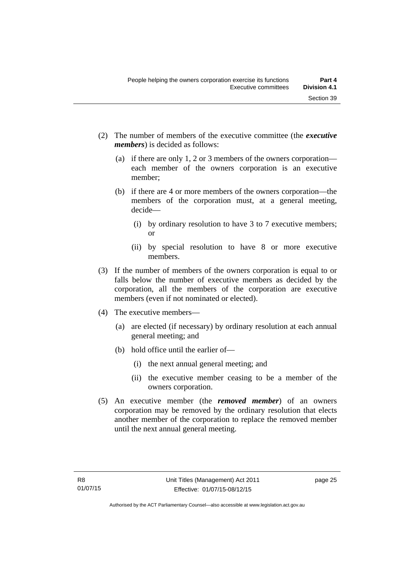- (2) The number of members of the executive committee (the *executive members*) is decided as follows:
	- (a) if there are only 1, 2 or 3 members of the owners corporation each member of the owners corporation is an executive member;
	- (b) if there are 4 or more members of the owners corporation—the members of the corporation must, at a general meeting, decide—
		- (i) by ordinary resolution to have 3 to 7 executive members; or
		- (ii) by special resolution to have 8 or more executive members.
- (3) If the number of members of the owners corporation is equal to or falls below the number of executive members as decided by the corporation, all the members of the corporation are executive members (even if not nominated or elected).
- (4) The executive members—
	- (a) are elected (if necessary) by ordinary resolution at each annual general meeting; and
	- (b) hold office until the earlier of—
		- (i) the next annual general meeting; and
		- (ii) the executive member ceasing to be a member of the owners corporation.
- (5) An executive member (the *removed member*) of an owners corporation may be removed by the ordinary resolution that elects another member of the corporation to replace the removed member until the next annual general meeting.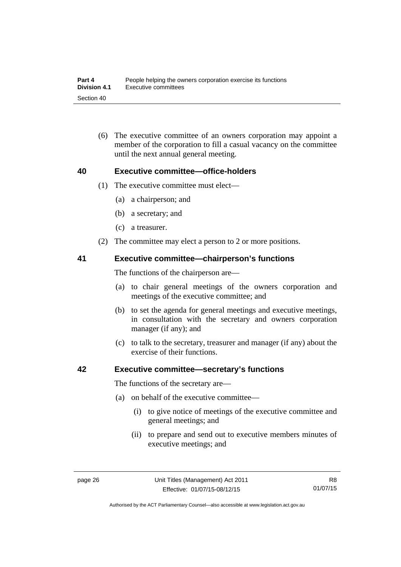(6) The executive committee of an owners corporation may appoint a member of the corporation to fill a casual vacancy on the committee until the next annual general meeting.

#### **40 Executive committee—office-holders**

- (1) The executive committee must elect—
	- (a) a chairperson; and
	- (b) a secretary; and
	- (c) a treasurer.
- (2) The committee may elect a person to 2 or more positions.

#### **41 Executive committee—chairperson's functions**

The functions of the chairperson are—

- (a) to chair general meetings of the owners corporation and meetings of the executive committee; and
- (b) to set the agenda for general meetings and executive meetings, in consultation with the secretary and owners corporation manager (if any); and
- (c) to talk to the secretary, treasurer and manager (if any) about the exercise of their functions.

#### **42 Executive committee—secretary's functions**

The functions of the secretary are—

- (a) on behalf of the executive committee—
	- (i) to give notice of meetings of the executive committee and general meetings; and
	- (ii) to prepare and send out to executive members minutes of executive meetings; and

Authorised by the ACT Parliamentary Counsel—also accessible at www.legislation.act.gov.au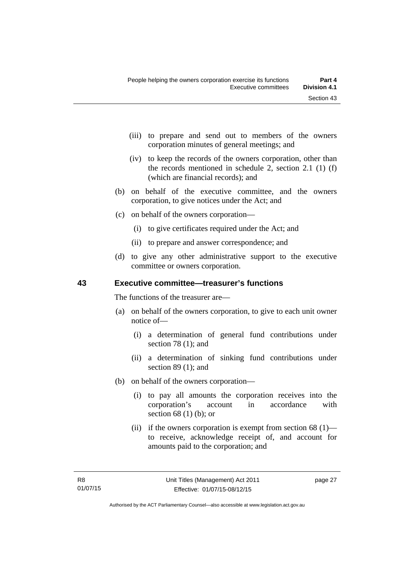- (iii) to prepare and send out to members of the owners corporation minutes of general meetings; and
- (iv) to keep the records of the owners corporation, other than the records mentioned in schedule 2, section 2.1 (1) (f) (which are financial records); and
- (b) on behalf of the executive committee, and the owners corporation, to give notices under the Act; and
- (c) on behalf of the owners corporation—
	- (i) to give certificates required under the Act; and
	- (ii) to prepare and answer correspondence; and
- (d) to give any other administrative support to the executive committee or owners corporation.

## **43 Executive committee—treasurer's functions**

The functions of the treasurer are—

- (a) on behalf of the owners corporation, to give to each unit owner notice of—
	- (i) a determination of general fund contributions under section 78 (1); and
	- (ii) a determination of sinking fund contributions under section 89 (1); and
- (b) on behalf of the owners corporation—
	- (i) to pay all amounts the corporation receives into the corporation's account in accordance with section 68 (1) (b); or
	- (ii) if the owners corporation is exempt from section  $68$  (1) to receive, acknowledge receipt of, and account for amounts paid to the corporation; and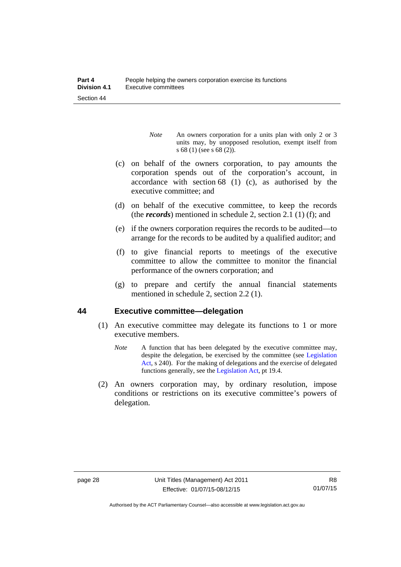- *Note* An owners corporation for a units plan with only 2 or 3 units may, by unopposed resolution, exempt itself from s 68 (1) (see s 68 (2)).
- (c) on behalf of the owners corporation, to pay amounts the corporation spends out of the corporation's account, in accordance with section 68 (1) (c), as authorised by the executive committee; and
- (d) on behalf of the executive committee, to keep the records (the *records*) mentioned in schedule 2, section 2.1 (1) (f); and
- (e) if the owners corporation requires the records to be audited—to arrange for the records to be audited by a qualified auditor; and
- (f) to give financial reports to meetings of the executive committee to allow the committee to monitor the financial performance of the owners corporation; and
- (g) to prepare and certify the annual financial statements mentioned in schedule 2, section 2.2 (1).

#### **44 Executive committee—delegation**

- (1) An executive committee may delegate its functions to 1 or more executive members.
	- *Note* A function that has been delegated by the executive committee may, despite the delegation, be exercised by the committee (see [Legislation](http://www.legislation.act.gov.au/a/2001-14)  [Act](http://www.legislation.act.gov.au/a/2001-14), s 240). For the making of delegations and the exercise of delegated functions generally, see the [Legislation Act,](http://www.legislation.act.gov.au/a/2001-14) pt 19.4.
- (2) An owners corporation may, by ordinary resolution, impose conditions or restrictions on its executive committee's powers of delegation.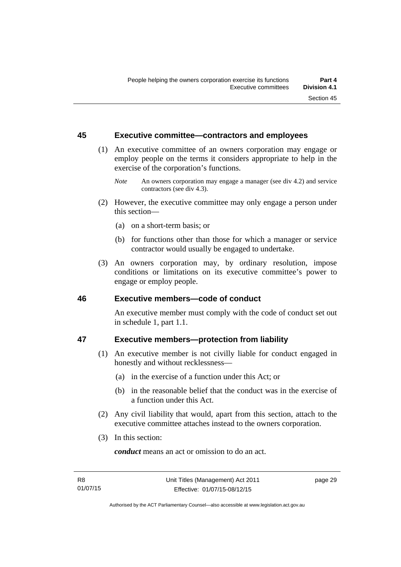### **45 Executive committee—contractors and employees**

- (1) An executive committee of an owners corporation may engage or employ people on the terms it considers appropriate to help in the exercise of the corporation's functions.
	- *Note* An owners corporation may engage a manager (see div 4.2) and service contractors (see div 4.3).
- (2) However, the executive committee may only engage a person under this section—
	- (a) on a short-term basis; or
	- (b) for functions other than those for which a manager or service contractor would usually be engaged to undertake.
- (3) An owners corporation may, by ordinary resolution, impose conditions or limitations on its executive committee's power to engage or employ people.

#### **46 Executive members—code of conduct**

An executive member must comply with the code of conduct set out in schedule 1, part 1.1.

## **47 Executive members—protection from liability**

- (1) An executive member is not civilly liable for conduct engaged in honestly and without recklessness—
	- (a) in the exercise of a function under this Act; or
	- (b) in the reasonable belief that the conduct was in the exercise of a function under this Act.
- (2) Any civil liability that would, apart from this section, attach to the executive committee attaches instead to the owners corporation.
- (3) In this section:

*conduct* means an act or omission to do an act.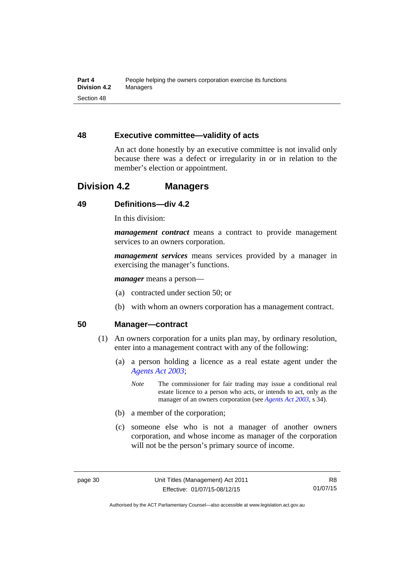### **48 Executive committee—validity of acts**

An act done honestly by an executive committee is not invalid only because there was a defect or irregularity in or in relation to the member's election or appointment.

## **Division 4.2 Managers**

## **49 Definitions—div 4.2**

In this division:

*management contract* means a contract to provide management services to an owners corporation.

*management services* means services provided by a manager in exercising the manager's functions.

*manager* means a person—

- (a) contracted under section 50; or
- (b) with whom an owners corporation has a management contract.

#### **50 Manager—contract**

- (1) An owners corporation for a units plan may, by ordinary resolution, enter into a management contract with any of the following:
	- (a) a person holding a licence as a real estate agent under the *[Agents Act 2003](http://www.legislation.act.gov.au/a/2003-20)*;
		- *Note* The commissioner for fair trading may issue a conditional real estate licence to a person who acts, or intends to act, only as the manager of an owners corporation (see *[Agents Act 2003](http://www.legislation.act.gov.au/a/2003-20)*, s 34).
	- (b) a member of the corporation;
	- (c) someone else who is not a manager of another owners corporation, and whose income as manager of the corporation will not be the person's primary source of income.

Authorised by the ACT Parliamentary Counsel—also accessible at www.legislation.act.gov.au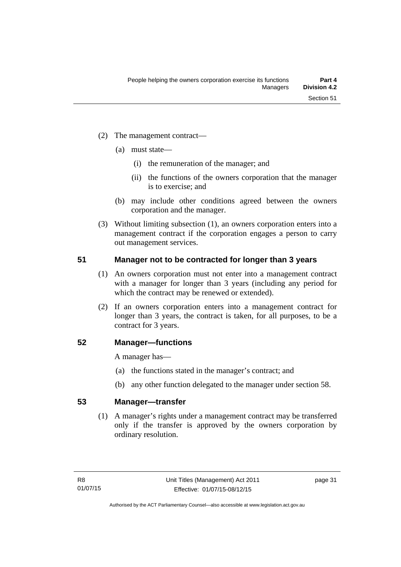- (2) The management contract—
	- (a) must state—
		- (i) the remuneration of the manager; and
		- (ii) the functions of the owners corporation that the manager is to exercise; and
	- (b) may include other conditions agreed between the owners corporation and the manager.
- (3) Without limiting subsection (1), an owners corporation enters into a management contract if the corporation engages a person to carry out management services.

### **51 Manager not to be contracted for longer than 3 years**

- (1) An owners corporation must not enter into a management contract with a manager for longer than 3 years (including any period for which the contract may be renewed or extended).
- (2) If an owners corporation enters into a management contract for longer than 3 years, the contract is taken, for all purposes, to be a contract for 3 years.

#### **52 Manager—functions**

A manager has—

- (a) the functions stated in the manager's contract; and
- (b) any other function delegated to the manager under section 58.

### **53 Manager—transfer**

(1) A manager's rights under a management contract may be transferred only if the transfer is approved by the owners corporation by ordinary resolution.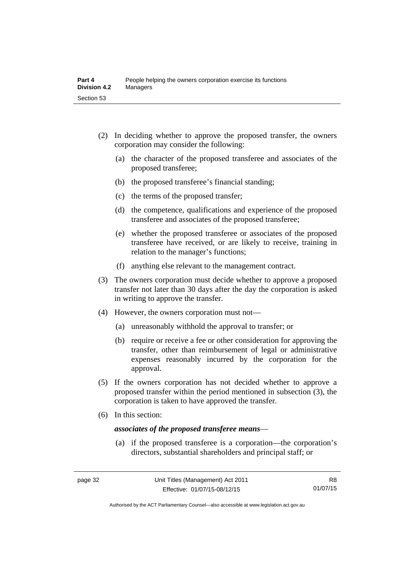- (2) In deciding whether to approve the proposed transfer, the owners corporation may consider the following:
	- (a) the character of the proposed transferee and associates of the proposed transferee;
	- (b) the proposed transferee's financial standing;
	- (c) the terms of the proposed transfer;
	- (d) the competence, qualifications and experience of the proposed transferee and associates of the proposed transferee;
	- (e) whether the proposed transferee or associates of the proposed transferee have received, or are likely to receive, training in relation to the manager's functions;
	- (f) anything else relevant to the management contract.
- (3) The owners corporation must decide whether to approve a proposed transfer not later than 30 days after the day the corporation is asked in writing to approve the transfer.
- (4) However, the owners corporation must not—
	- (a) unreasonably withhold the approval to transfer; or
	- (b) require or receive a fee or other consideration for approving the transfer, other than reimbursement of legal or administrative expenses reasonably incurred by the corporation for the approval.
- (5) If the owners corporation has not decided whether to approve a proposed transfer within the period mentioned in subsection (3), the corporation is taken to have approved the transfer.
- (6) In this section:

#### *associates of the proposed transferee means*—

 (a) if the proposed transferee is a corporation—the corporation's directors, substantial shareholders and principal staff; or

Authorised by the ACT Parliamentary Counsel—also accessible at www.legislation.act.gov.au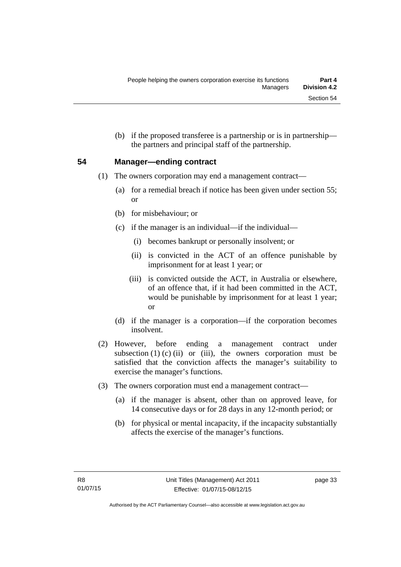(b) if the proposed transferee is a partnership or is in partnership the partners and principal staff of the partnership.

### **54 Manager—ending contract**

- (1) The owners corporation may end a management contract—
	- (a) for a remedial breach if notice has been given under section 55; or
	- (b) for misbehaviour; or
	- (c) if the manager is an individual—if the individual—
		- (i) becomes bankrupt or personally insolvent; or
		- (ii) is convicted in the ACT of an offence punishable by imprisonment for at least 1 year; or
		- (iii) is convicted outside the ACT, in Australia or elsewhere, of an offence that, if it had been committed in the ACT, would be punishable by imprisonment for at least 1 year; or
	- (d) if the manager is a corporation—if the corporation becomes insolvent.
- (2) However, before ending a management contract under subsection  $(1)$   $(c)$   $(ii)$  or  $(iii)$ , the owners corporation must be satisfied that the conviction affects the manager's suitability to exercise the manager's functions.
- (3) The owners corporation must end a management contract—
	- (a) if the manager is absent, other than on approved leave, for 14 consecutive days or for 28 days in any 12-month period; or
	- (b) for physical or mental incapacity, if the incapacity substantially affects the exercise of the manager's functions.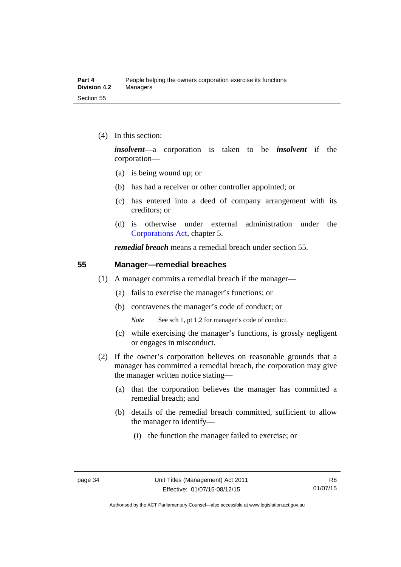(4) In this section:

*insolvent—*a corporation is taken to be *insolvent* if the corporation—

- (a) is being wound up; or
- (b) has had a receiver or other controller appointed; or
- (c) has entered into a deed of company arrangement with its creditors; or
- (d) is otherwise under external administration under the [Corporations Act,](http://www.comlaw.gov.au/Series/C2004A00818) chapter 5.

*remedial breach* means a remedial breach under section 55.

#### **55 Manager—remedial breaches**

- (1) A manager commits a remedial breach if the manager—
	- (a) fails to exercise the manager's functions; or
	- (b) contravenes the manager's code of conduct; or

*Note* See sch 1, pt 1.2 for manager's code of conduct.

- (c) while exercising the manager's functions, is grossly negligent or engages in misconduct.
- (2) If the owner's corporation believes on reasonable grounds that a manager has committed a remedial breach, the corporation may give the manager written notice stating—
	- (a) that the corporation believes the manager has committed a remedial breach; and
	- (b) details of the remedial breach committed, sufficient to allow the manager to identify—
		- (i) the function the manager failed to exercise; or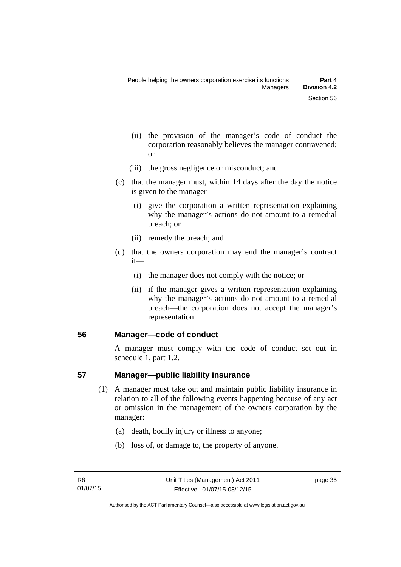- (ii) the provision of the manager's code of conduct the corporation reasonably believes the manager contravened; or
- (iii) the gross negligence or misconduct; and
- (c) that the manager must, within 14 days after the day the notice is given to the manager—
	- (i) give the corporation a written representation explaining why the manager's actions do not amount to a remedial breach; or
	- (ii) remedy the breach; and
- (d) that the owners corporation may end the manager's contract if—
	- (i) the manager does not comply with the notice; or
	- (ii) if the manager gives a written representation explaining why the manager's actions do not amount to a remedial breach—the corporation does not accept the manager's representation.

#### **56 Manager—code of conduct**

A manager must comply with the code of conduct set out in schedule 1, part 1.2.

#### **57 Manager—public liability insurance**

- (1) A manager must take out and maintain public liability insurance in relation to all of the following events happening because of any act or omission in the management of the owners corporation by the manager:
	- (a) death, bodily injury or illness to anyone;
	- (b) loss of, or damage to, the property of anyone.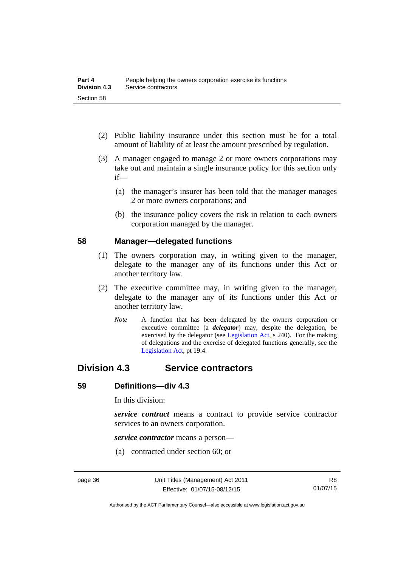- (2) Public liability insurance under this section must be for a total amount of liability of at least the amount prescribed by regulation.
- (3) A manager engaged to manage 2 or more owners corporations may take out and maintain a single insurance policy for this section only if—
	- (a) the manager's insurer has been told that the manager manages 2 or more owners corporations; and
	- (b) the insurance policy covers the risk in relation to each owners corporation managed by the manager.

#### **58 Manager—delegated functions**

- (1) The owners corporation may, in writing given to the manager, delegate to the manager any of its functions under this Act or another territory law.
- (2) The executive committee may, in writing given to the manager, delegate to the manager any of its functions under this Act or another territory law.
	- *Note* A function that has been delegated by the owners corporation or executive committee (a *delegator*) may, despite the delegation, be exercised by the delegator (see [Legislation Act,](http://www.legislation.act.gov.au/a/2001-14) s 240). For the making of delegations and the exercise of delegated functions generally, see the [Legislation Act,](http://www.legislation.act.gov.au/a/2001-14) pt 19.4.

## **Division 4.3 Service contractors**

#### **59 Definitions—div 4.3**

In this division:

*service contract* means a contract to provide service contractor services to an owners corporation.

*service contractor* means a person—

(a) contracted under section 60; or

Authorised by the ACT Parliamentary Counsel—also accessible at www.legislation.act.gov.au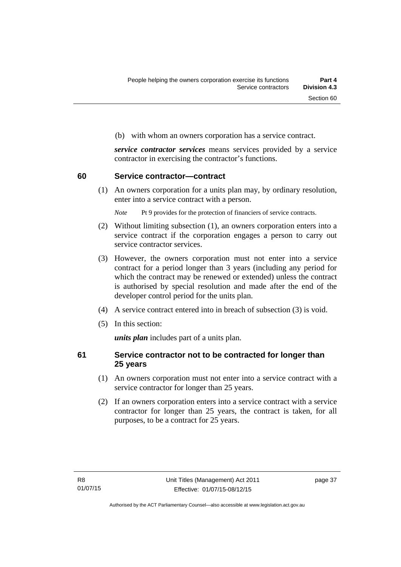(b) with whom an owners corporation has a service contract.

*service contractor services* means services provided by a service contractor in exercising the contractor's functions.

#### **60 Service contractor—contract**

(1) An owners corporation for a units plan may, by ordinary resolution, enter into a service contract with a person.

*Note* Pt 9 provides for the protection of financiers of service contracts.

- (2) Without limiting subsection (1), an owners corporation enters into a service contract if the corporation engages a person to carry out service contractor services.
- (3) However, the owners corporation must not enter into a service contract for a period longer than 3 years (including any period for which the contract may be renewed or extended) unless the contract is authorised by special resolution and made after the end of the developer control period for the units plan.
- (4) A service contract entered into in breach of subsection (3) is void.
- (5) In this section:

*units plan* includes part of a units plan.

#### **61 Service contractor not to be contracted for longer than 25 years**

- (1) An owners corporation must not enter into a service contract with a service contractor for longer than 25 years.
- (2) If an owners corporation enters into a service contract with a service contractor for longer than 25 years, the contract is taken, for all purposes, to be a contract for 25 years.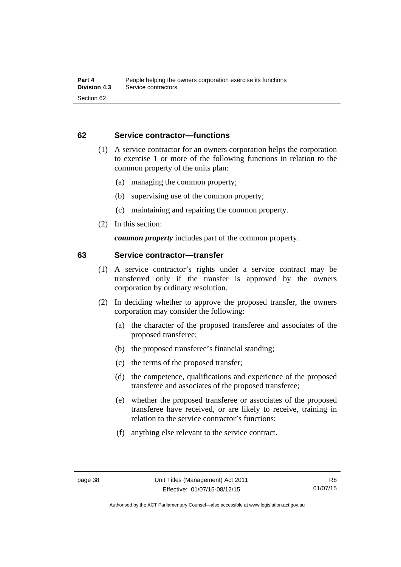### **62 Service contractor—functions**

- (1) A service contractor for an owners corporation helps the corporation to exercise 1 or more of the following functions in relation to the common property of the units plan:
	- (a) managing the common property;
	- (b) supervising use of the common property;
	- (c) maintaining and repairing the common property.
- (2) In this section:

*common property* includes part of the common property.

#### **63 Service contractor—transfer**

- (1) A service contractor's rights under a service contract may be transferred only if the transfer is approved by the owners corporation by ordinary resolution.
- (2) In deciding whether to approve the proposed transfer, the owners corporation may consider the following:
	- (a) the character of the proposed transferee and associates of the proposed transferee;
	- (b) the proposed transferee's financial standing;
	- (c) the terms of the proposed transfer;
	- (d) the competence, qualifications and experience of the proposed transferee and associates of the proposed transferee;
	- (e) whether the proposed transferee or associates of the proposed transferee have received, or are likely to receive, training in relation to the service contractor's functions;
	- (f) anything else relevant to the service contract.

Authorised by the ACT Parliamentary Counsel—also accessible at www.legislation.act.gov.au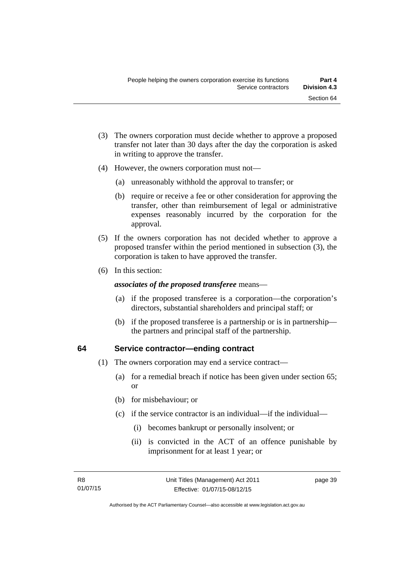- (3) The owners corporation must decide whether to approve a proposed transfer not later than 30 days after the day the corporation is asked in writing to approve the transfer.
- (4) However, the owners corporation must not—
	- (a) unreasonably withhold the approval to transfer; or
	- (b) require or receive a fee or other consideration for approving the transfer, other than reimbursement of legal or administrative expenses reasonably incurred by the corporation for the approval.
- (5) If the owners corporation has not decided whether to approve a proposed transfer within the period mentioned in subsection (3), the corporation is taken to have approved the transfer.
- (6) In this section:

#### *associates of the proposed transferee* means—

- (a) if the proposed transferee is a corporation—the corporation's directors, substantial shareholders and principal staff; or
- (b) if the proposed transferee is a partnership or is in partnership the partners and principal staff of the partnership.

#### **64 Service contractor—ending contract**

- (1) The owners corporation may end a service contract—
	- (a) for a remedial breach if notice has been given under section 65; or
	- (b) for misbehaviour; or
	- (c) if the service contractor is an individual—if the individual—
		- (i) becomes bankrupt or personally insolvent; or
		- (ii) is convicted in the ACT of an offence punishable by imprisonment for at least 1 year; or

page 39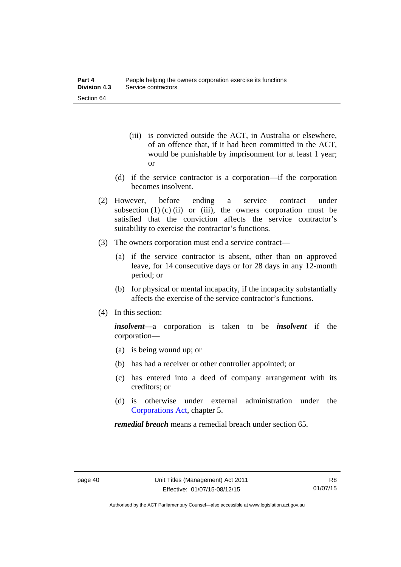- (iii) is convicted outside the ACT, in Australia or elsewhere, of an offence that, if it had been committed in the ACT, would be punishable by imprisonment for at least 1 year; or
- (d) if the service contractor is a corporation—if the corporation becomes insolvent.
- (2) However, before ending a service contract under subsection  $(1)$  (c)  $(ii)$  or  $(iii)$ , the owners corporation must be satisfied that the conviction affects the service contractor's suitability to exercise the contractor's functions.
- (3) The owners corporation must end a service contract—
	- (a) if the service contractor is absent, other than on approved leave, for 14 consecutive days or for 28 days in any 12-month period; or
	- (b) for physical or mental incapacity, if the incapacity substantially affects the exercise of the service contractor's functions.
- (4) In this section:

*insolvent—*a corporation is taken to be *insolvent* if the corporation—

- (a) is being wound up; or
- (b) has had a receiver or other controller appointed; or
- (c) has entered into a deed of company arrangement with its creditors; or
- (d) is otherwise under external administration under the [Corporations Act,](http://www.comlaw.gov.au/Series/C2004A00818) chapter 5.

*remedial breach* means a remedial breach under section 65.

Authorised by the ACT Parliamentary Counsel—also accessible at www.legislation.act.gov.au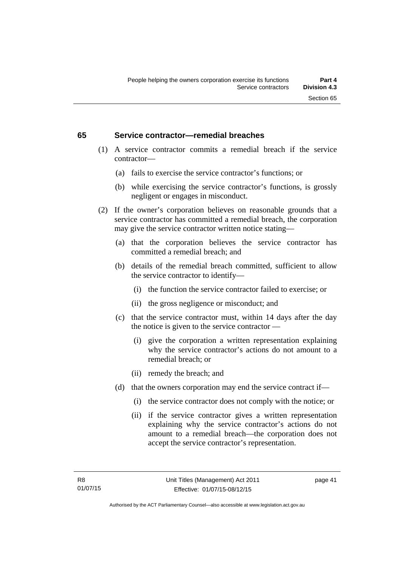#### **65 Service contractor—remedial breaches**

- (1) A service contractor commits a remedial breach if the service contractor—
	- (a) fails to exercise the service contractor's functions; or
	- (b) while exercising the service contractor's functions, is grossly negligent or engages in misconduct.
- (2) If the owner's corporation believes on reasonable grounds that a service contractor has committed a remedial breach, the corporation may give the service contractor written notice stating—
	- (a) that the corporation believes the service contractor has committed a remedial breach; and
	- (b) details of the remedial breach committed, sufficient to allow the service contractor to identify—
		- (i) the function the service contractor failed to exercise; or
		- (ii) the gross negligence or misconduct; and
	- (c) that the service contractor must, within 14 days after the day the notice is given to the service contractor —
		- (i) give the corporation a written representation explaining why the service contractor's actions do not amount to a remedial breach; or
		- (ii) remedy the breach; and
	- (d) that the owners corporation may end the service contract if—
		- (i) the service contractor does not comply with the notice; or
		- (ii) if the service contractor gives a written representation explaining why the service contractor's actions do not amount to a remedial breach—the corporation does not accept the service contractor's representation.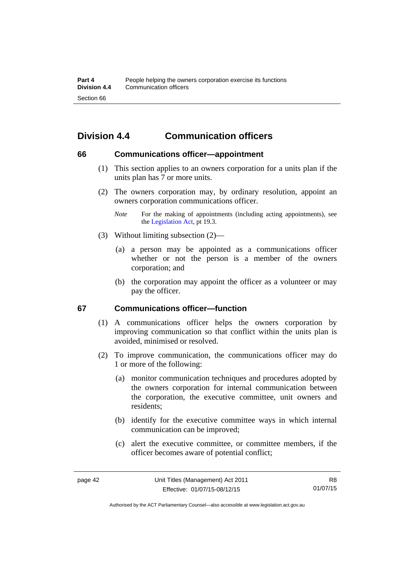# **Division 4.4 Communication officers**

#### **66 Communications officer—appointment**

- (1) This section applies to an owners corporation for a units plan if the units plan has 7 or more units.
- (2) The owners corporation may, by ordinary resolution, appoint an owners corporation communications officer.
	- *Note* For the making of appointments (including acting appointments), see the [Legislation Act,](http://www.legislation.act.gov.au/a/2001-14) pt 19.3.
- (3) Without limiting subsection (2)—
	- (a) a person may be appointed as a communications officer whether or not the person is a member of the owners corporation; and
	- (b) the corporation may appoint the officer as a volunteer or may pay the officer.

#### **67 Communications officer—function**

- (1) A communications officer helps the owners corporation by improving communication so that conflict within the units plan is avoided, minimised or resolved.
- (2) To improve communication, the communications officer may do 1 or more of the following:
	- (a) monitor communication techniques and procedures adopted by the owners corporation for internal communication between the corporation, the executive committee, unit owners and residents;
	- (b) identify for the executive committee ways in which internal communication can be improved;
	- (c) alert the executive committee, or committee members, if the officer becomes aware of potential conflict;

Authorised by the ACT Parliamentary Counsel—also accessible at www.legislation.act.gov.au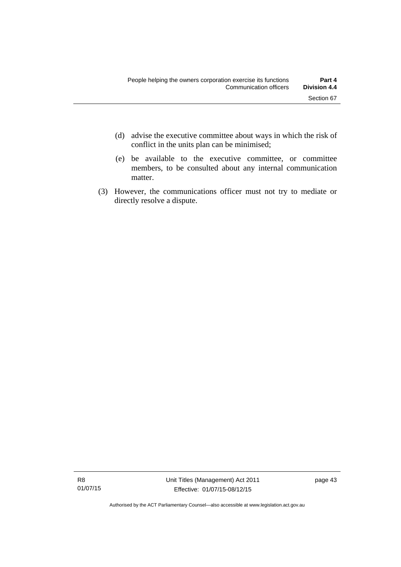- (d) advise the executive committee about ways in which the risk of conflict in the units plan can be minimised;
- (e) be available to the executive committee, or committee members, to be consulted about any internal communication matter.
- (3) However, the communications officer must not try to mediate or directly resolve a dispute.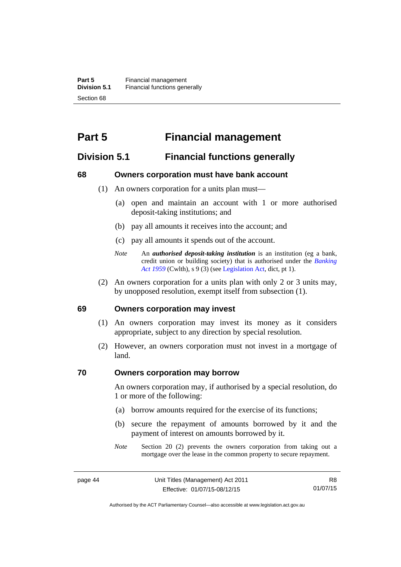# **Part 5 Financial management**

## **Division 5.1 Financial functions generally**

#### **68 Owners corporation must have bank account**

- (1) An owners corporation for a units plan must—
	- (a) open and maintain an account with 1 or more authorised deposit-taking institutions; and
	- (b) pay all amounts it receives into the account; and
	- (c) pay all amounts it spends out of the account.
	- *Note* An *authorised deposit-taking institution* is an institution (eg a bank, credit union or building society) that is authorised under the *[Banking](http://www.comlaw.gov.au/Details/C2012C00911)  [Act 1959](http://www.comlaw.gov.au/Details/C2012C00911)* (Cwlth), s 9 (3) (see [Legislation Act,](http://www.legislation.act.gov.au/a/2001-14) dict, pt 1).
- (2) An owners corporation for a units plan with only 2 or 3 units may, by unopposed resolution, exempt itself from subsection (1).

#### **69 Owners corporation may invest**

- (1) An owners corporation may invest its money as it considers appropriate, subject to any direction by special resolution.
- (2) However, an owners corporation must not invest in a mortgage of land.

#### **70 Owners corporation may borrow**

An owners corporation may, if authorised by a special resolution, do 1 or more of the following:

- (a) borrow amounts required for the exercise of its functions;
- (b) secure the repayment of amounts borrowed by it and the payment of interest on amounts borrowed by it.
- *Note* Section 20 (2) prevents the owners corporation from taking out a mortgage over the lease in the common property to secure repayment.

R8 01/07/15

Authorised by the ACT Parliamentary Counsel—also accessible at www.legislation.act.gov.au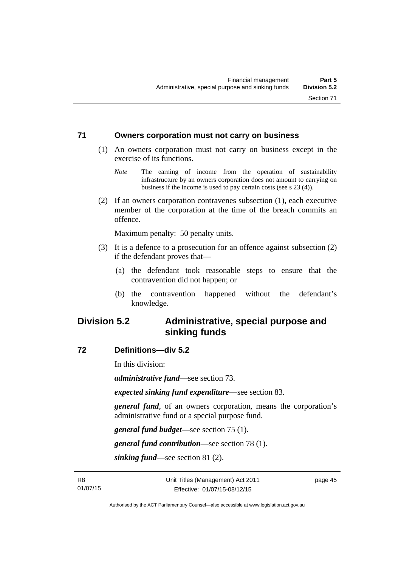#### **71 Owners corporation must not carry on business**

- (1) An owners corporation must not carry on business except in the exercise of its functions.
	- *Note* The earning of income from the operation of sustainability infrastructure by an owners corporation does not amount to carrying on business if the income is used to pay certain costs (see s 23 (4)).
- (2) If an owners corporation contravenes subsection (1), each executive member of the corporation at the time of the breach commits an offence.

Maximum penalty: 50 penalty units.

- (3) It is a defence to a prosecution for an offence against subsection (2) if the defendant proves that—
	- (a) the defendant took reasonable steps to ensure that the contravention did not happen; or
	- (b) the contravention happened without the defendant's knowledge.

## **Division 5.2 Administrative, special purpose and sinking funds**

#### **72 Definitions—div 5.2**

In this division:

*administrative fund*—see section 73.

*expected sinking fund expenditure*—see section 83.

*general fund*, of an owners corporation, means the corporation's administrative fund or a special purpose fund.

*general fund budget*—see section 75 (1).

*general fund contribution*—see section 78 (1).

*sinking fund*—see section 81 (2).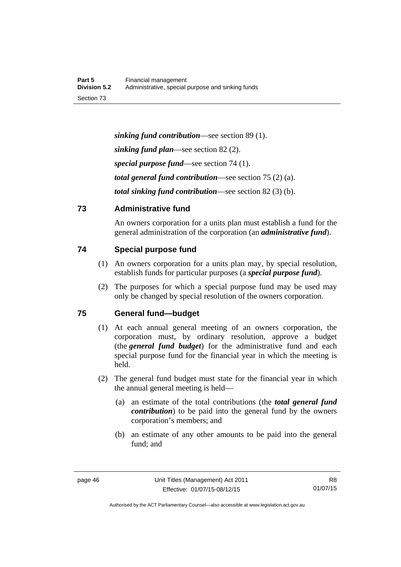*sinking fund contribution*—see section 89 (1). *sinking fund plan*—see section 82 (2). *special purpose fund*—see section 74 (1). *total general fund contribution*—see section 75 (2) (a). *total sinking fund contribution*—see section 82 (3) (b).

## **73 Administrative fund**

An owners corporation for a units plan must establish a fund for the general administration of the corporation (an *administrative fund*).

## **74 Special purpose fund**

- (1) An owners corporation for a units plan may, by special resolution, establish funds for particular purposes (a *special purpose fund*).
- (2) The purposes for which a special purpose fund may be used may only be changed by special resolution of the owners corporation.

## **75 General fund—budget**

- (1) At each annual general meeting of an owners corporation, the corporation must, by ordinary resolution, approve a budget (the *general fund budget*) for the administrative fund and each special purpose fund for the financial year in which the meeting is held.
- (2) The general fund budget must state for the financial year in which the annual general meeting is held—
	- (a) an estimate of the total contributions (the *total general fund contribution*) to be paid into the general fund by the owners corporation's members; and
	- (b) an estimate of any other amounts to be paid into the general fund; and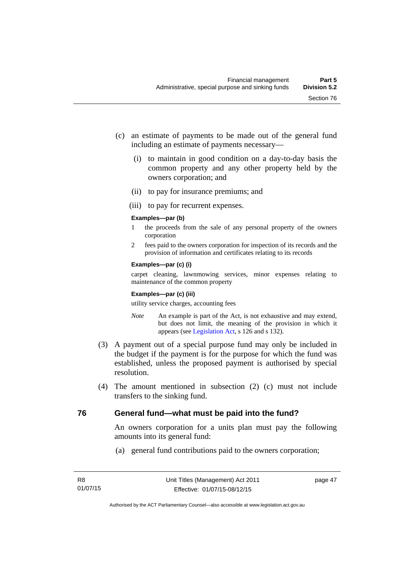- (c) an estimate of payments to be made out of the general fund including an estimate of payments necessary—
	- (i) to maintain in good condition on a day-to-day basis the common property and any other property held by the owners corporation; and
	- (ii) to pay for insurance premiums; and
	- (iii) to pay for recurrent expenses.

#### **Examples—par (b)**

- 1 the proceeds from the sale of any personal property of the owners corporation
- 2 fees paid to the owners corporation for inspection of its records and the provision of information and certificates relating to its records

#### **Examples—par (c) (i)**

carpet cleaning, lawnmowing services, minor expenses relating to maintenance of the common property

#### **Examples—par (c) (iii)**

utility service charges, accounting fees

- *Note* An example is part of the Act, is not exhaustive and may extend, but does not limit, the meaning of the provision in which it appears (see [Legislation Act,](http://www.legislation.act.gov.au/a/2001-14) s 126 and s 132).
- (3) A payment out of a special purpose fund may only be included in the budget if the payment is for the purpose for which the fund was established, unless the proposed payment is authorised by special resolution.
- (4) The amount mentioned in subsection (2) (c) must not include transfers to the sinking fund.

## **76 General fund—what must be paid into the fund?**

An owners corporation for a units plan must pay the following amounts into its general fund:

(a) general fund contributions paid to the owners corporation;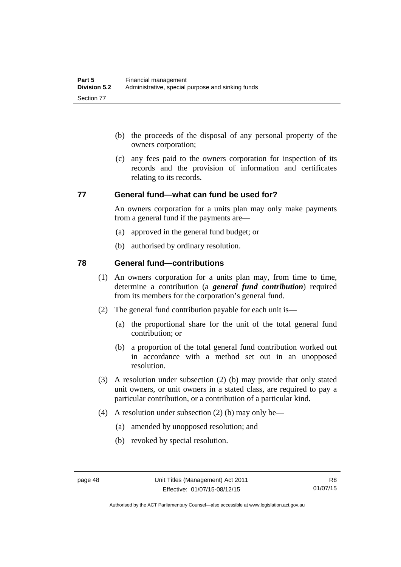- (b) the proceeds of the disposal of any personal property of the owners corporation;
- (c) any fees paid to the owners corporation for inspection of its records and the provision of information and certificates relating to its records.

#### **77 General fund—what can fund be used for?**

An owners corporation for a units plan may only make payments from a general fund if the payments are—

- (a) approved in the general fund budget; or
- (b) authorised by ordinary resolution.

### **78 General fund—contributions**

- (1) An owners corporation for a units plan may, from time to time, determine a contribution (a *general fund contribution*) required from its members for the corporation's general fund.
- (2) The general fund contribution payable for each unit is—
	- (a) the proportional share for the unit of the total general fund contribution; or
	- (b) a proportion of the total general fund contribution worked out in accordance with a method set out in an unopposed resolution.
- (3) A resolution under subsection (2) (b) may provide that only stated unit owners, or unit owners in a stated class, are required to pay a particular contribution, or a contribution of a particular kind.
- (4) A resolution under subsection (2) (b) may only be—
	- (a) amended by unopposed resolution; and
	- (b) revoked by special resolution.

Authorised by the ACT Parliamentary Counsel—also accessible at www.legislation.act.gov.au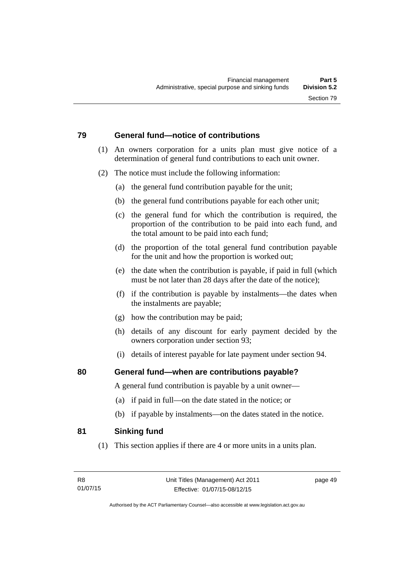## **79 General fund—notice of contributions**

- (1) An owners corporation for a units plan must give notice of a determination of general fund contributions to each unit owner.
- (2) The notice must include the following information:
	- (a) the general fund contribution payable for the unit;
	- (b) the general fund contributions payable for each other unit;
	- (c) the general fund for which the contribution is required, the proportion of the contribution to be paid into each fund, and the total amount to be paid into each fund;
	- (d) the proportion of the total general fund contribution payable for the unit and how the proportion is worked out;
	- (e) the date when the contribution is payable, if paid in full (which must be not later than 28 days after the date of the notice);
	- (f) if the contribution is payable by instalments—the dates when the instalments are payable;
	- (g) how the contribution may be paid;
	- (h) details of any discount for early payment decided by the owners corporation under section 93;
	- (i) details of interest payable for late payment under section 94.

## **80 General fund—when are contributions payable?**

A general fund contribution is payable by a unit owner—

- (a) if paid in full—on the date stated in the notice; or
- (b) if payable by instalments—on the dates stated in the notice.

## **81 Sinking fund**

(1) This section applies if there are 4 or more units in a units plan.

page 49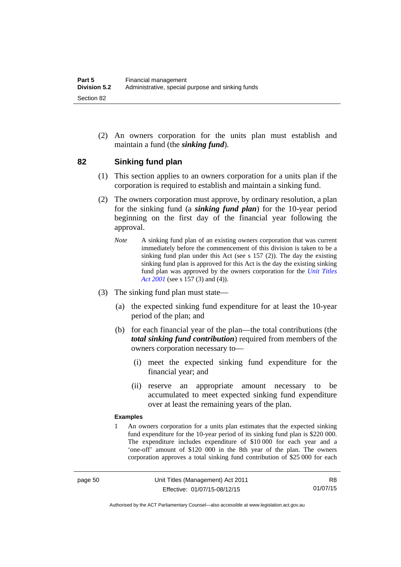(2) An owners corporation for the units plan must establish and maintain a fund (the *sinking fund*).

### **82 Sinking fund plan**

- (1) This section applies to an owners corporation for a units plan if the corporation is required to establish and maintain a sinking fund.
- (2) The owners corporation must approve, by ordinary resolution, a plan for the sinking fund (a *sinking fund plan*) for the 10-year period beginning on the first day of the financial year following the approval.
	- *Note* A sinking fund plan of an existing owners corporation that was current immediately before the commencement of this division is taken to be a sinking fund plan under this Act (see s 157 (2)). The day the existing sinking fund plan is approved for this Act is the day the existing sinking fund plan was approved by the owners corporation for the *[Unit Titles](http://www.legislation.act.gov.au/a/2001-16)  [Act 2001](http://www.legislation.act.gov.au/a/2001-16)* (see s 157 (3) and (4)).
- (3) The sinking fund plan must state—
	- (a) the expected sinking fund expenditure for at least the 10-year period of the plan; and
	- (b) for each financial year of the plan—the total contributions (the *total sinking fund contribution*) required from members of the owners corporation necessary to—
		- (i) meet the expected sinking fund expenditure for the financial year; and
		- (ii) reserve an appropriate amount necessary to be accumulated to meet expected sinking fund expenditure over at least the remaining years of the plan.

#### **Examples**

1 An owners corporation for a units plan estimates that the expected sinking fund expenditure for the 10-year period of its sinking fund plan is \$220 000. The expenditure includes expenditure of \$10 000 for each year and a 'one-off' amount of \$120 000 in the 8th year of the plan. The owners corporation approves a total sinking fund contribution of \$25 000 for each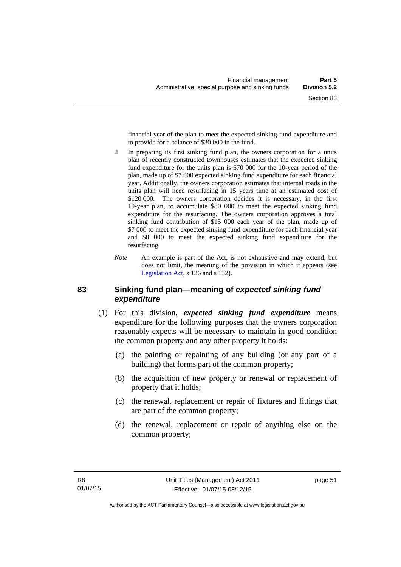financial year of the plan to meet the expected sinking fund expenditure and to provide for a balance of \$30 000 in the fund.

- 2 In preparing its first sinking fund plan, the owners corporation for a units plan of recently constructed townhouses estimates that the expected sinking fund expenditure for the units plan is \$70 000 for the 10-year period of the plan, made up of \$7 000 expected sinking fund expenditure for each financial year. Additionally, the owners corporation estimates that internal roads in the units plan will need resurfacing in 15 years time at an estimated cost of \$120,000. The owners corporation decides it is necessary, in the first 10-year plan, to accumulate \$80 000 to meet the expected sinking fund expenditure for the resurfacing. The owners corporation approves a total sinking fund contribution of \$15 000 each year of the plan, made up of \$7 000 to meet the expected sinking fund expenditure for each financial year and \$8 000 to meet the expected sinking fund expenditure for the resurfacing.
- *Note* An example is part of the Act, is not exhaustive and may extend, but does not limit, the meaning of the provision in which it appears (see [Legislation Act,](http://www.legislation.act.gov.au/a/2001-14) s 126 and s 132).

### **83 Sinking fund plan—meaning of** *expected sinking fund expenditure*

- (1) For this division, *expected sinking fund expenditure* means expenditure for the following purposes that the owners corporation reasonably expects will be necessary to maintain in good condition the common property and any other property it holds:
	- (a) the painting or repainting of any building (or any part of a building) that forms part of the common property;
	- (b) the acquisition of new property or renewal or replacement of property that it holds;
	- (c) the renewal, replacement or repair of fixtures and fittings that are part of the common property;
	- (d) the renewal, replacement or repair of anything else on the common property;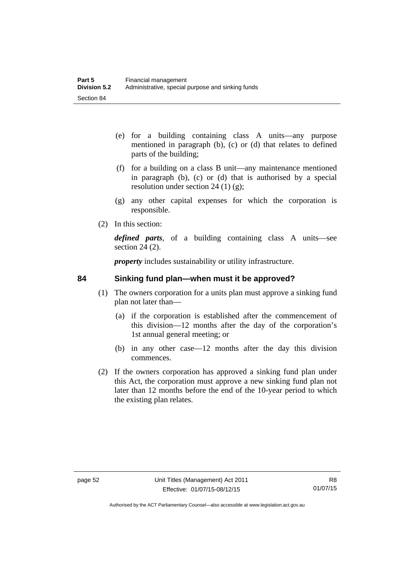- (e) for a building containing class A units—any purpose mentioned in paragraph (b), (c) or (d) that relates to defined parts of the building;
- (f) for a building on a class B unit—any maintenance mentioned in paragraph (b), (c) or (d) that is authorised by a special resolution under section 24 (1)  $(g)$ ;
- (g) any other capital expenses for which the corporation is responsible.
- (2) In this section:

*defined parts*, of a building containing class A units—see section 24 (2).

*property* includes sustainability or utility infrastructure.

## **84 Sinking fund plan—when must it be approved?**

- (1) The owners corporation for a units plan must approve a sinking fund plan not later than—
	- (a) if the corporation is established after the commencement of this division—12 months after the day of the corporation's 1st annual general meeting; or
	- (b) in any other case—12 months after the day this division commences.
- (2) If the owners corporation has approved a sinking fund plan under this Act, the corporation must approve a new sinking fund plan not later than 12 months before the end of the 10-year period to which the existing plan relates.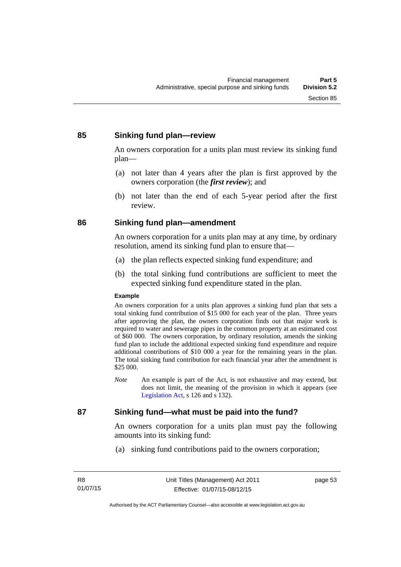## **85 Sinking fund plan—review**

An owners corporation for a units plan must review its sinking fund plan—

- (a) not later than 4 years after the plan is first approved by the owners corporation (the *first review*); and
- (b) not later than the end of each 5-year period after the first review.

### **86 Sinking fund plan—amendment**

An owners corporation for a units plan may at any time, by ordinary resolution, amend its sinking fund plan to ensure that—

- (a) the plan reflects expected sinking fund expenditure; and
- (b) the total sinking fund contributions are sufficient to meet the expected sinking fund expenditure stated in the plan.

#### **Example**

An owners corporation for a units plan approves a sinking fund plan that sets a total sinking fund contribution of \$15 000 for each year of the plan. Three years after approving the plan, the owners corporation finds out that major work is required to water and sewerage pipes in the common property at an estimated cost of \$60 000. The owners corporation, by ordinary resolution, amends the sinking fund plan to include the additional expected sinking fund expenditure and require additional contributions of \$10 000 a year for the remaining years in the plan. The total sinking fund contribution for each financial year after the amendment is \$25 000.

*Note* An example is part of the Act, is not exhaustive and may extend, but does not limit, the meaning of the provision in which it appears (see [Legislation Act,](http://www.legislation.act.gov.au/a/2001-14) s 126 and s 132).

## **87 Sinking fund—what must be paid into the fund?**

An owners corporation for a units plan must pay the following amounts into its sinking fund:

(a) sinking fund contributions paid to the owners corporation;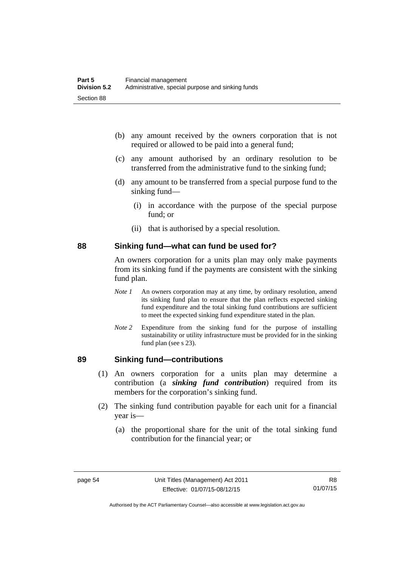- (b) any amount received by the owners corporation that is not required or allowed to be paid into a general fund;
- (c) any amount authorised by an ordinary resolution to be transferred from the administrative fund to the sinking fund;
- (d) any amount to be transferred from a special purpose fund to the sinking fund—
	- (i) in accordance with the purpose of the special purpose fund; or
	- (ii) that is authorised by a special resolution.

#### **88 Sinking fund—what can fund be used for?**

An owners corporation for a units plan may only make payments from its sinking fund if the payments are consistent with the sinking fund plan.

- *Note 1* An owners corporation may at any time, by ordinary resolution, amend its sinking fund plan to ensure that the plan reflects expected sinking fund expenditure and the total sinking fund contributions are sufficient to meet the expected sinking fund expenditure stated in the plan.
- *Note 2* Expenditure from the sinking fund for the purpose of installing sustainability or utility infrastructure must be provided for in the sinking fund plan (see s 23).

### **89 Sinking fund—contributions**

- (1) An owners corporation for a units plan may determine a contribution (a *sinking fund contribution*) required from its members for the corporation's sinking fund.
- (2) The sinking fund contribution payable for each unit for a financial year is—
	- (a) the proportional share for the unit of the total sinking fund contribution for the financial year; or

Authorised by the ACT Parliamentary Counsel—also accessible at www.legislation.act.gov.au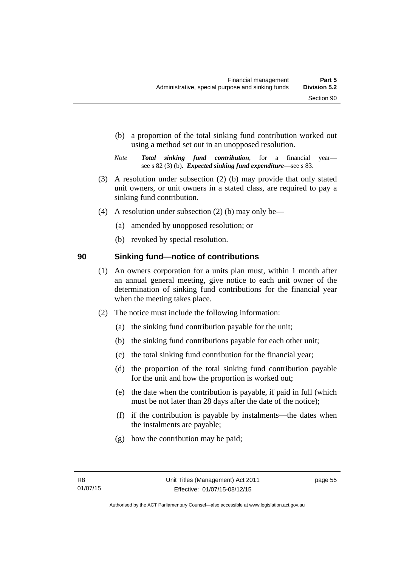- (b) a proportion of the total sinking fund contribution worked out using a method set out in an unopposed resolution.
- *Note Total sinking fund contribution*, for a financial year see s 82 (3) (b). *Expected sinking fund expenditure*—see s 83.
- (3) A resolution under subsection (2) (b) may provide that only stated unit owners, or unit owners in a stated class, are required to pay a sinking fund contribution.
- (4) A resolution under subsection (2) (b) may only be—
	- (a) amended by unopposed resolution; or
	- (b) revoked by special resolution.

## **90 Sinking fund—notice of contributions**

- (1) An owners corporation for a units plan must, within 1 month after an annual general meeting, give notice to each unit owner of the determination of sinking fund contributions for the financial year when the meeting takes place.
- (2) The notice must include the following information:
	- (a) the sinking fund contribution payable for the unit;
	- (b) the sinking fund contributions payable for each other unit;
	- (c) the total sinking fund contribution for the financial year;
	- (d) the proportion of the total sinking fund contribution payable for the unit and how the proportion is worked out;
	- (e) the date when the contribution is payable, if paid in full (which must be not later than 28 days after the date of the notice);
	- (f) if the contribution is payable by instalments—the dates when the instalments are payable;
	- (g) how the contribution may be paid;

page 55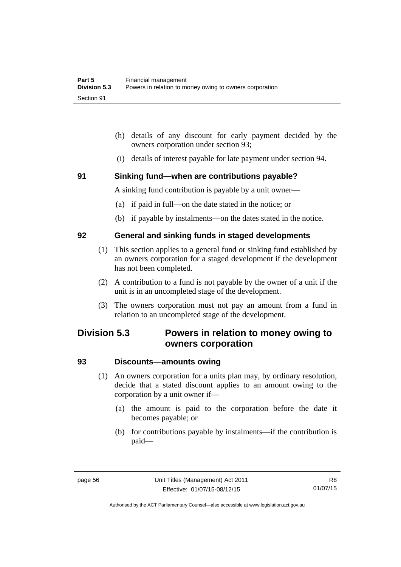- (h) details of any discount for early payment decided by the owners corporation under section 93;
- (i) details of interest payable for late payment under section 94.

#### **91 Sinking fund—when are contributions payable?**

A sinking fund contribution is payable by a unit owner—

- (a) if paid in full—on the date stated in the notice; or
- (b) if payable by instalments—on the dates stated in the notice.

#### **92 General and sinking funds in staged developments**

- (1) This section applies to a general fund or sinking fund established by an owners corporation for a staged development if the development has not been completed.
- (2) A contribution to a fund is not payable by the owner of a unit if the unit is in an uncompleted stage of the development.
- (3) The owners corporation must not pay an amount from a fund in relation to an uncompleted stage of the development.

# **Division 5.3 Powers in relation to money owing to owners corporation**

### **93 Discounts—amounts owing**

- (1) An owners corporation for a units plan may, by ordinary resolution, decide that a stated discount applies to an amount owing to the corporation by a unit owner if—
	- (a) the amount is paid to the corporation before the date it becomes payable; or
	- (b) for contributions payable by instalments—if the contribution is paid—

Authorised by the ACT Parliamentary Counsel—also accessible at www.legislation.act.gov.au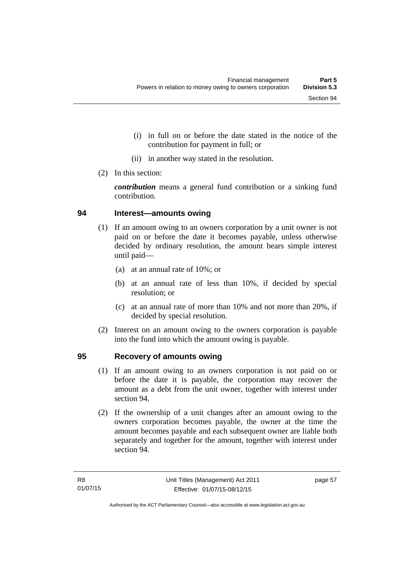- (i) in full on or before the date stated in the notice of the contribution for payment in full; or
- (ii) in another way stated in the resolution.
- (2) In this section:

*contribution* means a general fund contribution or a sinking fund contribution.

#### **94 Interest—amounts owing**

- (1) If an amount owing to an owners corporation by a unit owner is not paid on or before the date it becomes payable, unless otherwise decided by ordinary resolution, the amount bears simple interest until paid—
	- (a) at an annual rate of 10%; or
	- (b) at an annual rate of less than 10%, if decided by special resolution; or
	- (c) at an annual rate of more than 10% and not more than 20%, if decided by special resolution.
- (2) Interest on an amount owing to the owners corporation is payable into the fund into which the amount owing is payable.

#### **95 Recovery of amounts owing**

- (1) If an amount owing to an owners corporation is not paid on or before the date it is payable, the corporation may recover the amount as a debt from the unit owner, together with interest under section 94.
- (2) If the ownership of a unit changes after an amount owing to the owners corporation becomes payable, the owner at the time the amount becomes payable and each subsequent owner are liable both separately and together for the amount, together with interest under section 94.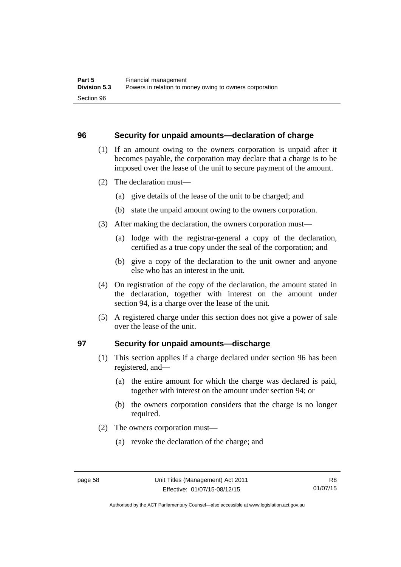#### **96 Security for unpaid amounts—declaration of charge**

- (1) If an amount owing to the owners corporation is unpaid after it becomes payable, the corporation may declare that a charge is to be imposed over the lease of the unit to secure payment of the amount.
- (2) The declaration must—
	- (a) give details of the lease of the unit to be charged; and
	- (b) state the unpaid amount owing to the owners corporation.
- (3) After making the declaration, the owners corporation must—
	- (a) lodge with the registrar-general a copy of the declaration, certified as a true copy under the seal of the corporation; and
	- (b) give a copy of the declaration to the unit owner and anyone else who has an interest in the unit.
- (4) On registration of the copy of the declaration, the amount stated in the declaration, together with interest on the amount under section 94, is a charge over the lease of the unit.
- (5) A registered charge under this section does not give a power of sale over the lease of the unit.

#### **97 Security for unpaid amounts—discharge**

- (1) This section applies if a charge declared under section 96 has been registered, and—
	- (a) the entire amount for which the charge was declared is paid, together with interest on the amount under section 94; or
	- (b) the owners corporation considers that the charge is no longer required.
- (2) The owners corporation must—
	- (a) revoke the declaration of the charge; and

Authorised by the ACT Parliamentary Counsel—also accessible at www.legislation.act.gov.au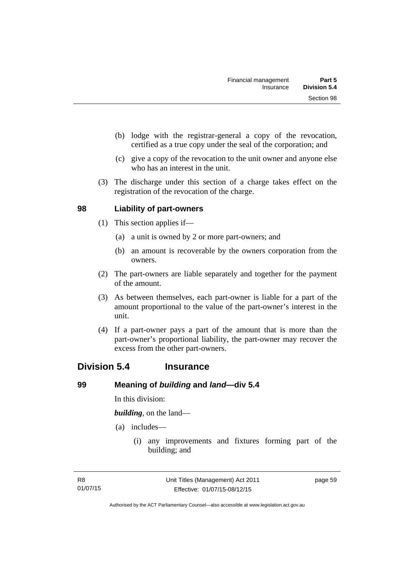- (b) lodge with the registrar-general a copy of the revocation, certified as a true copy under the seal of the corporation; and
- (c) give a copy of the revocation to the unit owner and anyone else who has an interest in the unit.
- (3) The discharge under this section of a charge takes effect on the registration of the revocation of the charge.

### **98 Liability of part-owners**

- (1) This section applies if—
	- (a) a unit is owned by 2 or more part-owners; and
	- (b) an amount is recoverable by the owners corporation from the owners.
- (2) The part-owners are liable separately and together for the payment of the amount.
- (3) As between themselves, each part-owner is liable for a part of the amount proportional to the value of the part-owner's interest in the unit.
- (4) If a part-owner pays a part of the amount that is more than the part-owner's proportional liability, the part-owner may recover the excess from the other part-owners.

## **Division 5.4 Insurance**

#### **99 Meaning of** *building* **and** *land***—div 5.4**

In this division:

*building*, on the land—

- (a) includes—
	- (i) any improvements and fixtures forming part of the building; and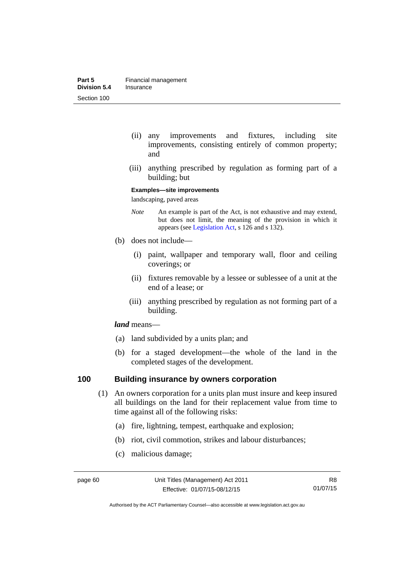- (ii) any improvements and fixtures, including site improvements, consisting entirely of common property; and
- (iii) anything prescribed by regulation as forming part of a building; but

#### **Examples—site improvements**

landscaping, paved areas

- *Note* An example is part of the Act, is not exhaustive and may extend, but does not limit, the meaning of the provision in which it appears (see [Legislation Act,](http://www.legislation.act.gov.au/a/2001-14) s 126 and s 132).
- (b) does not include—
	- (i) paint, wallpaper and temporary wall, floor and ceiling coverings; or
	- (ii) fixtures removable by a lessee or sublessee of a unit at the end of a lease; or
	- (iii) anything prescribed by regulation as not forming part of a building.

#### *land* means—

- (a) land subdivided by a units plan; and
- (b) for a staged development—the whole of the land in the completed stages of the development.

### **100 Building insurance by owners corporation**

- (1) An owners corporation for a units plan must insure and keep insured all buildings on the land for their replacement value from time to time against all of the following risks:
	- (a) fire, lightning, tempest, earthquake and explosion;
	- (b) riot, civil commotion, strikes and labour disturbances;
	- (c) malicious damage;

Authorised by the ACT Parliamentary Counsel—also accessible at www.legislation.act.gov.au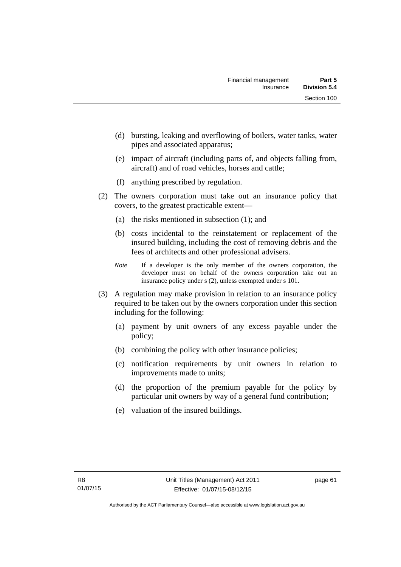- (d) bursting, leaking and overflowing of boilers, water tanks, water pipes and associated apparatus;
- (e) impact of aircraft (including parts of, and objects falling from, aircraft) and of road vehicles, horses and cattle;
- (f) anything prescribed by regulation.
- (2) The owners corporation must take out an insurance policy that covers, to the greatest practicable extent—
	- (a) the risks mentioned in subsection (1); and
	- (b) costs incidental to the reinstatement or replacement of the insured building, including the cost of removing debris and the fees of architects and other professional advisers.
	- *Note* If a developer is the only member of the owners corporation, the developer must on behalf of the owners corporation take out an insurance policy under s (2), unless exempted under s 101.
- (3) A regulation may make provision in relation to an insurance policy required to be taken out by the owners corporation under this section including for the following:
	- (a) payment by unit owners of any excess payable under the policy;
	- (b) combining the policy with other insurance policies;
	- (c) notification requirements by unit owners in relation to improvements made to units;
	- (d) the proportion of the premium payable for the policy by particular unit owners by way of a general fund contribution;
	- (e) valuation of the insured buildings.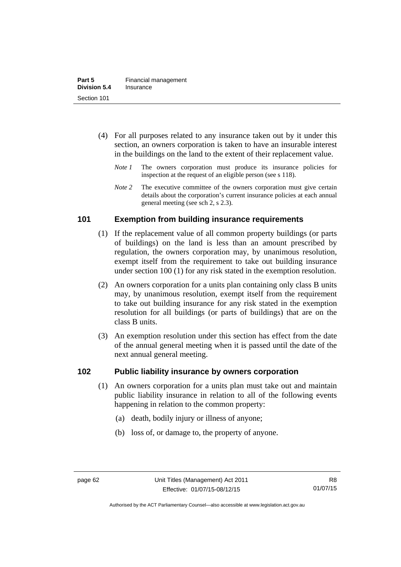- (4) For all purposes related to any insurance taken out by it under this section, an owners corporation is taken to have an insurable interest in the buildings on the land to the extent of their replacement value.
	- *Note 1* The owners corporation must produce its insurance policies for inspection at the request of an eligible person (see s 118).
	- *Note 2* The executive committee of the owners corporation must give certain details about the corporation's current insurance policies at each annual general meeting (see sch 2, s 2.3).

### **101 Exemption from building insurance requirements**

- (1) If the replacement value of all common property buildings (or parts of buildings) on the land is less than an amount prescribed by regulation, the owners corporation may, by unanimous resolution, exempt itself from the requirement to take out building insurance under section 100 (1) for any risk stated in the exemption resolution.
- (2) An owners corporation for a units plan containing only class B units may, by unanimous resolution, exempt itself from the requirement to take out building insurance for any risk stated in the exemption resolution for all buildings (or parts of buildings) that are on the class B units.
- (3) An exemption resolution under this section has effect from the date of the annual general meeting when it is passed until the date of the next annual general meeting.

#### **102 Public liability insurance by owners corporation**

- (1) An owners corporation for a units plan must take out and maintain public liability insurance in relation to all of the following events happening in relation to the common property:
	- (a) death, bodily injury or illness of anyone;
	- (b) loss of, or damage to, the property of anyone.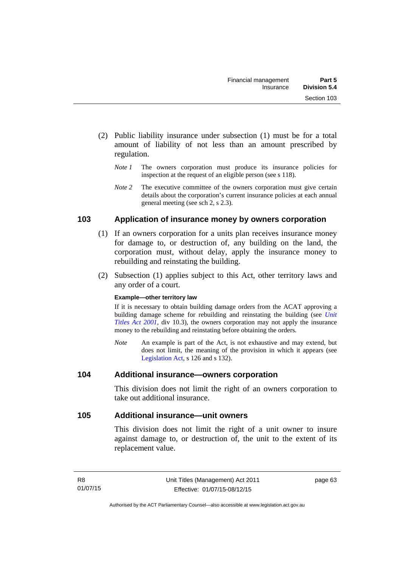- (2) Public liability insurance under subsection (1) must be for a total amount of liability of not less than an amount prescribed by regulation.
	- *Note 1* The owners corporation must produce its insurance policies for inspection at the request of an eligible person (see s 118).
	- *Note 2* The executive committee of the owners corporation must give certain details about the corporation's current insurance policies at each annual general meeting (see sch 2, s 2.3).

### **103 Application of insurance money by owners corporation**

- (1) If an owners corporation for a units plan receives insurance money for damage to, or destruction of, any building on the land, the corporation must, without delay, apply the insurance money to rebuilding and reinstating the building.
- (2) Subsection (1) applies subject to this Act, other territory laws and any order of a court.

#### **Example—other territory law**

If it is necessary to obtain building damage orders from the ACAT approving a building damage scheme for rebuilding and reinstating the building (see *[Unit](http://www.legislation.act.gov.au/a/2001-16)  [Titles Act 2001](http://www.legislation.act.gov.au/a/2001-16)*, div 10.3), the owners corporation may not apply the insurance money to the rebuilding and reinstating before obtaining the orders.

*Note* An example is part of the Act, is not exhaustive and may extend, but does not limit, the meaning of the provision in which it appears (see [Legislation Act,](http://www.legislation.act.gov.au/a/2001-14) s 126 and s 132).

#### **104 Additional insurance—owners corporation**

This division does not limit the right of an owners corporation to take out additional insurance.

#### **105 Additional insurance—unit owners**

This division does not limit the right of a unit owner to insure against damage to, or destruction of, the unit to the extent of its replacement value.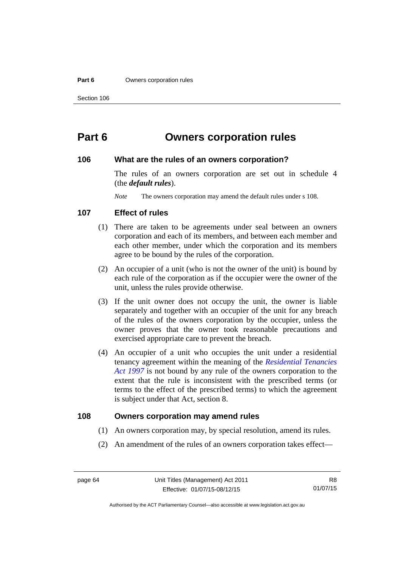#### **Part 6 Owners corporation rules**

## **Part 6 Owners corporation rules**

#### **106 What are the rules of an owners corporation?**

The rules of an owners corporation are set out in schedule 4 (the *default rules*).

*Note* The owners corporation may amend the default rules under s 108.

#### **107 Effect of rules**

- (1) There are taken to be agreements under seal between an owners corporation and each of its members, and between each member and each other member, under which the corporation and its members agree to be bound by the rules of the corporation.
- (2) An occupier of a unit (who is not the owner of the unit) is bound by each rule of the corporation as if the occupier were the owner of the unit, unless the rules provide otherwise.
- (3) If the unit owner does not occupy the unit, the owner is liable separately and together with an occupier of the unit for any breach of the rules of the owners corporation by the occupier, unless the owner proves that the owner took reasonable precautions and exercised appropriate care to prevent the breach.
- (4) An occupier of a unit who occupies the unit under a residential tenancy agreement within the meaning of the *[Residential Tenancies](http://www.legislation.act.gov.au/a/1997-84)  [Act 1997](http://www.legislation.act.gov.au/a/1997-84)* is not bound by any rule of the owners corporation to the extent that the rule is inconsistent with the prescribed terms (or terms to the effect of the prescribed terms) to which the agreement is subject under that Act, section 8.

#### **108 Owners corporation may amend rules**

- (1) An owners corporation may, by special resolution, amend its rules.
- (2) An amendment of the rules of an owners corporation takes effect—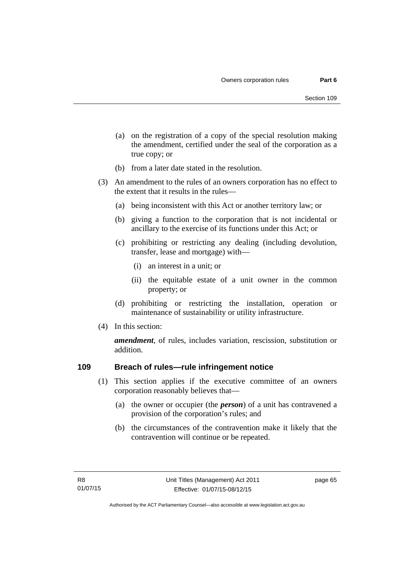- (a) on the registration of a copy of the special resolution making the amendment, certified under the seal of the corporation as a true copy; or
- (b) from a later date stated in the resolution.
- (3) An amendment to the rules of an owners corporation has no effect to the extent that it results in the rules—
	- (a) being inconsistent with this Act or another territory law; or
	- (b) giving a function to the corporation that is not incidental or ancillary to the exercise of its functions under this Act; or
	- (c) prohibiting or restricting any dealing (including devolution, transfer, lease and mortgage) with—
		- (i) an interest in a unit; or
		- (ii) the equitable estate of a unit owner in the common property; or
	- (d) prohibiting or restricting the installation, operation or maintenance of sustainability or utility infrastructure.
- (4) In this section:

*amendment*, of rules, includes variation, rescission, substitution or addition.

#### **109 Breach of rules—rule infringement notice**

- (1) This section applies if the executive committee of an owners corporation reasonably believes that—
	- (a) the owner or occupier (the *person*) of a unit has contravened a provision of the corporation's rules; and
	- (b) the circumstances of the contravention make it likely that the contravention will continue or be repeated.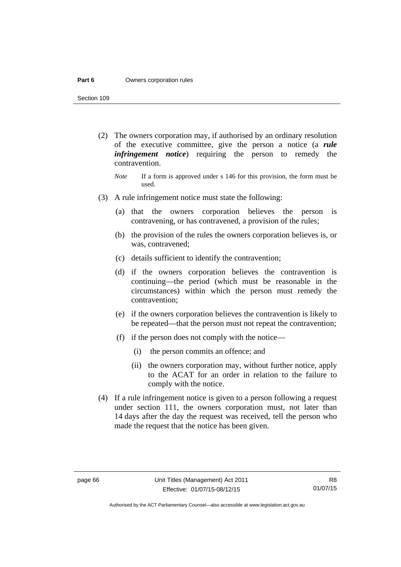#### **Part 6 Owners corporation rules**

Section 109

- (2) The owners corporation may, if authorised by an ordinary resolution of the executive committee, give the person a notice (a *rule infringement notice*) requiring the person to remedy the contravention.
	- *Note* If a form is approved under s 146 for this provision, the form must be used.
- (3) A rule infringement notice must state the following:
	- (a) that the owners corporation believes the person is contravening, or has contravened, a provision of the rules;
	- (b) the provision of the rules the owners corporation believes is, or was, contravened;
	- (c) details sufficient to identify the contravention;
	- (d) if the owners corporation believes the contravention is continuing—the period (which must be reasonable in the circumstances) within which the person must remedy the contravention;
	- (e) if the owners corporation believes the contravention is likely to be repeated—that the person must not repeat the contravention;
	- (f) if the person does not comply with the notice—
		- (i) the person commits an offence; and
		- (ii) the owners corporation may, without further notice, apply to the ACAT for an order in relation to the failure to comply with the notice.
- (4) If a rule infringement notice is given to a person following a request under section 111, the owners corporation must, not later than 14 days after the day the request was received, tell the person who made the request that the notice has been given.

Authorised by the ACT Parliamentary Counsel—also accessible at www.legislation.act.gov.au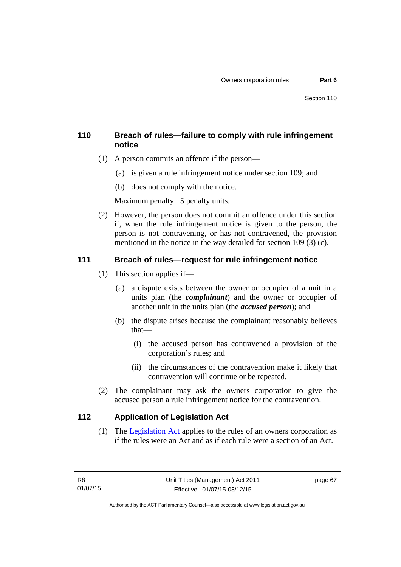### **110 Breach of rules—failure to comply with rule infringement notice**

- (1) A person commits an offence if the person—
	- (a) is given a rule infringement notice under section 109; and
	- (b) does not comply with the notice.

Maximum penalty: 5 penalty units.

 (2) However, the person does not commit an offence under this section if, when the rule infringement notice is given to the person, the person is not contravening, or has not contravened, the provision mentioned in the notice in the way detailed for section 109 (3) (c).

### **111 Breach of rules—request for rule infringement notice**

- (1) This section applies if—
	- (a) a dispute exists between the owner or occupier of a unit in a units plan (the *complainant*) and the owner or occupier of another unit in the units plan (the *accused person*); and
	- (b) the dispute arises because the complainant reasonably believes that—
		- (i) the accused person has contravened a provision of the corporation's rules; and
		- (ii) the circumstances of the contravention make it likely that contravention will continue or be repeated.
- (2) The complainant may ask the owners corporation to give the accused person a rule infringement notice for the contravention.

### **112 Application of Legislation Act**

 (1) The [Legislation Act](http://www.legislation.act.gov.au/a/2001-14) applies to the rules of an owners corporation as if the rules were an Act and as if each rule were a section of an Act.

page 67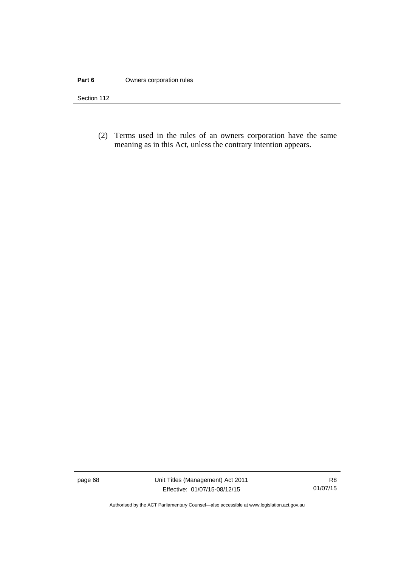#### **Part 6 Owners corporation rules**

Section 112

 (2) Terms used in the rules of an owners corporation have the same meaning as in this Act, unless the contrary intention appears.

page 68 Unit Titles (Management) Act 2011 Effective: 01/07/15-08/12/15

Authorised by the ACT Parliamentary Counsel—also accessible at www.legislation.act.gov.au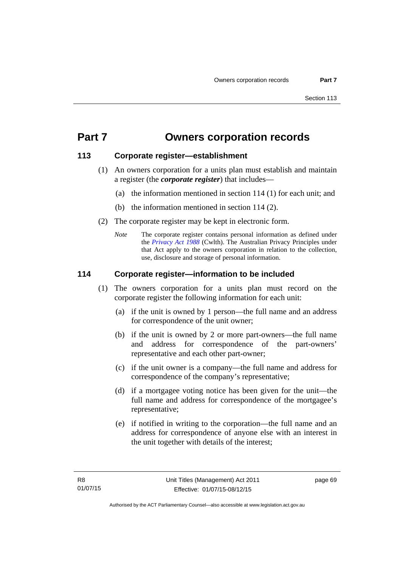# **Part 7 Owners corporation records**

#### **113 Corporate register—establishment**

- (1) An owners corporation for a units plan must establish and maintain a register (the *corporate register*) that includes—
	- (a) the information mentioned in section 114 (1) for each unit; and
	- (b) the information mentioned in section 114 (2).
- (2) The corporate register may be kept in electronic form.
	- *Note* The corporate register contains personal information as defined under the *[Privacy Act 1988](http://www.comlaw.gov.au/Current/C2004A03712)* (Cwlth). The Australian Privacy Principles under that Act apply to the owners corporation in relation to the collection, use, disclosure and storage of personal information.

### **114 Corporate register—information to be included**

- (1) The owners corporation for a units plan must record on the corporate register the following information for each unit:
	- (a) if the unit is owned by 1 person—the full name and an address for correspondence of the unit owner;
	- (b) if the unit is owned by 2 or more part-owners—the full name and address for correspondence of the part-owners' representative and each other part-owner;
	- (c) if the unit owner is a company—the full name and address for correspondence of the company's representative;
	- (d) if a mortgagee voting notice has been given for the unit—the full name and address for correspondence of the mortgagee's representative;
	- (e) if notified in writing to the corporation—the full name and an address for correspondence of anyone else with an interest in the unit together with details of the interest;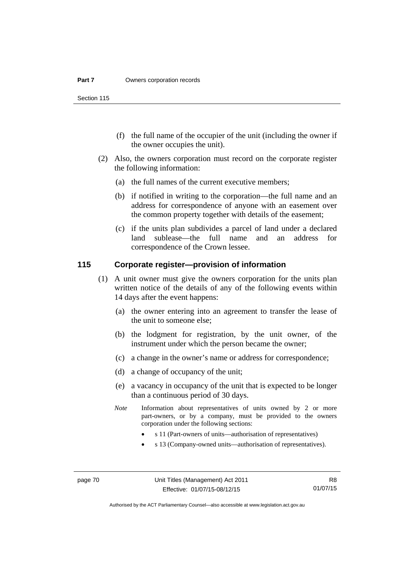Section 115

- (f) the full name of the occupier of the unit (including the owner if the owner occupies the unit).
- (2) Also, the owners corporation must record on the corporate register the following information:
	- (a) the full names of the current executive members;
	- (b) if notified in writing to the corporation—the full name and an address for correspondence of anyone with an easement over the common property together with details of the easement;
	- (c) if the units plan subdivides a parcel of land under a declared land sublease—the full name and an address for correspondence of the Crown lessee.

### **115 Corporate register—provision of information**

- (1) A unit owner must give the owners corporation for the units plan written notice of the details of any of the following events within 14 days after the event happens:
	- (a) the owner entering into an agreement to transfer the lease of the unit to someone else;
	- (b) the lodgment for registration, by the unit owner, of the instrument under which the person became the owner;
	- (c) a change in the owner's name or address for correspondence;
	- (d) a change of occupancy of the unit;
	- (e) a vacancy in occupancy of the unit that is expected to be longer than a continuous period of 30 days.
	- *Note* Information about representatives of units owned by 2 or more part-owners, or by a company, must be provided to the owners corporation under the following sections:
		- s 11 (Part-owners of units—authorisation of representatives)
		- s 13 (Company-owned units—authorisation of representatives).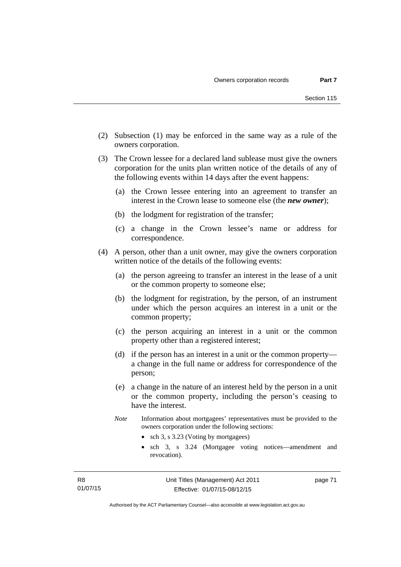- (2) Subsection (1) may be enforced in the same way as a rule of the owners corporation.
- (3) The Crown lessee for a declared land sublease must give the owners corporation for the units plan written notice of the details of any of the following events within 14 days after the event happens:
	- (a) the Crown lessee entering into an agreement to transfer an interest in the Crown lease to someone else (the *new owner*);
	- (b) the lodgment for registration of the transfer;
	- (c) a change in the Crown lessee's name or address for correspondence.
- (4) A person, other than a unit owner, may give the owners corporation written notice of the details of the following events:
	- (a) the person agreeing to transfer an interest in the lease of a unit or the common property to someone else;
	- (b) the lodgment for registration, by the person, of an instrument under which the person acquires an interest in a unit or the common property;
	- (c) the person acquiring an interest in a unit or the common property other than a registered interest;
	- (d) if the person has an interest in a unit or the common property a change in the full name or address for correspondence of the person;
	- (e) a change in the nature of an interest held by the person in a unit or the common property, including the person's ceasing to have the interest.
	- *Note* Information about mortgagees' representatives must be provided to the owners corporation under the following sections:
		- sch 3, s 3.23 (Voting by mortgagees)
		- sch 3, s 3.24 (Mortgagee voting notices—amendment and revocation).

page 71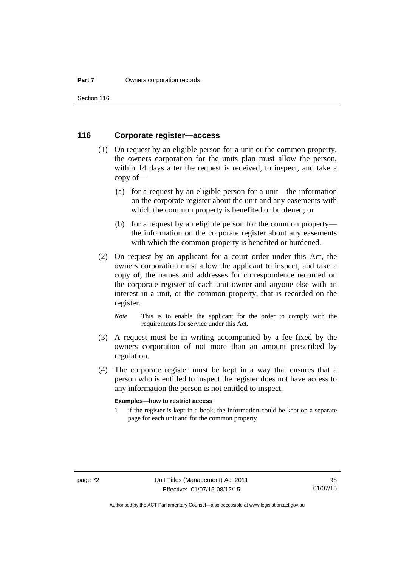Section 116

### **116 Corporate register—access**

- (1) On request by an eligible person for a unit or the common property, the owners corporation for the units plan must allow the person, within 14 days after the request is received, to inspect, and take a copy of—
	- (a) for a request by an eligible person for a unit—the information on the corporate register about the unit and any easements with which the common property is benefited or burdened; or
	- (b) for a request by an eligible person for the common property the information on the corporate register about any easements with which the common property is benefited or burdened.
- (2) On request by an applicant for a court order under this Act, the owners corporation must allow the applicant to inspect, and take a copy of, the names and addresses for correspondence recorded on the corporate register of each unit owner and anyone else with an interest in a unit, or the common property, that is recorded on the register.
	- *Note* This is to enable the applicant for the order to comply with the requirements for service under this Act.
- (3) A request must be in writing accompanied by a fee fixed by the owners corporation of not more than an amount prescribed by regulation.
- (4) The corporate register must be kept in a way that ensures that a person who is entitled to inspect the register does not have access to any information the person is not entitled to inspect.

#### **Examples—how to restrict access**

1 if the register is kept in a book, the information could be kept on a separate page for each unit and for the common property

Authorised by the ACT Parliamentary Counsel—also accessible at www.legislation.act.gov.au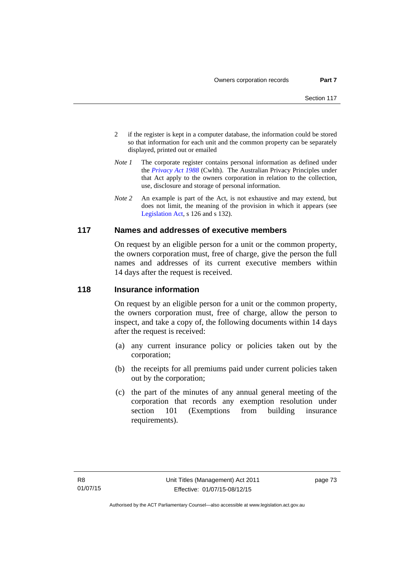- 2 if the register is kept in a computer database, the information could be stored so that information for each unit and the common property can be separately displayed, printed out or emailed
- *Note 1* The corporate register contains personal information as defined under the *[Privacy Act 1988](http://www.comlaw.gov.au/Current/C2004A03712)* (Cwlth). The Australian Privacy Principles under that Act apply to the owners corporation in relation to the collection, use, disclosure and storage of personal information.
- *Note 2* An example is part of the Act, is not exhaustive and may extend, but does not limit, the meaning of the provision in which it appears (see [Legislation Act,](http://www.legislation.act.gov.au/a/2001-14) s 126 and s 132).

#### **117 Names and addresses of executive members**

On request by an eligible person for a unit or the common property, the owners corporation must, free of charge, give the person the full names and addresses of its current executive members within 14 days after the request is received.

#### **118 Insurance information**

On request by an eligible person for a unit or the common property, the owners corporation must, free of charge, allow the person to inspect, and take a copy of, the following documents within 14 days after the request is received:

- (a) any current insurance policy or policies taken out by the corporation;
- (b) the receipts for all premiums paid under current policies taken out by the corporation;
- (c) the part of the minutes of any annual general meeting of the corporation that records any exemption resolution under section 101 (Exemptions from building insurance requirements).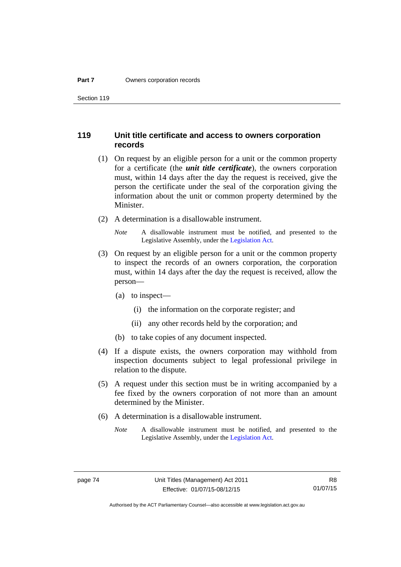Section 119

#### **119 Unit title certificate and access to owners corporation records**

- (1) On request by an eligible person for a unit or the common property for a certificate (the *unit title certificate*), the owners corporation must, within 14 days after the day the request is received, give the person the certificate under the seal of the corporation giving the information about the unit or common property determined by the Minister.
- (2) A determination is a disallowable instrument.

*Note* A disallowable instrument must be notified, and presented to the Legislative Assembly, under the [Legislation Act.](http://www.legislation.act.gov.au/a/2001-14)

- (3) On request by an eligible person for a unit or the common property to inspect the records of an owners corporation, the corporation must, within 14 days after the day the request is received, allow the person—
	- (a) to inspect—
		- (i) the information on the corporate register; and
		- (ii) any other records held by the corporation; and
	- (b) to take copies of any document inspected.
- (4) If a dispute exists, the owners corporation may withhold from inspection documents subject to legal professional privilege in relation to the dispute.
- (5) A request under this section must be in writing accompanied by a fee fixed by the owners corporation of not more than an amount determined by the Minister.
- (6) A determination is a disallowable instrument.
	- *Note* A disallowable instrument must be notified, and presented to the Legislative Assembly, under the [Legislation Act.](http://www.legislation.act.gov.au/a/2001-14)

R8 01/07/15

Authorised by the ACT Parliamentary Counsel—also accessible at www.legislation.act.gov.au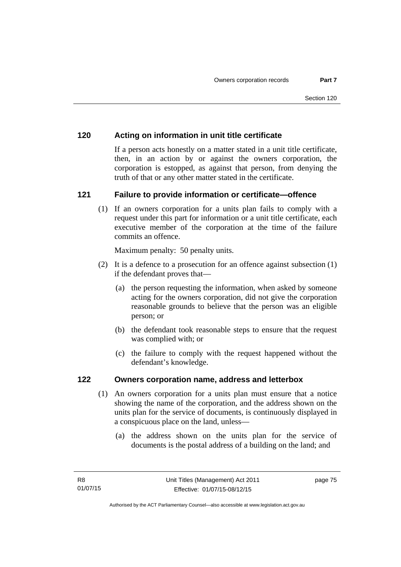### **120 Acting on information in unit title certificate**

If a person acts honestly on a matter stated in a unit title certificate, then, in an action by or against the owners corporation, the corporation is estopped, as against that person, from denying the truth of that or any other matter stated in the certificate.

### **121 Failure to provide information or certificate—offence**

(1) If an owners corporation for a units plan fails to comply with a request under this part for information or a unit title certificate, each executive member of the corporation at the time of the failure commits an offence.

Maximum penalty: 50 penalty units.

- (2) It is a defence to a prosecution for an offence against subsection (1) if the defendant proves that—
	- (a) the person requesting the information, when asked by someone acting for the owners corporation, did not give the corporation reasonable grounds to believe that the person was an eligible person; or
	- (b) the defendant took reasonable steps to ensure that the request was complied with; or
	- (c) the failure to comply with the request happened without the defendant's knowledge.

#### **122 Owners corporation name, address and letterbox**

- (1) An owners corporation for a units plan must ensure that a notice showing the name of the corporation, and the address shown on the units plan for the service of documents, is continuously displayed in a conspicuous place on the land, unless—
	- (a) the address shown on the units plan for the service of documents is the postal address of a building on the land; and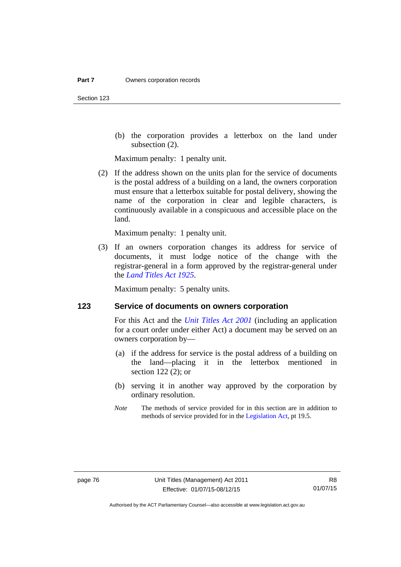(b) the corporation provides a letterbox on the land under subsection (2).

Maximum penalty: 1 penalty unit.

 (2) If the address shown on the units plan for the service of documents is the postal address of a building on a land, the owners corporation must ensure that a letterbox suitable for postal delivery, showing the name of the corporation in clear and legible characters, is continuously available in a conspicuous and accessible place on the land.

Maximum penalty: 1 penalty unit.

 (3) If an owners corporation changes its address for service of documents, it must lodge notice of the change with the registrar-general in a form approved by the registrar-general under the *[Land Titles Act 1925](http://www.legislation.act.gov.au/a/1925-1)*.

Maximum penalty: 5 penalty units.

#### **123 Service of documents on owners corporation**

For this Act and the *[Unit Titles Act 2001](http://www.legislation.act.gov.au/a/2001-16)* (including an application for a court order under either Act) a document may be served on an owners corporation by—

- (a) if the address for service is the postal address of a building on the land—placing it in the letterbox mentioned in section 122 (2); or
- (b) serving it in another way approved by the corporation by ordinary resolution.
- *Note* The methods of service provided for in this section are in addition to methods of service provided for in the [Legislation Act](http://www.legislation.act.gov.au/a/2001-14), pt 19.5.

Authorised by the ACT Parliamentary Counsel—also accessible at www.legislation.act.gov.au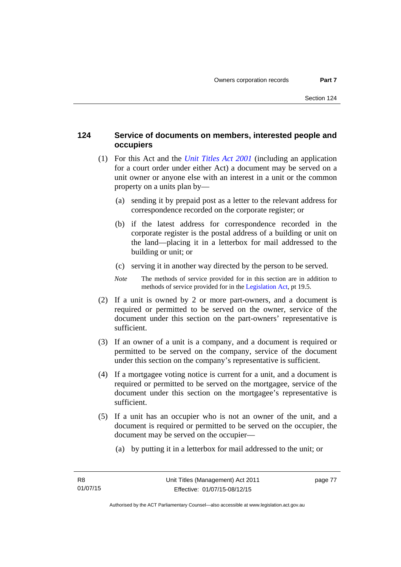### **124 Service of documents on members, interested people and occupiers**

- (1) For this Act and the *[Unit Titles Act 2001](http://www.legislation.act.gov.au/a/2001-16)* (including an application for a court order under either Act) a document may be served on a unit owner or anyone else with an interest in a unit or the common property on a units plan by—
	- (a) sending it by prepaid post as a letter to the relevant address for correspondence recorded on the corporate register; or
	- (b) if the latest address for correspondence recorded in the corporate register is the postal address of a building or unit on the land—placing it in a letterbox for mail addressed to the building or unit; or
	- (c) serving it in another way directed by the person to be served.
	- *Note* The methods of service provided for in this section are in addition to methods of service provided for in the [Legislation Act](http://www.legislation.act.gov.au/a/2001-14), pt 19.5.
- (2) If a unit is owned by 2 or more part-owners, and a document is required or permitted to be served on the owner, service of the document under this section on the part-owners' representative is sufficient.
- (3) If an owner of a unit is a company, and a document is required or permitted to be served on the company, service of the document under this section on the company's representative is sufficient.
- (4) If a mortgagee voting notice is current for a unit, and a document is required or permitted to be served on the mortgagee, service of the document under this section on the mortgagee's representative is sufficient.
- (5) If a unit has an occupier who is not an owner of the unit, and a document is required or permitted to be served on the occupier, the document may be served on the occupier—
	- (a) by putting it in a letterbox for mail addressed to the unit; or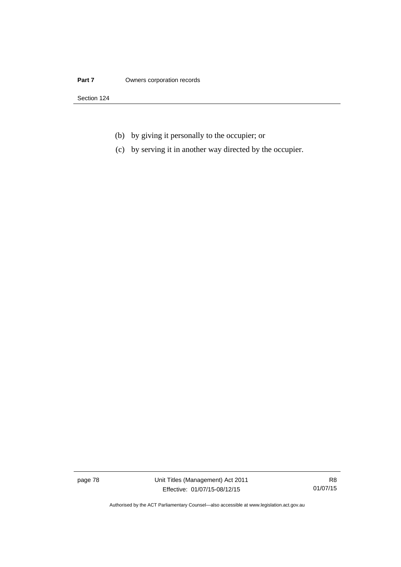#### **Part 7 Owners corporation records**

Section 124

- (b) by giving it personally to the occupier; or
- (c) by serving it in another way directed by the occupier.

page 78 Unit Titles (Management) Act 2011 Effective: 01/07/15-08/12/15

R8 01/07/15

Authorised by the ACT Parliamentary Counsel—also accessible at www.legislation.act.gov.au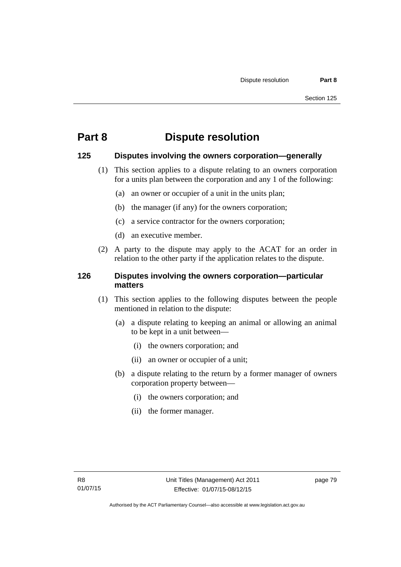# **Part 8 Dispute resolution**

#### **125 Disputes involving the owners corporation—generally**

- (1) This section applies to a dispute relating to an owners corporation for a units plan between the corporation and any 1 of the following:
	- (a) an owner or occupier of a unit in the units plan;
	- (b) the manager (if any) for the owners corporation;
	- (c) a service contractor for the owners corporation;
	- (d) an executive member.
- (2) A party to the dispute may apply to the ACAT for an order in relation to the other party if the application relates to the dispute.

### **126 Disputes involving the owners corporation—particular matters**

- (1) This section applies to the following disputes between the people mentioned in relation to the dispute:
	- (a) a dispute relating to keeping an animal or allowing an animal to be kept in a unit between—
		- (i) the owners corporation; and
		- (ii) an owner or occupier of a unit;
	- (b) a dispute relating to the return by a former manager of owners corporation property between—
		- (i) the owners corporation; and
		- (ii) the former manager.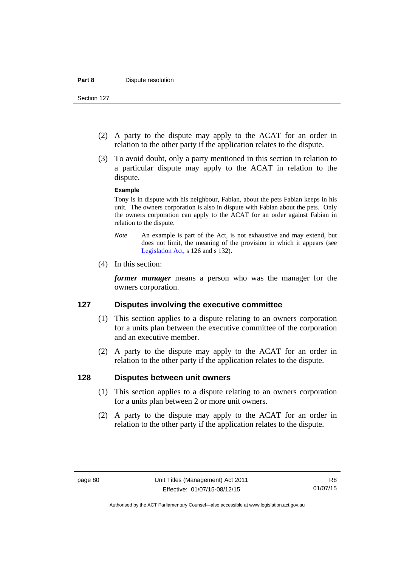- (2) A party to the dispute may apply to the ACAT for an order in relation to the other party if the application relates to the dispute.
- (3) To avoid doubt, only a party mentioned in this section in relation to a particular dispute may apply to the ACAT in relation to the dispute.

#### **Example**

Tony is in dispute with his neighbour, Fabian, about the pets Fabian keeps in his unit. The owners corporation is also in dispute with Fabian about the pets. Only the owners corporation can apply to the ACAT for an order against Fabian in relation to the dispute.

- *Note* An example is part of the Act, is not exhaustive and may extend, but does not limit, the meaning of the provision in which it appears (see [Legislation Act,](http://www.legislation.act.gov.au/a/2001-14) s 126 and s 132).
- (4) In this section:

*former manager* means a person who was the manager for the owners corporation.

#### **127 Disputes involving the executive committee**

- (1) This section applies to a dispute relating to an owners corporation for a units plan between the executive committee of the corporation and an executive member.
- (2) A party to the dispute may apply to the ACAT for an order in relation to the other party if the application relates to the dispute.

#### **128 Disputes between unit owners**

- (1) This section applies to a dispute relating to an owners corporation for a units plan between 2 or more unit owners.
- (2) A party to the dispute may apply to the ACAT for an order in relation to the other party if the application relates to the dispute.

Authorised by the ACT Parliamentary Counsel—also accessible at www.legislation.act.gov.au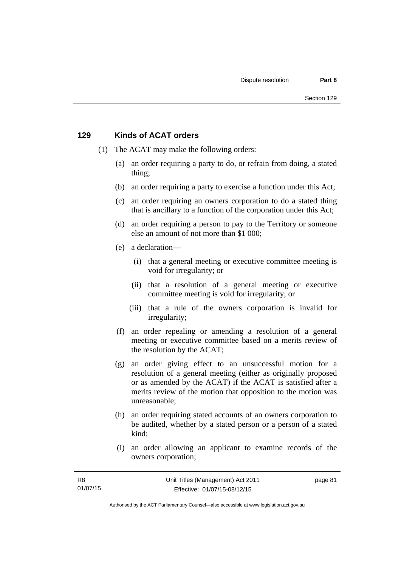#### **129 Kinds of ACAT orders**

- (1) The ACAT may make the following orders:
	- (a) an order requiring a party to do, or refrain from doing, a stated thing;
	- (b) an order requiring a party to exercise a function under this Act;
	- (c) an order requiring an owners corporation to do a stated thing that is ancillary to a function of the corporation under this Act;
	- (d) an order requiring a person to pay to the Territory or someone else an amount of not more than \$1 000;
	- (e) a declaration—
		- (i) that a general meeting or executive committee meeting is void for irregularity; or
		- (ii) that a resolution of a general meeting or executive committee meeting is void for irregularity; or
		- (iii) that a rule of the owners corporation is invalid for irregularity;
	- (f) an order repealing or amending a resolution of a general meeting or executive committee based on a merits review of the resolution by the ACAT;
	- (g) an order giving effect to an unsuccessful motion for a resolution of a general meeting (either as originally proposed or as amended by the ACAT) if the ACAT is satisfied after a merits review of the motion that opposition to the motion was unreasonable;
	- (h) an order requiring stated accounts of an owners corporation to be audited, whether by a stated person or a person of a stated kind;
	- (i) an order allowing an applicant to examine records of the owners corporation;

page 81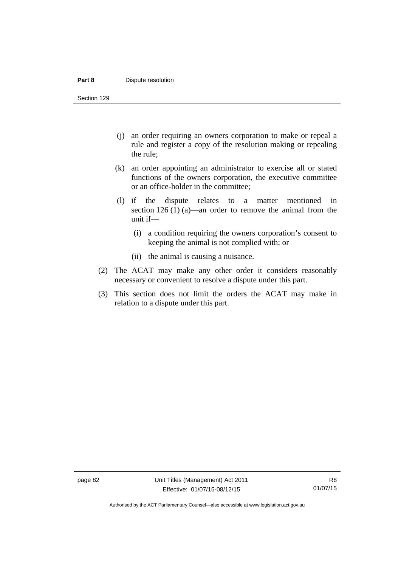#### **Part 8 Dispute resolution**

Section 129

- (j) an order requiring an owners corporation to make or repeal a rule and register a copy of the resolution making or repealing the rule;
- (k) an order appointing an administrator to exercise all or stated functions of the owners corporation, the executive committee or an office-holder in the committee;
- (l) if the dispute relates to a matter mentioned in section 126 (1) (a)—an order to remove the animal from the unit if—
	- (i) a condition requiring the owners corporation's consent to keeping the animal is not complied with; or
	- (ii) the animal is causing a nuisance.
- (2) The ACAT may make any other order it considers reasonably necessary or convenient to resolve a dispute under this part.
- (3) This section does not limit the orders the ACAT may make in relation to a dispute under this part.

Authorised by the ACT Parliamentary Counsel—also accessible at www.legislation.act.gov.au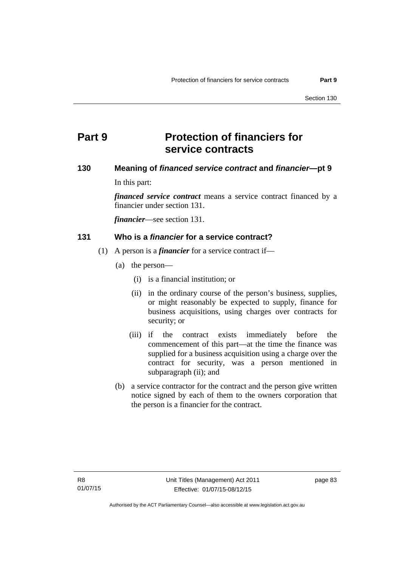# **Part 9 Protection of financiers for service contracts**

### **130 Meaning of** *financed service contract* **and** *financier***—pt 9**

In this part:

*financed service contract* means a service contract financed by a financier under section 131.

*financier*—see section 131.

#### **131 Who is a** *financier* **for a service contract?**

- (1) A person is a *financier* for a service contract if—
	- (a) the person—
		- (i) is a financial institution; or
		- (ii) in the ordinary course of the person's business, supplies, or might reasonably be expected to supply, finance for business acquisitions, using charges over contracts for security; or
		- (iii) if the contract exists immediately before the commencement of this part—at the time the finance was supplied for a business acquisition using a charge over the contract for security, was a person mentioned in subparagraph (ii); and
	- (b) a service contractor for the contract and the person give written notice signed by each of them to the owners corporation that the person is a financier for the contract.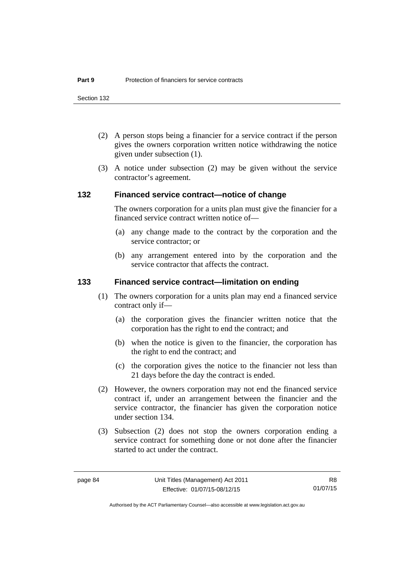- (2) A person stops being a financier for a service contract if the person gives the owners corporation written notice withdrawing the notice given under subsection (1).
- (3) A notice under subsection (2) may be given without the service contractor's agreement.

#### **132 Financed service contract—notice of change**

The owners corporation for a units plan must give the financier for a financed service contract written notice of—

- (a) any change made to the contract by the corporation and the service contractor; or
- (b) any arrangement entered into by the corporation and the service contractor that affects the contract.

#### **133 Financed service contract—limitation on ending**

- (1) The owners corporation for a units plan may end a financed service contract only if—
	- (a) the corporation gives the financier written notice that the corporation has the right to end the contract; and
	- (b) when the notice is given to the financier, the corporation has the right to end the contract; and
	- (c) the corporation gives the notice to the financier not less than 21 days before the day the contract is ended.
- (2) However, the owners corporation may not end the financed service contract if, under an arrangement between the financier and the service contractor, the financier has given the corporation notice under section 134.
- (3) Subsection (2) does not stop the owners corporation ending a service contract for something done or not done after the financier started to act under the contract.

R8 01/07/15

Authorised by the ACT Parliamentary Counsel—also accessible at www.legislation.act.gov.au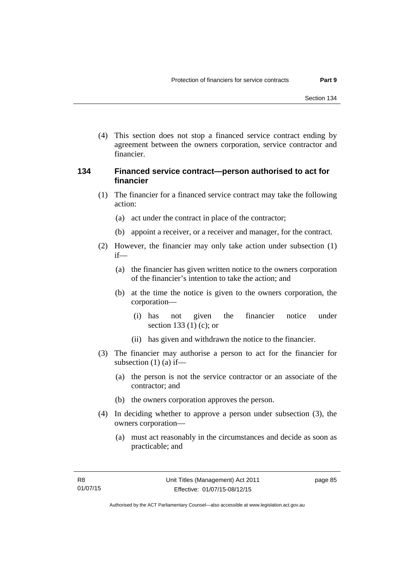(4) This section does not stop a financed service contract ending by agreement between the owners corporation, service contractor and financier.

#### **134 Financed service contract—person authorised to act for financier**

- (1) The financier for a financed service contract may take the following action:
	- (a) act under the contract in place of the contractor;
	- (b) appoint a receiver, or a receiver and manager, for the contract.
- (2) However, the financier may only take action under subsection (1) if—
	- (a) the financier has given written notice to the owners corporation of the financier's intention to take the action; and
	- (b) at the time the notice is given to the owners corporation, the corporation—
		- (i) has not given the financier notice under section 133 (1) (c); or
		- (ii) has given and withdrawn the notice to the financier.
- (3) The financier may authorise a person to act for the financier for subsection  $(1)$   $(a)$  if—
	- (a) the person is not the service contractor or an associate of the contractor; and
	- (b) the owners corporation approves the person.
- (4) In deciding whether to approve a person under subsection (3), the owners corporation—
	- (a) must act reasonably in the circumstances and decide as soon as practicable; and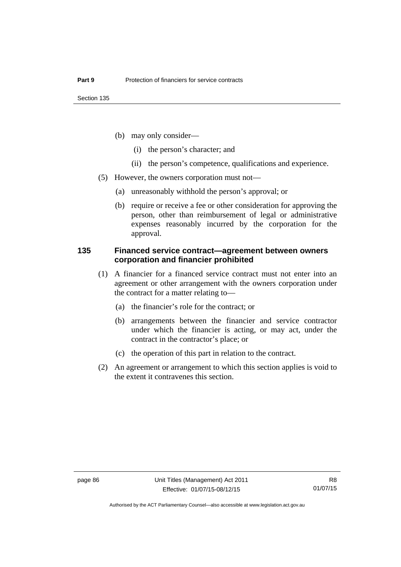- (b) may only consider—
	- (i) the person's character; and
	- (ii) the person's competence, qualifications and experience.
- (5) However, the owners corporation must not—
	- (a) unreasonably withhold the person's approval; or
	- (b) require or receive a fee or other consideration for approving the person, other than reimbursement of legal or administrative expenses reasonably incurred by the corporation for the approval.

#### **135 Financed service contract—agreement between owners corporation and financier prohibited**

- (1) A financier for a financed service contract must not enter into an agreement or other arrangement with the owners corporation under the contract for a matter relating to—
	- (a) the financier's role for the contract; or
	- (b) arrangements between the financier and service contractor under which the financier is acting, or may act, under the contract in the contractor's place; or
	- (c) the operation of this part in relation to the contract.
- (2) An agreement or arrangement to which this section applies is void to the extent it contravenes this section.

Authorised by the ACT Parliamentary Counsel—also accessible at www.legislation.act.gov.au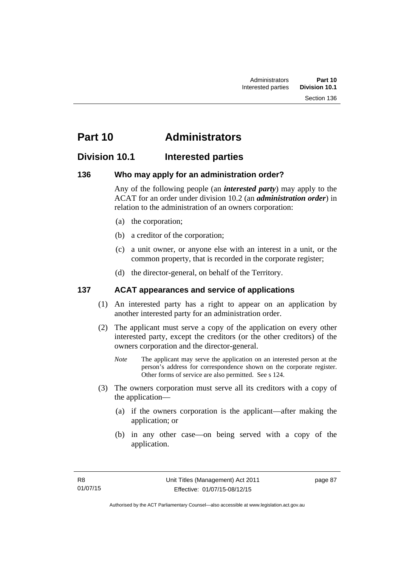# **Part 10 Administrators**

### **Division 10.1 Interested parties**

### **136 Who may apply for an administration order?**

Any of the following people (an *interested party*) may apply to the ACAT for an order under division 10.2 (an *administration order*) in relation to the administration of an owners corporation:

- (a) the corporation;
- (b) a creditor of the corporation;
- (c) a unit owner, or anyone else with an interest in a unit, or the common property, that is recorded in the corporate register;
- (d) the director-general, on behalf of the Territory.

### **137 ACAT appearances and service of applications**

- (1) An interested party has a right to appear on an application by another interested party for an administration order.
- (2) The applicant must serve a copy of the application on every other interested party, except the creditors (or the other creditors) of the owners corporation and the director-general.
	- *Note* The applicant may serve the application on an interested person at the person's address for correspondence shown on the corporate register. Other forms of service are also permitted. See s 124.
- (3) The owners corporation must serve all its creditors with a copy of the application—
	- (a) if the owners corporation is the applicant—after making the application; or
	- (b) in any other case—on being served with a copy of the application.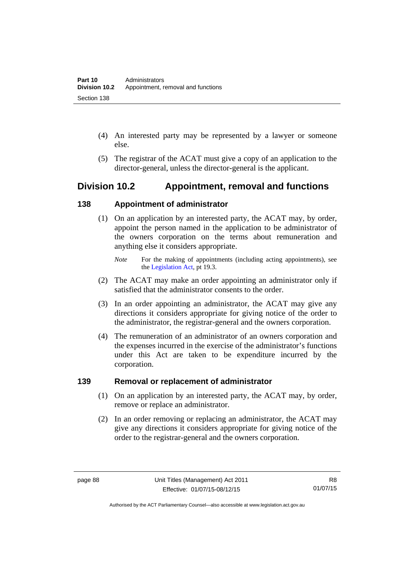- (4) An interested party may be represented by a lawyer or someone else.
- (5) The registrar of the ACAT must give a copy of an application to the director-general, unless the director-general is the applicant.

### **Division 10.2 Appointment, removal and functions**

### **138 Appointment of administrator**

- (1) On an application by an interested party, the ACAT may, by order, appoint the person named in the application to be administrator of the owners corporation on the terms about remuneration and anything else it considers appropriate.
	- *Note* For the making of appointments (including acting appointments), see the [Legislation Act,](http://www.legislation.act.gov.au/a/2001-14) pt 19.3.
- (2) The ACAT may make an order appointing an administrator only if satisfied that the administrator consents to the order.
- (3) In an order appointing an administrator, the ACAT may give any directions it considers appropriate for giving notice of the order to the administrator, the registrar-general and the owners corporation.
- (4) The remuneration of an administrator of an owners corporation and the expenses incurred in the exercise of the administrator's functions under this Act are taken to be expenditure incurred by the corporation.

### **139 Removal or replacement of administrator**

- (1) On an application by an interested party, the ACAT may, by order, remove or replace an administrator.
- (2) In an order removing or replacing an administrator, the ACAT may give any directions it considers appropriate for giving notice of the order to the registrar-general and the owners corporation.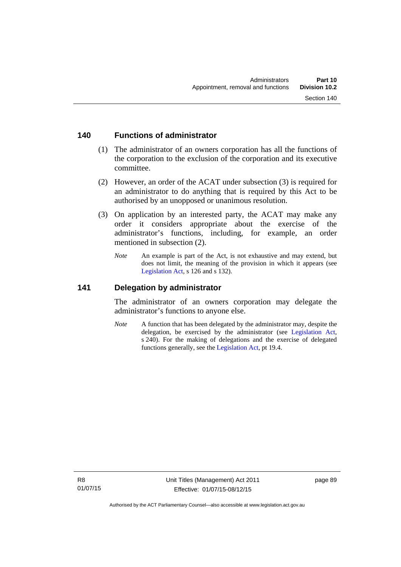#### **140 Functions of administrator**

- (1) The administrator of an owners corporation has all the functions of the corporation to the exclusion of the corporation and its executive committee.
- (2) However, an order of the ACAT under subsection (3) is required for an administrator to do anything that is required by this Act to be authorised by an unopposed or unanimous resolution.
- (3) On application by an interested party, the ACAT may make any order it considers appropriate about the exercise of the administrator's functions, including, for example, an order mentioned in subsection (2).
	- *Note* An example is part of the Act, is not exhaustive and may extend, but does not limit, the meaning of the provision in which it appears (see [Legislation Act,](http://www.legislation.act.gov.au/a/2001-14) s 126 and s 132).

#### **141 Delegation by administrator**

The administrator of an owners corporation may delegate the administrator's functions to anyone else.

*Note* A function that has been delegated by the administrator may, despite the delegation, be exercised by the administrator (see [Legislation Act,](http://www.legislation.act.gov.au/a/2001-14) s 240). For the making of delegations and the exercise of delegated functions generally, see the [Legislation Act,](http://www.legislation.act.gov.au/a/2001-14) pt 19.4.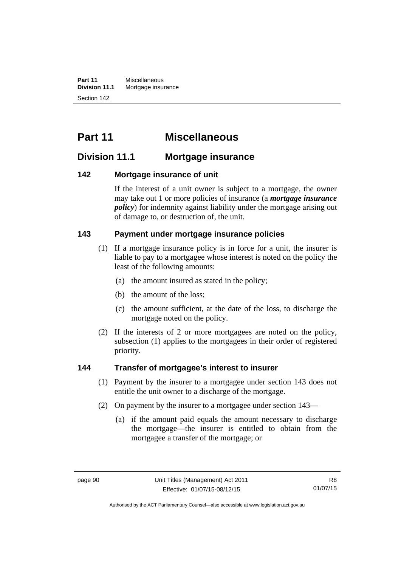**Part 11** Miscellaneous<br>**Division 11.1** Mortgage insur **Mortgage insurance** Section 142

# **Part 11 Miscellaneous**

### **Division 11.1 Mortgage insurance**

### **142 Mortgage insurance of unit**

If the interest of a unit owner is subject to a mortgage, the owner may take out 1 or more policies of insurance (a *mortgage insurance policy*) for indemnity against liability under the mortgage arising out of damage to, or destruction of, the unit.

### **143 Payment under mortgage insurance policies**

- (1) If a mortgage insurance policy is in force for a unit, the insurer is liable to pay to a mortgagee whose interest is noted on the policy the least of the following amounts:
	- (a) the amount insured as stated in the policy;
	- (b) the amount of the loss;
	- (c) the amount sufficient, at the date of the loss, to discharge the mortgage noted on the policy.
- (2) If the interests of 2 or more mortgagees are noted on the policy, subsection (1) applies to the mortgagees in their order of registered priority.

#### **144 Transfer of mortgagee's interest to insurer**

- (1) Payment by the insurer to a mortgagee under section 143 does not entitle the unit owner to a discharge of the mortgage.
- (2) On payment by the insurer to a mortgagee under section 143—
	- (a) if the amount paid equals the amount necessary to discharge the mortgage—the insurer is entitled to obtain from the mortgagee a transfer of the mortgage; or

Authorised by the ACT Parliamentary Counsel—also accessible at www.legislation.act.gov.au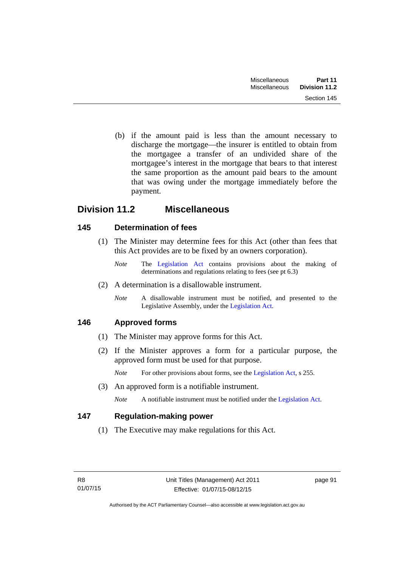(b) if the amount paid is less than the amount necessary to discharge the mortgage—the insurer is entitled to obtain from the mortgagee a transfer of an undivided share of the mortgagee's interest in the mortgage that bears to that interest the same proportion as the amount paid bears to the amount that was owing under the mortgage immediately before the payment.

### **Division 11.2 Miscellaneous**

### **145 Determination of fees**

- (1) The Minister may determine fees for this Act (other than fees that this Act provides are to be fixed by an owners corporation).
	- *Note* The [Legislation Act](http://www.legislation.act.gov.au/a/2001-14) contains provisions about the making of determinations and regulations relating to fees (see pt 6.3)
- (2) A determination is a disallowable instrument.
	- *Note* A disallowable instrument must be notified, and presented to the Legislative Assembly, under the [Legislation Act.](http://www.legislation.act.gov.au/a/2001-14)

### **146 Approved forms**

- (1) The Minister may approve forms for this Act.
- (2) If the Minister approves a form for a particular purpose, the approved form must be used for that purpose.

*Note* For other provisions about forms, see the [Legislation Act,](http://www.legislation.act.gov.au/a/2001-14) s 255.

(3) An approved form is a notifiable instrument.

*Note* A notifiable instrument must be notified under the [Legislation Act](http://www.legislation.act.gov.au/a/2001-14).

### **147 Regulation-making power**

(1) The Executive may make regulations for this Act.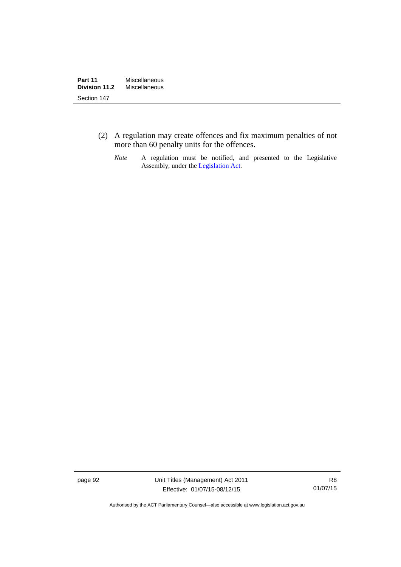- (2) A regulation may create offences and fix maximum penalties of not more than 60 penalty units for the offences.
	- *Note* A regulation must be notified, and presented to the Legislative Assembly, under the [Legislation Act](http://www.legislation.act.gov.au/a/2001-14).

page 92 Unit Titles (Management) Act 2011 Effective: 01/07/15-08/12/15

R8 01/07/15

Authorised by the ACT Parliamentary Counsel—also accessible at www.legislation.act.gov.au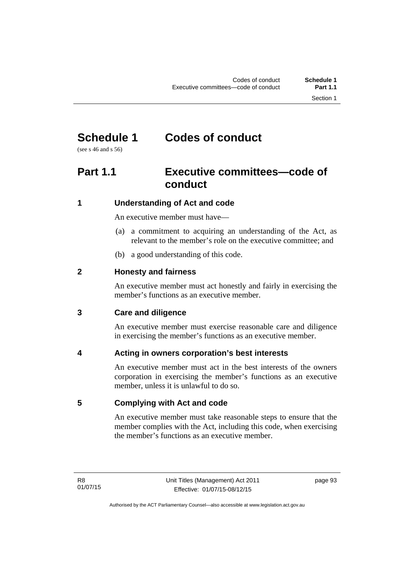# **Schedule 1 Codes of conduct**

(see s 46 and s 56)

# **Part 1.1 Executive committees—code of conduct**

### **1 Understanding of Act and code**

An executive member must have—

- (a) a commitment to acquiring an understanding of the Act, as relevant to the member's role on the executive committee; and
- (b) a good understanding of this code.

### **2 Honesty and fairness**

An executive member must act honestly and fairly in exercising the member's functions as an executive member.

### **3 Care and diligence**

An executive member must exercise reasonable care and diligence in exercising the member's functions as an executive member.

### **4 Acting in owners corporation's best interests**

An executive member must act in the best interests of the owners corporation in exercising the member's functions as an executive member, unless it is unlawful to do so.

### **5 Complying with Act and code**

An executive member must take reasonable steps to ensure that the member complies with the Act, including this code, when exercising the member's functions as an executive member.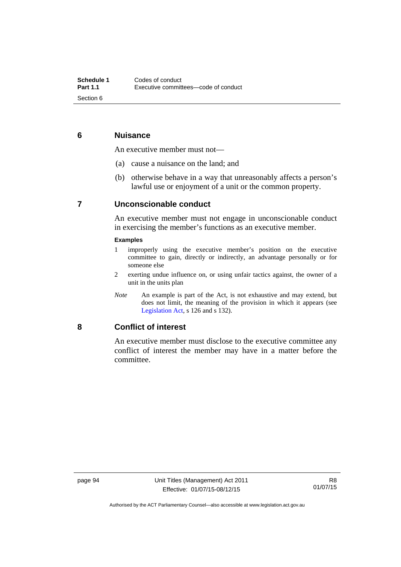### **6 Nuisance**

An executive member must not—

- (a) cause a nuisance on the land; and
- (b) otherwise behave in a way that unreasonably affects a person's lawful use or enjoyment of a unit or the common property.

### **7 Unconscionable conduct**

An executive member must not engage in unconscionable conduct in exercising the member's functions as an executive member.

#### **Examples**

- 1 improperly using the executive member's position on the executive committee to gain, directly or indirectly, an advantage personally or for someone else
- 2 exerting undue influence on, or using unfair tactics against, the owner of a unit in the units plan
- *Note* An example is part of the Act, is not exhaustive and may extend, but does not limit, the meaning of the provision in which it appears (see [Legislation Act,](http://www.legislation.act.gov.au/a/2001-14) s 126 and s 132).

#### **8 Conflict of interest**

An executive member must disclose to the executive committee any conflict of interest the member may have in a matter before the committee.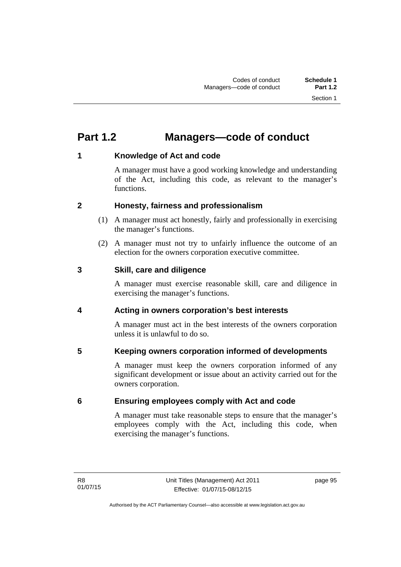# **Part 1.2 Managers—code of conduct**

### **1 Knowledge of Act and code**

A manager must have a good working knowledge and understanding of the Act, including this code, as relevant to the manager's functions.

### **2 Honesty, fairness and professionalism**

- (1) A manager must act honestly, fairly and professionally in exercising the manager's functions.
- (2) A manager must not try to unfairly influence the outcome of an election for the owners corporation executive committee.

### **3 Skill, care and diligence**

A manager must exercise reasonable skill, care and diligence in exercising the manager's functions.

### **4 Acting in owners corporation's best interests**

A manager must act in the best interests of the owners corporation unless it is unlawful to do so.

### **5 Keeping owners corporation informed of developments**

A manager must keep the owners corporation informed of any significant development or issue about an activity carried out for the owners corporation.

### **6 Ensuring employees comply with Act and code**

A manager must take reasonable steps to ensure that the manager's employees comply with the Act, including this code, when exercising the manager's functions.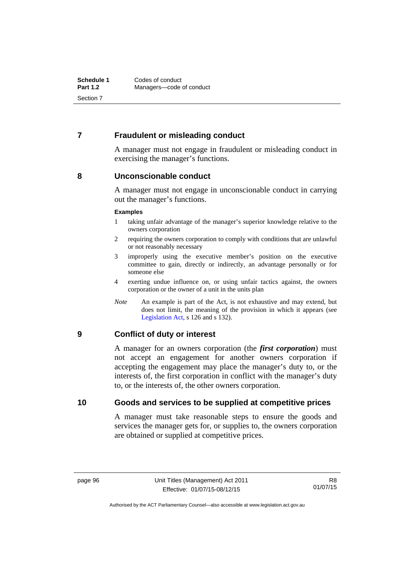### **7 Fraudulent or misleading conduct**

A manager must not engage in fraudulent or misleading conduct in exercising the manager's functions.

#### **8 Unconscionable conduct**

A manager must not engage in unconscionable conduct in carrying out the manager's functions.

#### **Examples**

- 1 taking unfair advantage of the manager's superior knowledge relative to the owners corporation
- 2 requiring the owners corporation to comply with conditions that are unlawful or not reasonably necessary
- 3 improperly using the executive member's position on the executive committee to gain, directly or indirectly, an advantage personally or for someone else
- 4 exerting undue influence on, or using unfair tactics against, the owners corporation or the owner of a unit in the units plan
- *Note* An example is part of the Act, is not exhaustive and may extend, but does not limit, the meaning of the provision in which it appears (see [Legislation Act,](http://www.legislation.act.gov.au/a/2001-14) s 126 and s 132).

#### **9 Conflict of duty or interest**

A manager for an owners corporation (the *first corporation*) must not accept an engagement for another owners corporation if accepting the engagement may place the manager's duty to, or the interests of, the first corporation in conflict with the manager's duty to, or the interests of, the other owners corporation.

#### **10 Goods and services to be supplied at competitive prices**

A manager must take reasonable steps to ensure the goods and services the manager gets for, or supplies to, the owners corporation are obtained or supplied at competitive prices.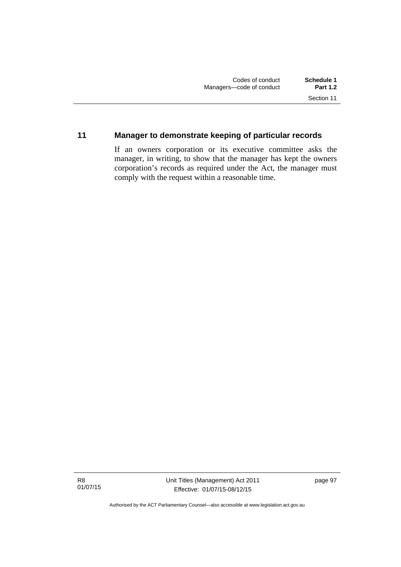## **11 Manager to demonstrate keeping of particular records**

If an owners corporation or its executive committee asks the manager, in writing, to show that the manager has kept the owners corporation's records as required under the Act, the manager must comply with the request within a reasonable time.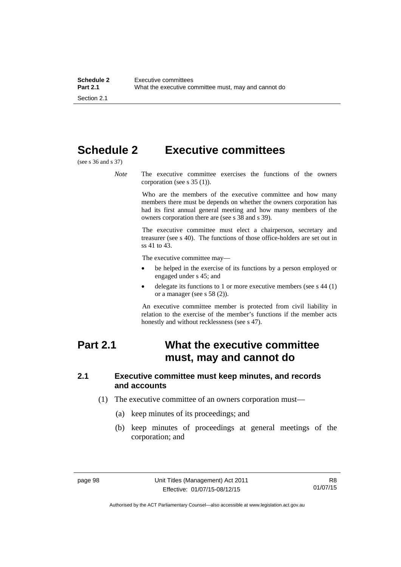# **Schedule 2 Executive committees**

(see s 36 and s 37)

*Note* The executive committee exercises the functions of the owners corporation (see s 35 (1)).

> Who are the members of the executive committee and how many members there must be depends on whether the owners corporation has had its first annual general meeting and how many members of the owners corporation there are (see s 38 and s 39).

> The executive committee must elect a chairperson, secretary and treasurer (see s 40). The functions of those office-holders are set out in ss 41 to 43.

The executive committee may—

- be helped in the exercise of its functions by a person employed or engaged under s 45; and
- delegate its functions to 1 or more executive members (see s 44 (1) or a manager (see s 58 (2)).

An executive committee member is protected from civil liability in relation to the exercise of the member's functions if the member acts honestly and without recklessness (see s 47).

## **Part 2.1 What the executive committee must, may and cannot do**

#### **2.1 Executive committee must keep minutes, and records and accounts**

- (1) The executive committee of an owners corporation must—
	- (a) keep minutes of its proceedings; and
	- (b) keep minutes of proceedings at general meetings of the corporation; and

Authorised by the ACT Parliamentary Counsel—also accessible at www.legislation.act.gov.au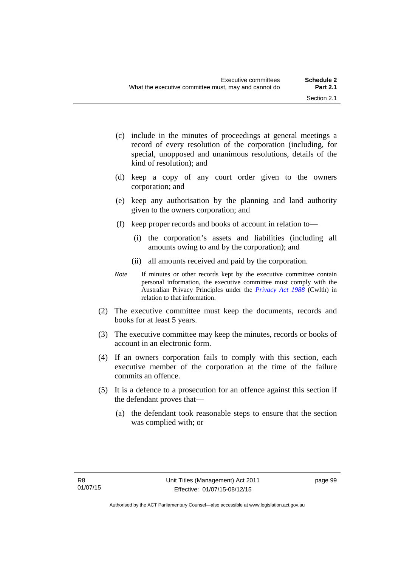- (c) include in the minutes of proceedings at general meetings a record of every resolution of the corporation (including, for special, unopposed and unanimous resolutions, details of the kind of resolution); and
- (d) keep a copy of any court order given to the owners corporation; and
- (e) keep any authorisation by the planning and land authority given to the owners corporation; and
- (f) keep proper records and books of account in relation to—
	- (i) the corporation's assets and liabilities (including all amounts owing to and by the corporation); and
	- (ii) all amounts received and paid by the corporation.
- *Note* If minutes or other records kept by the executive committee contain personal information, the executive committee must comply with the Australian Privacy Principles under the *[Privacy Act 1988](http://www.comlaw.gov.au/Current/C2004A03712)* (Cwlth) in relation to that information.
- (2) The executive committee must keep the documents, records and books for at least 5 years.
- (3) The executive committee may keep the minutes, records or books of account in an electronic form.
- (4) If an owners corporation fails to comply with this section, each executive member of the corporation at the time of the failure commits an offence.
- (5) It is a defence to a prosecution for an offence against this section if the defendant proves that—
	- (a) the defendant took reasonable steps to ensure that the section was complied with; or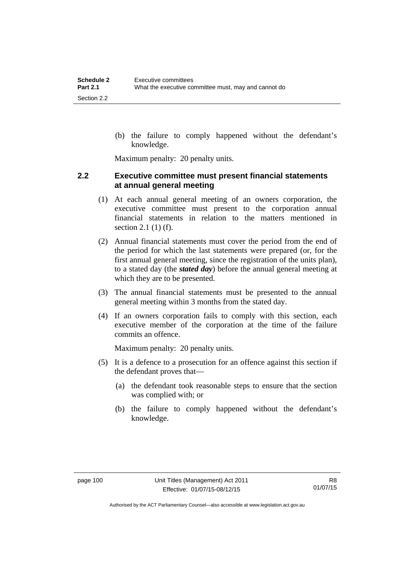(b) the failure to comply happened without the defendant's knowledge.

Maximum penalty: 20 penalty units.

#### **2.2 Executive committee must present financial statements at annual general meeting**

- (1) At each annual general meeting of an owners corporation, the executive committee must present to the corporation annual financial statements in relation to the matters mentioned in section 2.1 (1) (f).
- (2) Annual financial statements must cover the period from the end of the period for which the last statements were prepared (or, for the first annual general meeting, since the registration of the units plan), to a stated day (the *stated day*) before the annual general meeting at which they are to be presented.
- (3) The annual financial statements must be presented to the annual general meeting within 3 months from the stated day.
- (4) If an owners corporation fails to comply with this section, each executive member of the corporation at the time of the failure commits an offence.

Maximum penalty: 20 penalty units.

- (5) It is a defence to a prosecution for an offence against this section if the defendant proves that—
	- (a) the defendant took reasonable steps to ensure that the section was complied with; or
	- (b) the failure to comply happened without the defendant's knowledge.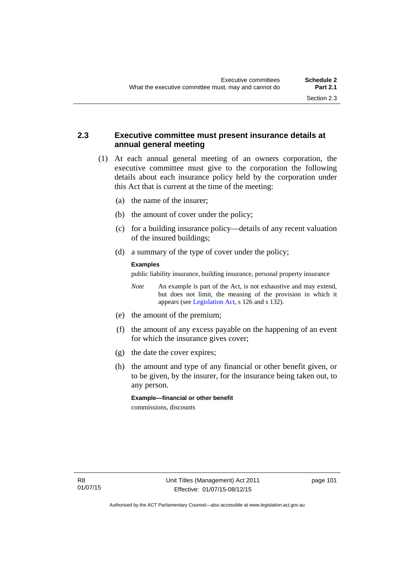## **2.3 Executive committee must present insurance details at annual general meeting**

- (1) At each annual general meeting of an owners corporation, the executive committee must give to the corporation the following details about each insurance policy held by the corporation under this Act that is current at the time of the meeting:
	- (a) the name of the insurer;
	- (b) the amount of cover under the policy;
	- (c) for a building insurance policy—details of any recent valuation of the insured buildings;
	- (d) a summary of the type of cover under the policy;

#### **Examples**

public liability insurance, building insurance, personal property insurance

*Note* An example is part of the Act, is not exhaustive and may extend, but does not limit, the meaning of the provision in which it appears (see [Legislation Act,](http://www.legislation.act.gov.au/a/2001-14) s 126 and s 132).

- (e) the amount of the premium;
- (f) the amount of any excess payable on the happening of an event for which the insurance gives cover;
- (g) the date the cover expires;
- (h) the amount and type of any financial or other benefit given, or to be given, by the insurer, for the insurance being taken out, to any person.

**Example—financial or other benefit**  commissions, discounts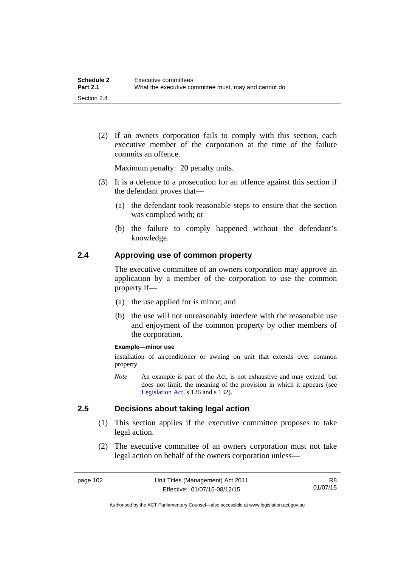(2) If an owners corporation fails to comply with this section, each executive member of the corporation at the time of the failure commits an offence.

Maximum penalty: 20 penalty units.

- (3) It is a defence to a prosecution for an offence against this section if the defendant proves that—
	- (a) the defendant took reasonable steps to ensure that the section was complied with; or
	- (b) the failure to comply happened without the defendant's knowledge.

#### **2.4 Approving use of common property**

The executive committee of an owners corporation may approve an application by a member of the corporation to use the common property if—

- (a) the use applied for is minor; and
- (b) the use will not unreasonably interfere with the reasonable use and enjoyment of the common property by other members of the corporation.

#### **Example—minor use**

installation of airconditioner or awning on unit that extends over common property

*Note* An example is part of the Act, is not exhaustive and may extend, but does not limit, the meaning of the provision in which it appears (see [Legislation Act,](http://www.legislation.act.gov.au/a/2001-14) s 126 and s 132).

#### **2.5 Decisions about taking legal action**

- (1) This section applies if the executive committee proposes to take legal action.
- (2) The executive committee of an owners corporation must not take legal action on behalf of the owners corporation unless—

R8 01/07/15

Authorised by the ACT Parliamentary Counsel—also accessible at www.legislation.act.gov.au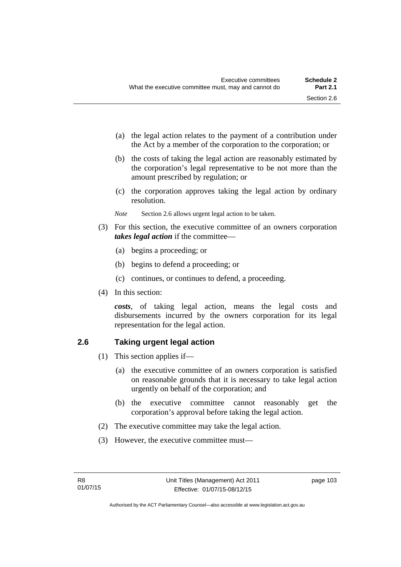- (a) the legal action relates to the payment of a contribution under the Act by a member of the corporation to the corporation; or
- (b) the costs of taking the legal action are reasonably estimated by the corporation's legal representative to be not more than the amount prescribed by regulation; or
- (c) the corporation approves taking the legal action by ordinary resolution.
- *Note* Section 2.6 allows urgent legal action to be taken.
- (3) For this section, the executive committee of an owners corporation *takes legal action* if the committee—
	- (a) begins a proceeding; or
	- (b) begins to defend a proceeding; or
	- (c) continues, or continues to defend, a proceeding.
- (4) In this section:

*costs*, of taking legal action, means the legal costs and disbursements incurred by the owners corporation for its legal representation for the legal action.

## **2.6 Taking urgent legal action**

- (1) This section applies if—
	- (a) the executive committee of an owners corporation is satisfied on reasonable grounds that it is necessary to take legal action urgently on behalf of the corporation; and
	- (b) the executive committee cannot reasonably get the corporation's approval before taking the legal action.
- (2) The executive committee may take the legal action.
- (3) However, the executive committee must—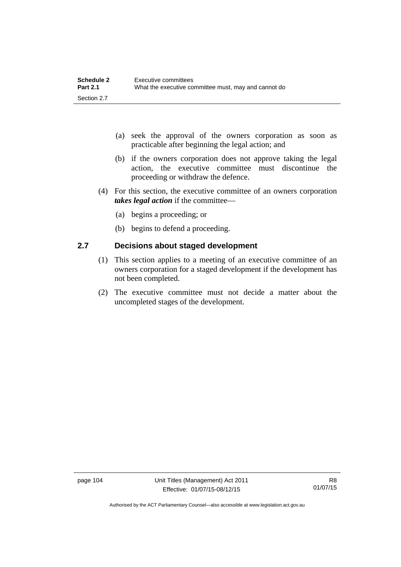| <b>Schedule 2</b> | Executive committees                                 |
|-------------------|------------------------------------------------------|
| <b>Part 2.1</b>   | What the executive committee must, may and cannot do |
| Section 2.7       |                                                      |

- (a) seek the approval of the owners corporation as soon as practicable after beginning the legal action; and
- (b) if the owners corporation does not approve taking the legal action, the executive committee must discontinue the proceeding or withdraw the defence.
- (4) For this section, the executive committee of an owners corporation *takes legal action* if the committee—
	- (a) begins a proceeding; or
	- (b) begins to defend a proceeding.

## **2.7 Decisions about staged development**

- (1) This section applies to a meeting of an executive committee of an owners corporation for a staged development if the development has not been completed.
- (2) The executive committee must not decide a matter about the uncompleted stages of the development.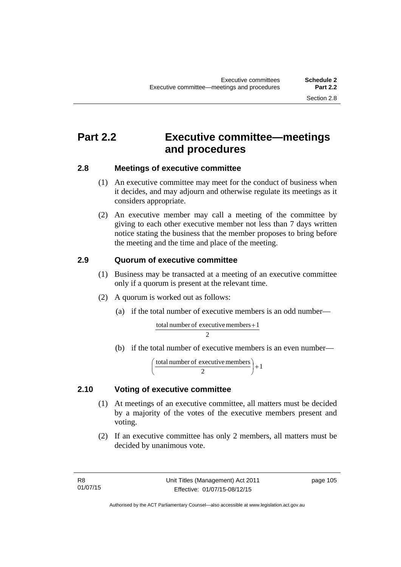## **Part 2.2 Executive committee—meetings and procedures**

### **2.8 Meetings of executive committee**

- (1) An executive committee may meet for the conduct of business when it decides, and may adjourn and otherwise regulate its meetings as it considers appropriate.
- (2) An executive member may call a meeting of the committee by giving to each other executive member not less than 7 days written notice stating the business that the member proposes to bring before the meeting and the time and place of the meeting.

## **2.9 Quorum of executive committee**

- (1) Business may be transacted at a meeting of an executive committee only if a quorum is present at the relevant time.
- (2) A quorum is worked out as follows:
	- (a) if the total number of executive members is an odd number—

 $\overline{2}$ total number of executive members  $+1$ 

(b) if the total number of executive members is an even number—

$$
\left(\frac{\text{total number of executive members}}{2}\right) + 1
$$

## **2.10 Voting of executive committee**

- (1) At meetings of an executive committee, all matters must be decided by a majority of the votes of the executive members present and voting.
- (2) If an executive committee has only 2 members, all matters must be decided by unanimous vote.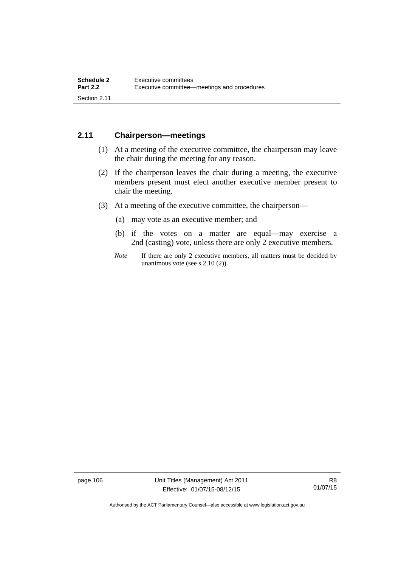## **2.11 Chairperson—meetings**

- (1) At a meeting of the executive committee, the chairperson may leave the chair during the meeting for any reason.
- (2) If the chairperson leaves the chair during a meeting, the executive members present must elect another executive member present to chair the meeting.
- (3) At a meeting of the executive committee, the chairperson—
	- (a) may vote as an executive member; and
	- (b) if the votes on a matter are equal—may exercise a 2nd (casting) vote, unless there are only 2 executive members.
	- *Note* If there are only 2 executive members, all matters must be decided by unanimous vote (see s 2.10 (2)).

page 106 Unit Titles (Management) Act 2011 Effective: 01/07/15-08/12/15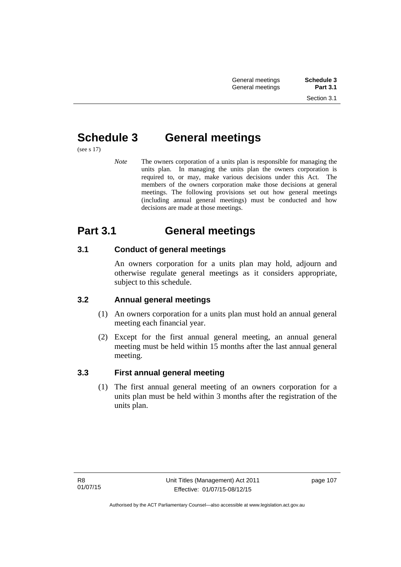# **Schedule 3 General meetings**

(see s 17)

*Note* The owners corporation of a units plan is responsible for managing the units plan. In managing the units plan the owners corporation is required to, or may, make various decisions under this Act. The members of the owners corporation make those decisions at general meetings. The following provisions set out how general meetings (including annual general meetings) must be conducted and how decisions are made at those meetings.

# **Part 3.1 General meetings**

## **3.1 Conduct of general meetings**

An owners corporation for a units plan may hold, adjourn and otherwise regulate general meetings as it considers appropriate, subject to this schedule.

## **3.2 Annual general meetings**

- (1) An owners corporation for a units plan must hold an annual general meeting each financial year.
- (2) Except for the first annual general meeting, an annual general meeting must be held within 15 months after the last annual general meeting.

## **3.3 First annual general meeting**

(1) The first annual general meeting of an owners corporation for a units plan must be held within 3 months after the registration of the units plan.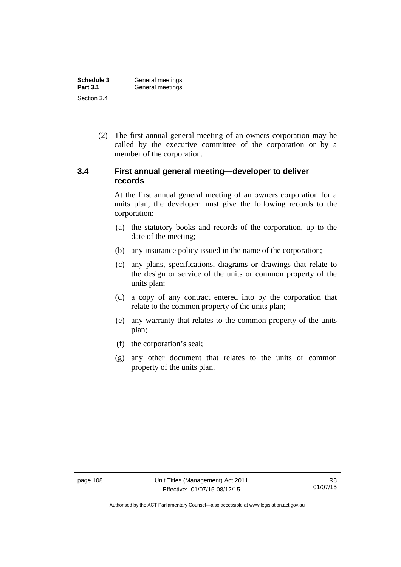| Schedule 3      | General meetings |
|-----------------|------------------|
| <b>Part 3.1</b> | General meetings |
| Section 3.4     |                  |

 (2) The first annual general meeting of an owners corporation may be called by the executive committee of the corporation or by a member of the corporation.

### **3.4 First annual general meeting—developer to deliver records**

At the first annual general meeting of an owners corporation for a units plan, the developer must give the following records to the corporation:

- (a) the statutory books and records of the corporation, up to the date of the meeting;
- (b) any insurance policy issued in the name of the corporation;
- (c) any plans, specifications, diagrams or drawings that relate to the design or service of the units or common property of the units plan;
- (d) a copy of any contract entered into by the corporation that relate to the common property of the units plan;
- (e) any warranty that relates to the common property of the units plan;
- (f) the corporation's seal;
- (g) any other document that relates to the units or common property of the units plan.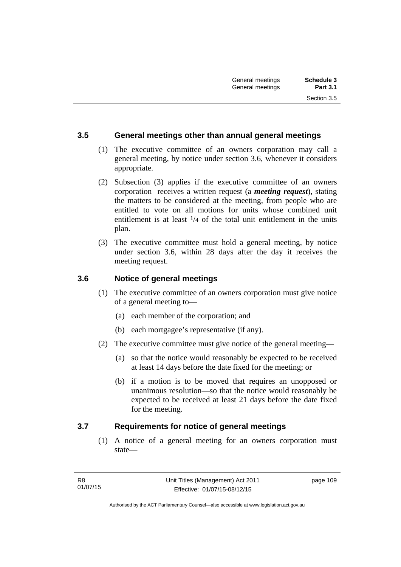#### **3.5 General meetings other than annual general meetings**

- (1) The executive committee of an owners corporation may call a general meeting, by notice under section 3.6, whenever it considers appropriate.
- (2) Subsection (3) applies if the executive committee of an owners corporation receives a written request (a *meeting request*), stating the matters to be considered at the meeting, from people who are entitled to vote on all motions for units whose combined unit entitlement is at least  $\frac{1}{4}$  of the total unit entitlement in the units plan.
- (3) The executive committee must hold a general meeting, by notice under section 3.6, within 28 days after the day it receives the meeting request.

## **3.6 Notice of general meetings**

- (1) The executive committee of an owners corporation must give notice of a general meeting to—
	- (a) each member of the corporation; and
	- (b) each mortgagee's representative (if any).
- (2) The executive committee must give notice of the general meeting—
	- (a) so that the notice would reasonably be expected to be received at least 14 days before the date fixed for the meeting; or
	- (b) if a motion is to be moved that requires an unopposed or unanimous resolution—so that the notice would reasonably be expected to be received at least 21 days before the date fixed for the meeting.

#### **3.7 Requirements for notice of general meetings**

(1) A notice of a general meeting for an owners corporation must state—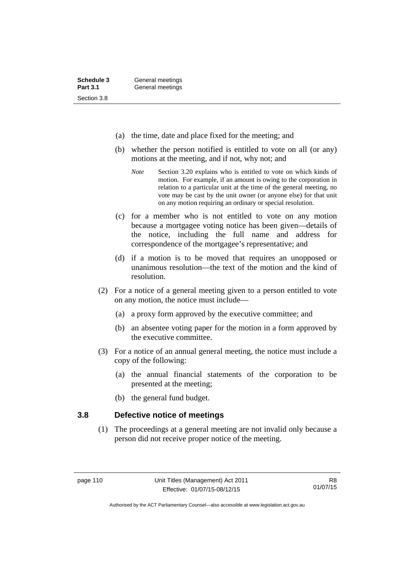| Schedule 3      | General meetings |
|-----------------|------------------|
| <b>Part 3.1</b> | General meetings |
| Section 3.8     |                  |

- (a) the time, date and place fixed for the meeting; and
- (b) whether the person notified is entitled to vote on all (or any) motions at the meeting, and if not, why not; and
	- *Note* Section 3.20 explains who is entitled to vote on which kinds of motion. For example, if an amount is owing to the corporation in relation to a particular unit at the time of the general meeting, no vote may be cast by the unit owner (or anyone else) for that unit on any motion requiring an ordinary or special resolution.
- (c) for a member who is not entitled to vote on any motion because a mortgagee voting notice has been given—details of the notice, including the full name and address for correspondence of the mortgagee's representative; and
- (d) if a motion is to be moved that requires an unopposed or unanimous resolution—the text of the motion and the kind of resolution.
- (2) For a notice of a general meeting given to a person entitled to vote on any motion, the notice must include—
	- (a) a proxy form approved by the executive committee; and
	- (b) an absentee voting paper for the motion in a form approved by the executive committee.
- (3) For a notice of an annual general meeting, the notice must include a copy of the following:
	- (a) the annual financial statements of the corporation to be presented at the meeting;
	- (b) the general fund budget.

#### **3.8 Defective notice of meetings**

(1) The proceedings at a general meeting are not invalid only because a person did not receive proper notice of the meeting.

Authorised by the ACT Parliamentary Counsel—also accessible at www.legislation.act.gov.au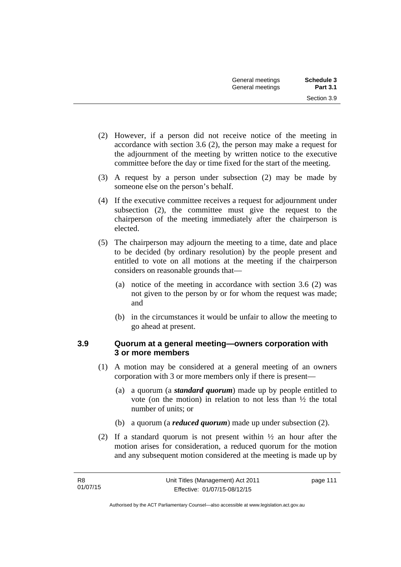- (2) However, if a person did not receive notice of the meeting in accordance with section 3.6 (2), the person may make a request for the adjournment of the meeting by written notice to the executive committee before the day or time fixed for the start of the meeting.
- (3) A request by a person under subsection (2) may be made by someone else on the person's behalf.
- (4) If the executive committee receives a request for adjournment under subsection (2), the committee must give the request to the chairperson of the meeting immediately after the chairperson is elected.
- (5) The chairperson may adjourn the meeting to a time, date and place to be decided (by ordinary resolution) by the people present and entitled to vote on all motions at the meeting if the chairperson considers on reasonable grounds that—
	- (a) notice of the meeting in accordance with section 3.6 (2) was not given to the person by or for whom the request was made; and
	- (b) in the circumstances it would be unfair to allow the meeting to go ahead at present.

### **3.9 Quorum at a general meeting—owners corporation with 3 or more members**

- (1) A motion may be considered at a general meeting of an owners corporation with 3 or more members only if there is present—
	- (a) a quorum (a *standard quorum*) made up by people entitled to vote (on the motion) in relation to not less than  $\frac{1}{2}$  the total number of units; or
	- (b) a quorum (a *reduced quorum*) made up under subsection (2).
- (2) If a standard quorum is not present within ½ an hour after the motion arises for consideration, a reduced quorum for the motion and any subsequent motion considered at the meeting is made up by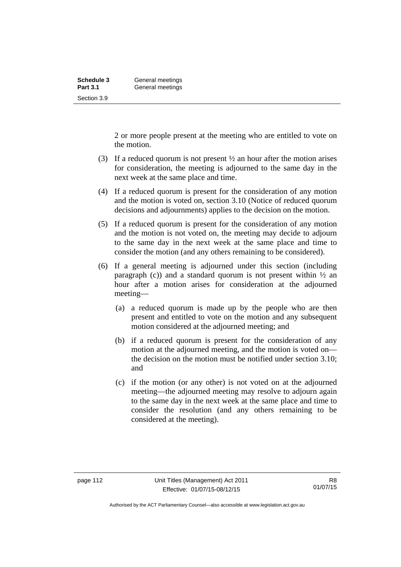| Schedule 3      | General meetings |
|-----------------|------------------|
| <b>Part 3.1</b> | General meetings |
| Section 3.9     |                  |

2 or more people present at the meeting who are entitled to vote on the motion.

- (3) If a reduced quorum is not present ½ an hour after the motion arises for consideration, the meeting is adjourned to the same day in the next week at the same place and time.
- (4) If a reduced quorum is present for the consideration of any motion and the motion is voted on, section 3.10 (Notice of reduced quorum decisions and adjournments) applies to the decision on the motion.
- (5) If a reduced quorum is present for the consideration of any motion and the motion is not voted on, the meeting may decide to adjourn to the same day in the next week at the same place and time to consider the motion (and any others remaining to be considered).
- (6) If a general meeting is adjourned under this section (including paragraph (c)) and a standard quorum is not present within  $\frac{1}{2}$  an hour after a motion arises for consideration at the adjourned meeting—
	- (a) a reduced quorum is made up by the people who are then present and entitled to vote on the motion and any subsequent motion considered at the adjourned meeting; and
	- (b) if a reduced quorum is present for the consideration of any motion at the adjourned meeting, and the motion is voted on the decision on the motion must be notified under section 3.10; and
	- (c) if the motion (or any other) is not voted on at the adjourned meeting—the adjourned meeting may resolve to adjourn again to the same day in the next week at the same place and time to consider the resolution (and any others remaining to be considered at the meeting).

Authorised by the ACT Parliamentary Counsel—also accessible at www.legislation.act.gov.au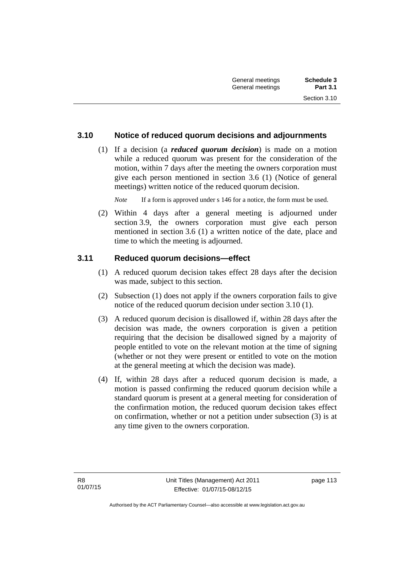## **3.10 Notice of reduced quorum decisions and adjournments**

 (1) If a decision (a *reduced quorum decision*) is made on a motion while a reduced quorum was present for the consideration of the motion, within 7 days after the meeting the owners corporation must give each person mentioned in section 3.6 (1) (Notice of general meetings) written notice of the reduced quorum decision.

*Note* If a form is approved under s 146 for a notice, the form must be used.

 (2) Within 4 days after a general meeting is adjourned under section 3.9, the owners corporation must give each person mentioned in section 3.6 (1) a written notice of the date, place and time to which the meeting is adjourned.

#### **3.11 Reduced quorum decisions—effect**

- (1) A reduced quorum decision takes effect 28 days after the decision was made, subject to this section.
- (2) Subsection (1) does not apply if the owners corporation fails to give notice of the reduced quorum decision under section 3.10 (1).
- (3) A reduced quorum decision is disallowed if, within 28 days after the decision was made, the owners corporation is given a petition requiring that the decision be disallowed signed by a majority of people entitled to vote on the relevant motion at the time of signing (whether or not they were present or entitled to vote on the motion at the general meeting at which the decision was made).
- (4) If, within 28 days after a reduced quorum decision is made, a motion is passed confirming the reduced quorum decision while a standard quorum is present at a general meeting for consideration of the confirmation motion, the reduced quorum decision takes effect on confirmation, whether or not a petition under subsection (3) is at any time given to the owners corporation.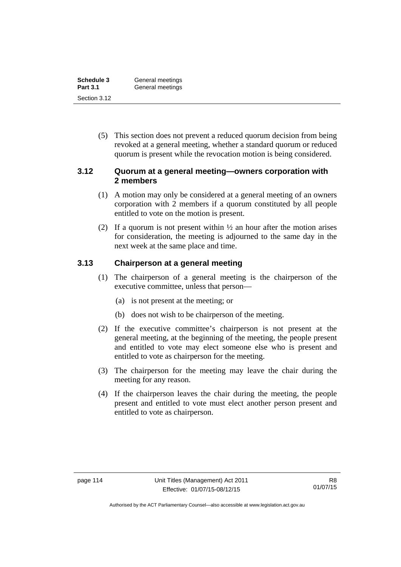| Schedule 3      | General meetings |
|-----------------|------------------|
| <b>Part 3.1</b> | General meetings |
| Section 3.12    |                  |

 (5) This section does not prevent a reduced quorum decision from being revoked at a general meeting, whether a standard quorum or reduced quorum is present while the revocation motion is being considered.

### **3.12 Quorum at a general meeting—owners corporation with 2 members**

- (1) A motion may only be considered at a general meeting of an owners corporation with 2 members if a quorum constituted by all people entitled to vote on the motion is present.
- (2) If a quorum is not present within  $\frac{1}{2}$  an hour after the motion arises for consideration, the meeting is adjourned to the same day in the next week at the same place and time.

### **3.13 Chairperson at a general meeting**

- (1) The chairperson of a general meeting is the chairperson of the executive committee, unless that person—
	- (a) is not present at the meeting; or
	- (b) does not wish to be chairperson of the meeting.
- (2) If the executive committee's chairperson is not present at the general meeting, at the beginning of the meeting, the people present and entitled to vote may elect someone else who is present and entitled to vote as chairperson for the meeting.
- (3) The chairperson for the meeting may leave the chair during the meeting for any reason.
- (4) If the chairperson leaves the chair during the meeting, the people present and entitled to vote must elect another person present and entitled to vote as chairperson.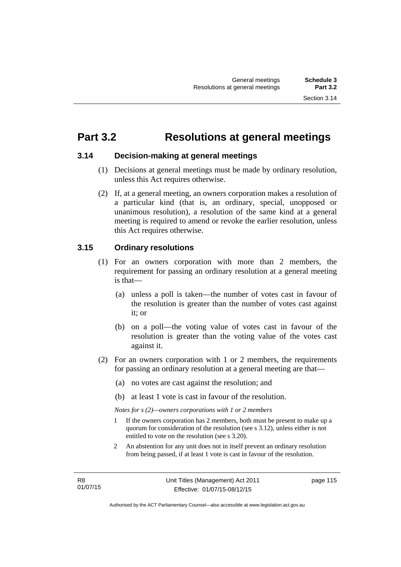## **Part 3.2 Resolutions at general meetings**

### **3.14 Decision-making at general meetings**

- (1) Decisions at general meetings must be made by ordinary resolution, unless this Act requires otherwise.
- (2) If, at a general meeting, an owners corporation makes a resolution of a particular kind (that is, an ordinary, special, unopposed or unanimous resolution), a resolution of the same kind at a general meeting is required to amend or revoke the earlier resolution, unless this Act requires otherwise.

## **3.15 Ordinary resolutions**

- (1) For an owners corporation with more than 2 members, the requirement for passing an ordinary resolution at a general meeting is that—
	- (a) unless a poll is taken—the number of votes cast in favour of the resolution is greater than the number of votes cast against it; or
	- (b) on a poll—the voting value of votes cast in favour of the resolution is greater than the voting value of the votes cast against it.
- (2) For an owners corporation with 1 or 2 members, the requirements for passing an ordinary resolution at a general meeting are that—
	- (a) no votes are cast against the resolution; and
	- (b) at least 1 vote is cast in favour of the resolution.

*Notes for s (2)—owners corporations with 1 or 2 members* 

- 1 If the owners corporation has 2 members, both must be present to make up a quorum for consideration of the resolution (see s 3.12), unless either is not entitled to vote on the resolution (see s 3.20).
- 2 An abstention for any unit does not in itself prevent an ordinary resolution from being passed, if at least 1 vote is cast in favour of the resolution.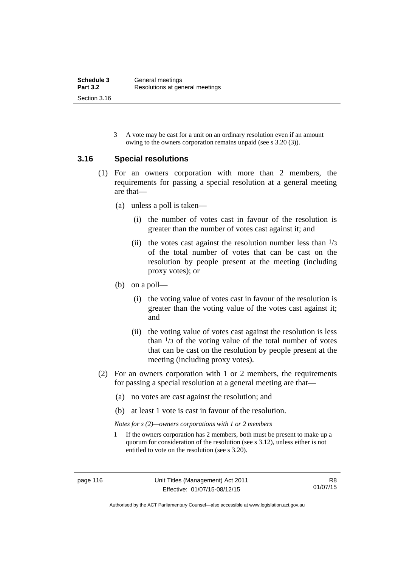3 A vote may be cast for a unit on an ordinary resolution even if an amount owing to the owners corporation remains unpaid (see s 3.20 (3)).

### **3.16 Special resolutions**

- (1) For an owners corporation with more than 2 members, the requirements for passing a special resolution at a general meeting are that—
	- (a) unless a poll is taken—
		- (i) the number of votes cast in favour of the resolution is greater than the number of votes cast against it; and
		- (ii) the votes cast against the resolution number less than  $\frac{1}{3}$ of the total number of votes that can be cast on the resolution by people present at the meeting (including proxy votes); or
	- (b) on a poll—
		- (i) the voting value of votes cast in favour of the resolution is greater than the voting value of the votes cast against it; and
		- (ii) the voting value of votes cast against the resolution is less than  $\frac{1}{3}$  of the voting value of the total number of votes that can be cast on the resolution by people present at the meeting (including proxy votes).
- (2) For an owners corporation with 1 or 2 members, the requirements for passing a special resolution at a general meeting are that—
	- (a) no votes are cast against the resolution; and
	- (b) at least 1 vote is cast in favour of the resolution.

*Notes for s (2)—owners corporations with 1 or 2 members* 

1 If the owners corporation has 2 members, both must be present to make up a quorum for consideration of the resolution (see s 3.12), unless either is not entitled to vote on the resolution (see s 3.20).

Authorised by the ACT Parliamentary Counsel—also accessible at www.legislation.act.gov.au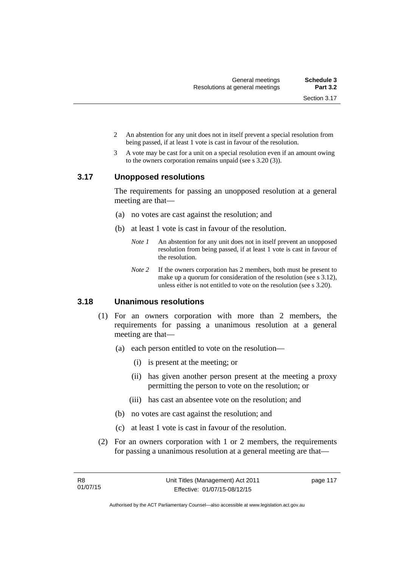- 2 An abstention for any unit does not in itself prevent a special resolution from being passed, if at least 1 vote is cast in favour of the resolution.
- 3 A vote may be cast for a unit on a special resolution even if an amount owing to the owners corporation remains unpaid (see s 3.20 (3)).

#### **3.17 Unopposed resolutions**

The requirements for passing an unopposed resolution at a general meeting are that—

- (a) no votes are cast against the resolution; and
- (b) at least 1 vote is cast in favour of the resolution.
	- *Note 1* An abstention for any unit does not in itself prevent an unopposed resolution from being passed, if at least 1 vote is cast in favour of the resolution.
	- *Note* 2 If the owners corporation has 2 members, both must be present to make up a quorum for consideration of the resolution (see s 3.12), unless either is not entitled to vote on the resolution (see s 3.20).

## **3.18 Unanimous resolutions**

- (1) For an owners corporation with more than 2 members, the requirements for passing a unanimous resolution at a general meeting are that—
	- (a) each person entitled to vote on the resolution—
		- (i) is present at the meeting; or
		- (ii) has given another person present at the meeting a proxy permitting the person to vote on the resolution; or
		- (iii) has cast an absentee vote on the resolution; and
	- (b) no votes are cast against the resolution; and
	- (c) at least 1 vote is cast in favour of the resolution.
- (2) For an owners corporation with 1 or 2 members, the requirements for passing a unanimous resolution at a general meeting are that—

page 117

Authorised by the ACT Parliamentary Counsel—also accessible at www.legislation.act.gov.au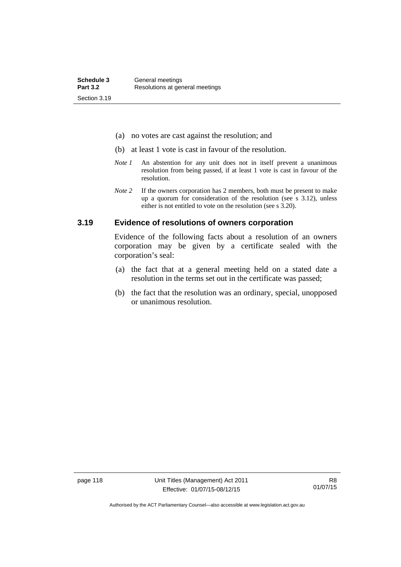- (a) no votes are cast against the resolution; and
- (b) at least 1 vote is cast in favour of the resolution.
- *Note 1* An abstention for any unit does not in itself prevent a unanimous resolution from being passed, if at least 1 vote is cast in favour of the resolution.
- *Note* 2 If the owners corporation has 2 members, both must be present to make up a quorum for consideration of the resolution (see s 3.12), unless either is not entitled to vote on the resolution (see s 3.20).

#### **3.19 Evidence of resolutions of owners corporation**

Evidence of the following facts about a resolution of an owners corporation may be given by a certificate sealed with the corporation's seal:

- (a) the fact that at a general meeting held on a stated date a resolution in the terms set out in the certificate was passed;
- (b) the fact that the resolution was an ordinary, special, unopposed or unanimous resolution.

page 118 Unit Titles (Management) Act 2011 Effective: 01/07/15-08/12/15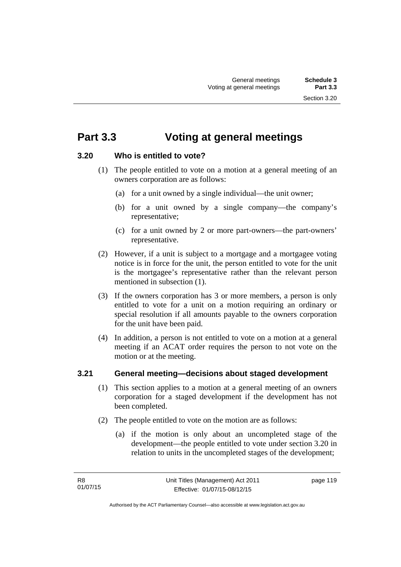## **Part 3.3 Voting at general meetings**

## **3.20 Who is entitled to vote?**

- (1) The people entitled to vote on a motion at a general meeting of an owners corporation are as follows:
	- (a) for a unit owned by a single individual—the unit owner;
	- (b) for a unit owned by a single company—the company's representative;
	- (c) for a unit owned by 2 or more part-owners—the part-owners' representative.
- (2) However, if a unit is subject to a mortgage and a mortgagee voting notice is in force for the unit, the person entitled to vote for the unit is the mortgagee's representative rather than the relevant person mentioned in subsection (1).
- (3) If the owners corporation has 3 or more members, a person is only entitled to vote for a unit on a motion requiring an ordinary or special resolution if all amounts payable to the owners corporation for the unit have been paid.
- (4) In addition, a person is not entitled to vote on a motion at a general meeting if an ACAT order requires the person to not vote on the motion or at the meeting.

## **3.21 General meeting—decisions about staged development**

- (1) This section applies to a motion at a general meeting of an owners corporation for a staged development if the development has not been completed.
- (2) The people entitled to vote on the motion are as follows:
	- (a) if the motion is only about an uncompleted stage of the development—the people entitled to vote under section 3.20 in relation to units in the uncompleted stages of the development;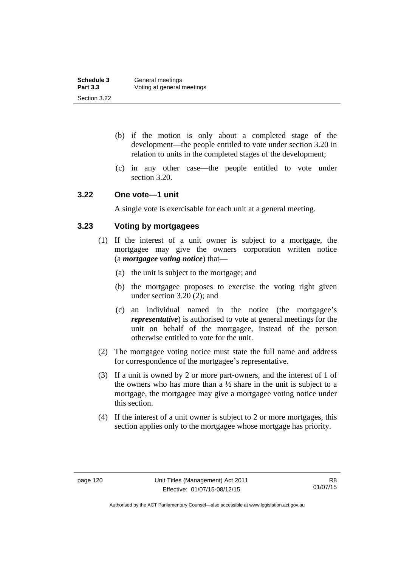| Schedule 3      | General meetings           |
|-----------------|----------------------------|
| <b>Part 3.3</b> | Voting at general meetings |
| Section 3.22    |                            |

- (b) if the motion is only about a completed stage of the development—the people entitled to vote under section 3.20 in relation to units in the completed stages of the development;
- (c) in any other case—the people entitled to vote under section 3.20.

#### **3.22 One vote—1 unit**

A single vote is exercisable for each unit at a general meeting.

## **3.23 Voting by mortgagees**

- (1) If the interest of a unit owner is subject to a mortgage, the mortgagee may give the owners corporation written notice (a *mortgagee voting notice*) that—
	- (a) the unit is subject to the mortgage; and
	- (b) the mortgagee proposes to exercise the voting right given under section 3.20 (2); and
	- (c) an individual named in the notice (the mortgagee's *representative*) is authorised to vote at general meetings for the unit on behalf of the mortgagee, instead of the person otherwise entitled to vote for the unit.
- (2) The mortgagee voting notice must state the full name and address for correspondence of the mortgagee's representative.
- (3) If a unit is owned by 2 or more part-owners, and the interest of 1 of the owners who has more than a  $\frac{1}{2}$  share in the unit is subject to a mortgage, the mortgagee may give a mortgagee voting notice under this section.
- (4) If the interest of a unit owner is subject to 2 or more mortgages, this section applies only to the mortgagee whose mortgage has priority.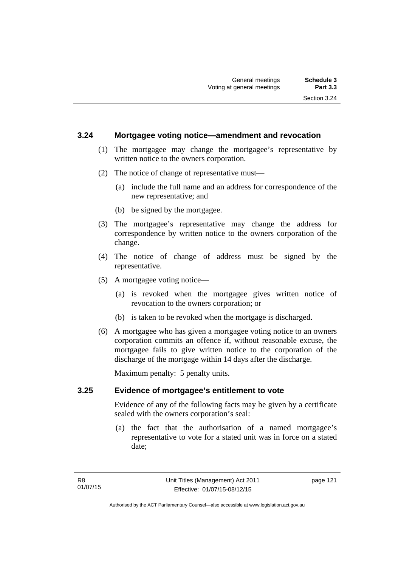#### **3.24 Mortgagee voting notice—amendment and revocation**

- (1) The mortgagee may change the mortgagee's representative by written notice to the owners corporation.
- (2) The notice of change of representative must—
	- (a) include the full name and an address for correspondence of the new representative; and
	- (b) be signed by the mortgagee.
- (3) The mortgagee's representative may change the address for correspondence by written notice to the owners corporation of the change.
- (4) The notice of change of address must be signed by the representative.
- (5) A mortgagee voting notice—
	- (a) is revoked when the mortgagee gives written notice of revocation to the owners corporation; or
	- (b) is taken to be revoked when the mortgage is discharged.
- (6) A mortgagee who has given a mortgagee voting notice to an owners corporation commits an offence if, without reasonable excuse, the mortgagee fails to give written notice to the corporation of the discharge of the mortgage within 14 days after the discharge.

Maximum penalty: 5 penalty units.

#### **3.25 Evidence of mortgagee's entitlement to vote**

Evidence of any of the following facts may be given by a certificate sealed with the owners corporation's seal:

 (a) the fact that the authorisation of a named mortgagee's representative to vote for a stated unit was in force on a stated date;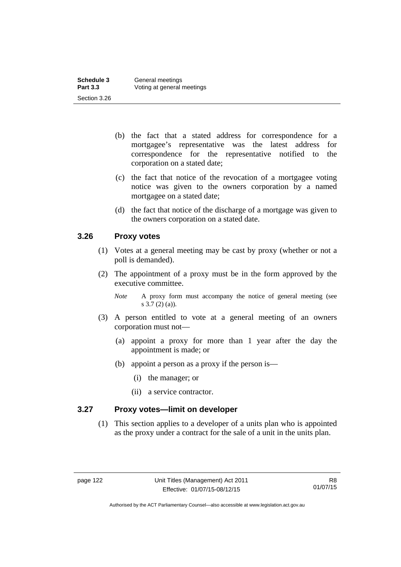| Schedule 3      | General meetings           |
|-----------------|----------------------------|
| <b>Part 3.3</b> | Voting at general meetings |
| Section 3.26    |                            |

- (b) the fact that a stated address for correspondence for a mortgagee's representative was the latest address for correspondence for the representative notified to the corporation on a stated date;
- (c) the fact that notice of the revocation of a mortgagee voting notice was given to the owners corporation by a named mortgagee on a stated date;
- (d) the fact that notice of the discharge of a mortgage was given to the owners corporation on a stated date.

### **3.26 Proxy votes**

- (1) Votes at a general meeting may be cast by proxy (whether or not a poll is demanded).
- (2) The appointment of a proxy must be in the form approved by the executive committee.
	- *Note* A proxy form must accompany the notice of general meeting (see s 3.7 (2) (a)).
- (3) A person entitled to vote at a general meeting of an owners corporation must not—
	- (a) appoint a proxy for more than 1 year after the day the appointment is made; or
	- (b) appoint a person as a proxy if the person is—
		- (i) the manager; or
		- (ii) a service contractor.

### **3.27 Proxy votes—limit on developer**

(1) This section applies to a developer of a units plan who is appointed as the proxy under a contract for the sale of a unit in the units plan.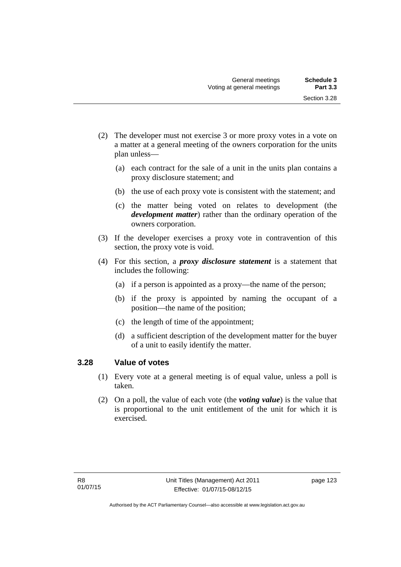- (2) The developer must not exercise 3 or more proxy votes in a vote on a matter at a general meeting of the owners corporation for the units plan unless—
	- (a) each contract for the sale of a unit in the units plan contains a proxy disclosure statement; and
	- (b) the use of each proxy vote is consistent with the statement; and
	- (c) the matter being voted on relates to development (the *development matter*) rather than the ordinary operation of the owners corporation.
- (3) If the developer exercises a proxy vote in contravention of this section, the proxy vote is void.
- (4) For this section, a *proxy disclosure statement* is a statement that includes the following:
	- (a) if a person is appointed as a proxy—the name of the person;
	- (b) if the proxy is appointed by naming the occupant of a position—the name of the position;
	- (c) the length of time of the appointment;
	- (d) a sufficient description of the development matter for the buyer of a unit to easily identify the matter.

#### **3.28 Value of votes**

- (1) Every vote at a general meeting is of equal value, unless a poll is taken.
- (2) On a poll, the value of each vote (the *voting value*) is the value that is proportional to the unit entitlement of the unit for which it is exercised.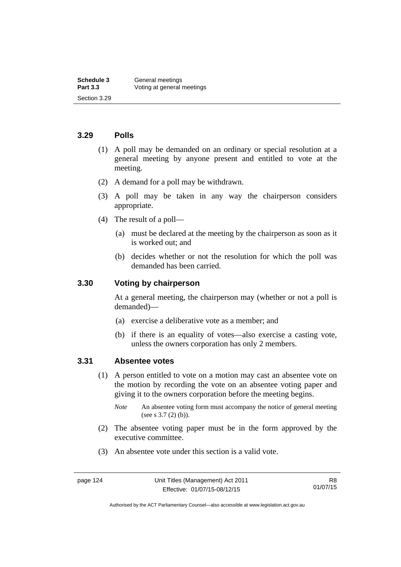#### **3.29 Polls**

- (1) A poll may be demanded on an ordinary or special resolution at a general meeting by anyone present and entitled to vote at the meeting.
- (2) A demand for a poll may be withdrawn.
- (3) A poll may be taken in any way the chairperson considers appropriate.
- (4) The result of a poll—
	- (a) must be declared at the meeting by the chairperson as soon as it is worked out; and
	- (b) decides whether or not the resolution for which the poll was demanded has been carried.

#### **3.30 Voting by chairperson**

At a general meeting, the chairperson may (whether or not a poll is demanded)—

- (a) exercise a deliberative vote as a member; and
- (b) if there is an equality of votes—also exercise a casting vote, unless the owners corporation has only 2 members.

#### **3.31 Absentee votes**

- (1) A person entitled to vote on a motion may cast an absentee vote on the motion by recording the vote on an absentee voting paper and giving it to the owners corporation before the meeting begins.
	- *Note* An absentee voting form must accompany the notice of general meeting (see s 3.7 (2) (b)).
- (2) The absentee voting paper must be in the form approved by the executive committee.
- (3) An absentee vote under this section is a valid vote.

Authorised by the ACT Parliamentary Counsel—also accessible at www.legislation.act.gov.au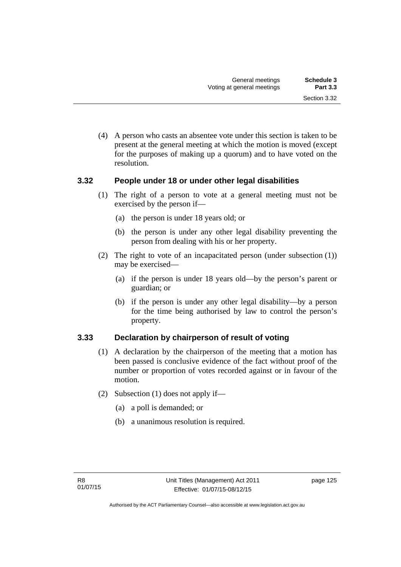(4) A person who casts an absentee vote under this section is taken to be present at the general meeting at which the motion is moved (except for the purposes of making up a quorum) and to have voted on the resolution.

### **3.32 People under 18 or under other legal disabilities**

- (1) The right of a person to vote at a general meeting must not be exercised by the person if—
	- (a) the person is under 18 years old; or
	- (b) the person is under any other legal disability preventing the person from dealing with his or her property.
- (2) The right to vote of an incapacitated person (under subsection (1)) may be exercised—
	- (a) if the person is under 18 years old—by the person's parent or guardian; or
	- (b) if the person is under any other legal disability—by a person for the time being authorised by law to control the person's property.

## **3.33 Declaration by chairperson of result of voting**

- (1) A declaration by the chairperson of the meeting that a motion has been passed is conclusive evidence of the fact without proof of the number or proportion of votes recorded against or in favour of the motion.
- (2) Subsection (1) does not apply if—
	- (a) a poll is demanded; or
	- (b) a unanimous resolution is required.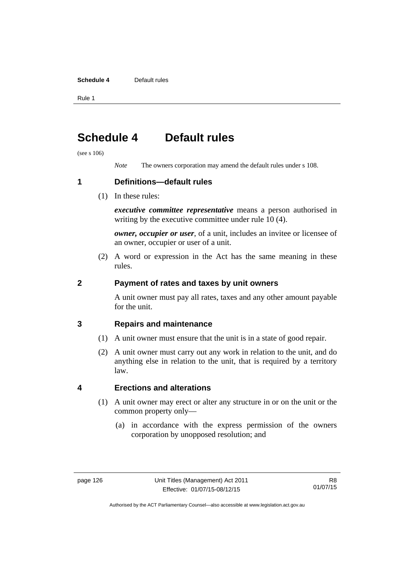#### **Schedule 4** Default rules

Rule 1

# **Schedule 4 Default rules**

(see s 106)

*Note* The owners corporation may amend the default rules under s 108.

**1 Definitions—default rules** 

(1) In these rules:

*executive committee representative* means a person authorised in writing by the executive committee under rule 10 (4).

*owner, occupier or user*, of a unit, includes an invitee or licensee of an owner, occupier or user of a unit.

 (2) A word or expression in the Act has the same meaning in these rules.

### **2 Payment of rates and taxes by unit owners**

A unit owner must pay all rates, taxes and any other amount payable for the unit.

## **3 Repairs and maintenance**

- (1) A unit owner must ensure that the unit is in a state of good repair.
- (2) A unit owner must carry out any work in relation to the unit, and do anything else in relation to the unit, that is required by a territory law.

## **4 Erections and alterations**

- (1) A unit owner may erect or alter any structure in or on the unit or the common property only—
	- (a) in accordance with the express permission of the owners corporation by unopposed resolution; and

Authorised by the ACT Parliamentary Counsel—also accessible at www.legislation.act.gov.au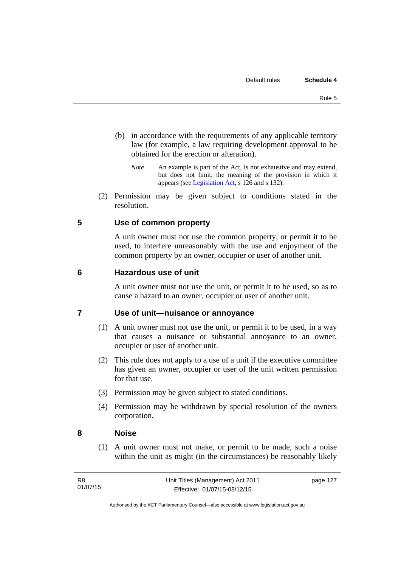- (b) in accordance with the requirements of any applicable territory law (for example, a law requiring development approval to be obtained for the erection or alteration).
	- *Note* An example is part of the Act, is not exhaustive and may extend, but does not limit, the meaning of the provision in which it appears (see [Legislation Act,](http://www.legislation.act.gov.au/a/2001-14) s 126 and s 132).
- (2) Permission may be given subject to conditions stated in the resolution.

### **5 Use of common property**

A unit owner must not use the common property, or permit it to be used, to interfere unreasonably with the use and enjoyment of the common property by an owner, occupier or user of another unit.

#### **6 Hazardous use of unit**

A unit owner must not use the unit, or permit it to be used, so as to cause a hazard to an owner, occupier or user of another unit.

### **7 Use of unit—nuisance or annoyance**

- (1) A unit owner must not use the unit, or permit it to be used, in a way that causes a nuisance or substantial annoyance to an owner, occupier or user of another unit.
- (2) This rule does not apply to a use of a unit if the executive committee has given an owner, occupier or user of the unit written permission for that use.
- (3) Permission may be given subject to stated conditions.
- (4) Permission may be withdrawn by special resolution of the owners corporation.

#### **8 Noise**

(1) A unit owner must not make, or permit to be made, such a noise within the unit as might (in the circumstances) be reasonably likely

page 127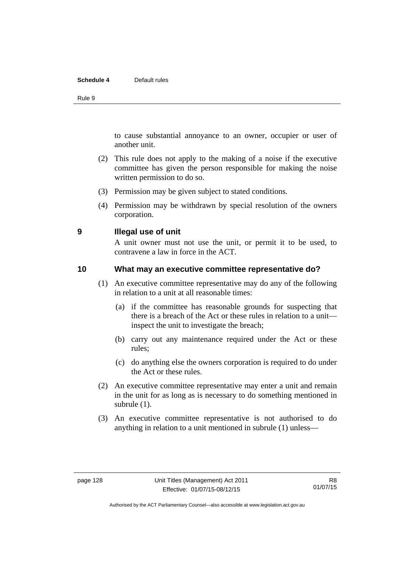#### **Schedule 4** Default rules

Rule 9

to cause substantial annoyance to an owner, occupier or user of another unit.

- (2) This rule does not apply to the making of a noise if the executive committee has given the person responsible for making the noise written permission to do so.
- (3) Permission may be given subject to stated conditions.
- (4) Permission may be withdrawn by special resolution of the owners corporation.

#### **9 Illegal use of unit**

A unit owner must not use the unit, or permit it to be used, to contravene a law in force in the ACT.

### **10 What may an executive committee representative do?**

- (1) An executive committee representative may do any of the following in relation to a unit at all reasonable times:
	- (a) if the committee has reasonable grounds for suspecting that there is a breach of the Act or these rules in relation to a unit inspect the unit to investigate the breach;
	- (b) carry out any maintenance required under the Act or these rules;
	- (c) do anything else the owners corporation is required to do under the Act or these rules.
- (2) An executive committee representative may enter a unit and remain in the unit for as long as is necessary to do something mentioned in subrule (1).
- (3) An executive committee representative is not authorised to do anything in relation to a unit mentioned in subrule (1) unless—

Authorised by the ACT Parliamentary Counsel—also accessible at www.legislation.act.gov.au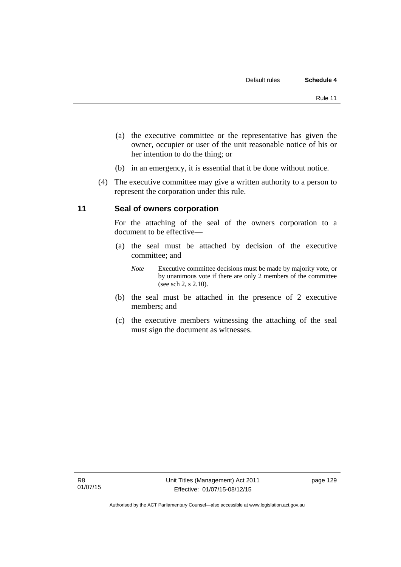- (a) the executive committee or the representative has given the owner, occupier or user of the unit reasonable notice of his or her intention to do the thing; or
- (b) in an emergency, it is essential that it be done without notice.
- (4) The executive committee may give a written authority to a person to represent the corporation under this rule.

### **11 Seal of owners corporation**

For the attaching of the seal of the owners corporation to a document to be effective—

- (a) the seal must be attached by decision of the executive committee; and
	- *Note* Executive committee decisions must be made by majority vote, or by unanimous vote if there are only 2 members of the committee (see sch 2, s 2.10).
- (b) the seal must be attached in the presence of 2 executive members; and
- (c) the executive members witnessing the attaching of the seal must sign the document as witnesses.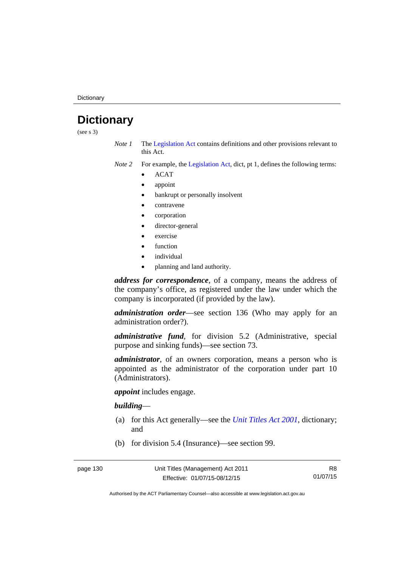## **Dictionary**

(see s 3)

- *Note 1* The [Legislation Act](http://www.legislation.act.gov.au/a/2001-14) contains definitions and other provisions relevant to this Act.
- *Note 2* For example, the [Legislation Act,](http://www.legislation.act.gov.au/a/2001-14) dict, pt 1, defines the following terms:
	- ACAT
	- appoint
	- bankrupt or personally insolvent
	- contravene
	- corporation
	- director-general
	- exercise
	- function
	- individual
	- planning and land authority.

*address for correspondence*, of a company, means the address of the company's office, as registered under the law under which the company is incorporated (if provided by the law).

*administration order*—see section 136 (Who may apply for an administration order?).

*administrative fund*, for division 5.2 (Administrative, special purpose and sinking funds)—see section 73.

*administrator*, of an owners corporation, means a person who is appointed as the administrator of the corporation under part 10 (Administrators).

*appoint* includes engage.

#### *building*—

- (a) for this Act generally—see the *[Unit Titles Act 2001](http://www.legislation.act.gov.au/a/2001-16)*, dictionary; and
- (b) for division 5.4 (Insurance)—see section 99.

R8 01/07/15

Authorised by the ACT Parliamentary Counsel—also accessible at www.legislation.act.gov.au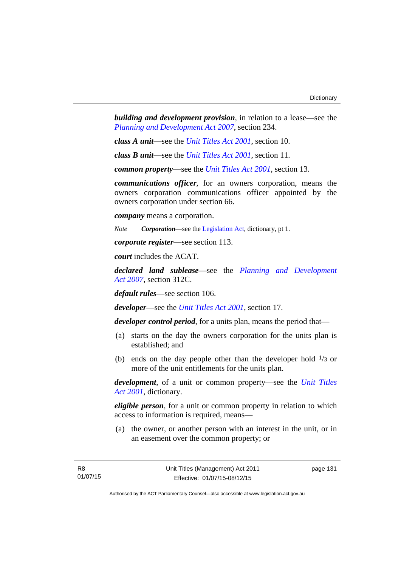*building and development provision*, in relation to a lease—see the *[Planning and Development Act 2007](http://www.legislation.act.gov.au/a/2007-24)*, section 234.

*class A unit*—see the *[Unit Titles Act 2001](http://www.legislation.act.gov.au/a/2001-16)*, section 10.

*class B unit*—see the *[Unit Titles Act 2001](http://www.legislation.act.gov.au/a/2001-16)*, section 11.

*common property*—see the *[Unit Titles Act 2001](http://www.legislation.act.gov.au/a/2001-16)*, section 13.

*communications officer*, for an owners corporation, means the owners corporation communications officer appointed by the owners corporation under section 66.

*company* means a corporation.

*Note Corporation*—see the [Legislation Act,](http://www.legislation.act.gov.au/a/2001-14) dictionary, pt 1.

*corporate register*—see section 113.

*court* includes the ACAT.

*declared land sublease*—see the *[Planning and Development](http://www.legislation.act.gov.au/a/2007-24)  [Act 2007](http://www.legislation.act.gov.au/a/2007-24)*, section 312C.

*default rules*—see section 106.

*developer*—see the *[Unit Titles Act 2001](http://www.legislation.act.gov.au/a/2001-16)*, section 17.

*developer control period*, for a units plan, means the period that—

- (a) starts on the day the owners corporation for the units plan is established; and
- (b) ends on the day people other than the developer hold  $\frac{1}{3}$  or more of the unit entitlements for the units plan.

*development*, of a unit or common property—see the *[Unit Titles](http://www.legislation.act.gov.au/a/2001-16)  [Act 2001](http://www.legislation.act.gov.au/a/2001-16)*, dictionary.

*eligible person*, for a unit or common property in relation to which access to information is required, means—

 (a) the owner, or another person with an interest in the unit, or in an easement over the common property; or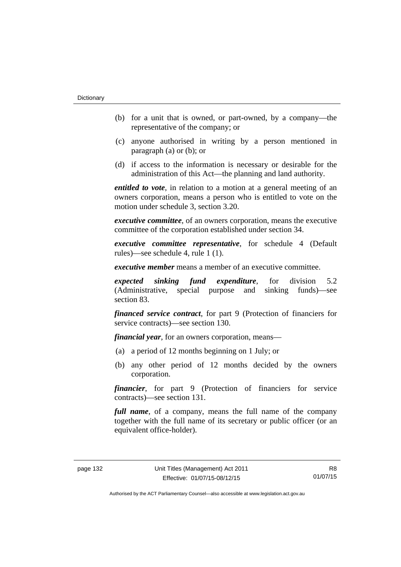- (b) for a unit that is owned, or part-owned, by a company—the representative of the company; or
- (c) anyone authorised in writing by a person mentioned in paragraph (a) or (b); or
- (d) if access to the information is necessary or desirable for the administration of this Act—the planning and land authority.

*entitled to vote*, in relation to a motion at a general meeting of an owners corporation, means a person who is entitled to vote on the motion under schedule 3, section 3.20.

*executive committee*, of an owners corporation, means the executive committee of the corporation established under section 34.

*executive committee representative*, for schedule 4 (Default rules)—see schedule 4, rule 1 (1).

*executive member* means a member of an executive committee.

*expected sinking fund expenditure*, for division 5.2 (Administrative, special purpose and sinking funds)—see section 83.

*financed service contract*, for part 9 (Protection of financiers for service contracts)—see section 130.

*financial year*, for an owners corporation, means—

- (a) a period of 12 months beginning on 1 July; or
- (b) any other period of 12 months decided by the owners corporation.

*financier*, for part 9 (Protection of financiers for service contracts)—see section 131.

*full name*, of a company, means the full name of the company together with the full name of its secretary or public officer (or an equivalent office-holder).

R8 01/07/15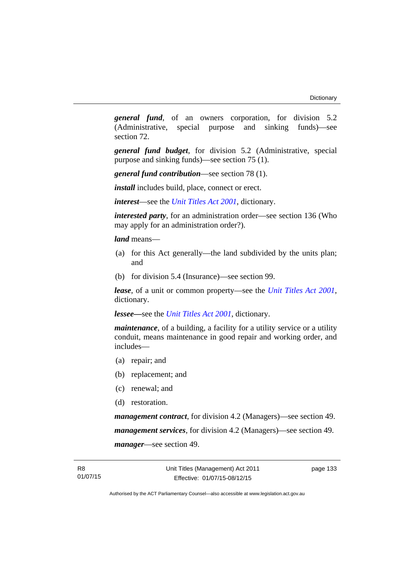*general fund*, of an owners corporation, for division 5.2 (Administrative, special purpose and sinking funds)—see section 72.

*general fund budget*, for division 5.2 (Administrative, special purpose and sinking funds)—see section 75 (1).

*general fund contribution*—see section 78 (1).

*install* includes build, place, connect or erect.

*interest*—see the *[Unit Titles Act 2001](http://www.legislation.act.gov.au/a/2001-16)*, dictionary.

*interested party*, for an administration order—see section 136 (Who may apply for an administration order?).

*land* means—

- (a) for this Act generally—the land subdivided by the units plan; and
- (b) for division 5.4 (Insurance)—see section 99.

*lease*, of a unit or common property—see the *[Unit Titles Act 2001](http://www.legislation.act.gov.au/a/2001-16)*, dictionary.

*lessee—*see the *[Unit Titles Act 2001](http://www.legislation.act.gov.au/a/2001-16)*, dictionary.

*maintenance*, of a building, a facility for a utility service or a utility conduit, means maintenance in good repair and working order, and includes—

- (a) repair; and
- (b) replacement; and
- (c) renewal; and
- (d) restoration.

*management contract*, for division 4.2 (Managers)—see section 49. *management services*, for division 4.2 (Managers)—see section 49. *manager*—see section 49.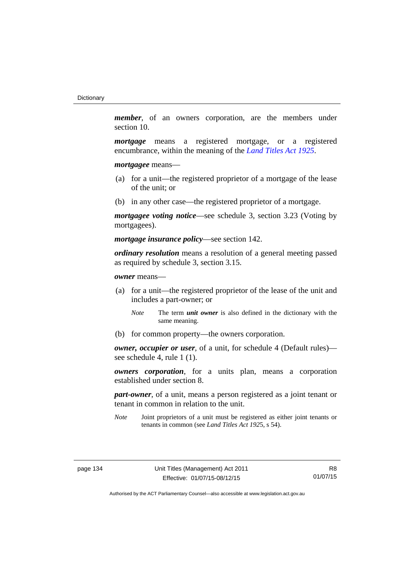*member*, of an owners corporation, are the members under section 10.

*mortgage* means a registered mortgage, or a registered encumbrance, within the meaning of the *[Land Titles Act 1925](http://www.legislation.act.gov.au/a/1925-1)*.

*mortgagee* means—

- (a) for a unit—the registered proprietor of a mortgage of the lease of the unit; or
- (b) in any other case—the registered proprietor of a mortgage.

*mortgagee voting notice*—see schedule 3, section 3.23 (Voting by mortgagees).

*mortgage insurance policy*—see section 142.

*ordinary resolution* means a resolution of a general meeting passed as required by schedule 3, section 3.15.

*owner* means—

- (a) for a unit—the registered proprietor of the lease of the unit and includes a part-owner; or
	- *Note* The term *unit owner* is also defined in the dictionary with the same meaning.
- (b) for common property—the owners corporation.

*owner, occupier or user*, of a unit, for schedule 4 (Default rules) see schedule 4, rule 1 (1).

*owners corporation*, for a units plan, means a corporation established under section 8.

*part-owner*, of a unit, means a person registered as a joint tenant or tenant in common in relation to the unit.

*Note* Joint proprietors of a unit must be registered as either joint tenants or tenants in common (see *Land Titles Act 192*5, s 54).

R8 01/07/15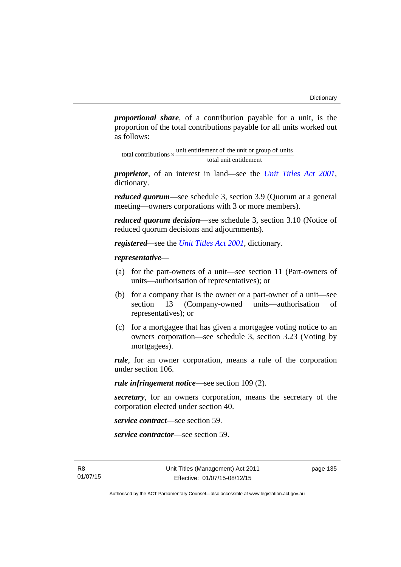*proportional share*, of a contribution payable for a unit, is the proportion of the total contributions payable for all units worked out as follows:

total unit entitlement total contributions  $\times$  unit entitlement of the unit or group of units

*proprietor*, of an interest in land—see the *[Unit Titles Act 2001](http://www.legislation.act.gov.au/a/2001-16)*, dictionary.

*reduced quorum*—see schedule 3, section 3.9 (Quorum at a general meeting—owners corporations with 3 or more members).

*reduced quorum decision*—see schedule 3, section 3.10 (Notice of reduced quorum decisions and adjournments).

*registered—*see the *[Unit Titles Act 2001](http://www.legislation.act.gov.au/a/2001-16)*, dictionary.

#### *representative*—

- (a) for the part-owners of a unit—see section 11 (Part-owners of units—authorisation of representatives); or
- (b) for a company that is the owner or a part-owner of a unit—see section 13 (Company-owned units—authorisation of representatives); or
- (c) for a mortgagee that has given a mortgagee voting notice to an owners corporation—see schedule 3, section 3.23 (Voting by mortgagees).

*rule*, for an owner corporation, means a rule of the corporation under section 106.

*rule infringement notice*—see section 109 (2).

*secretary*, for an owners corporation, means the secretary of the corporation elected under section 40.

*service contract*—see section 59.

*service contractor*—see section 59.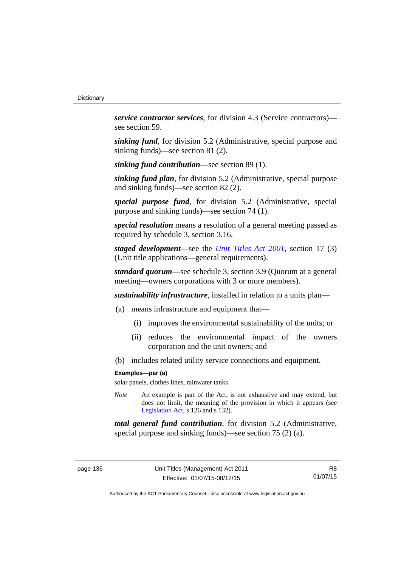*service contractor services*, for division 4.3 (Service contractors) see section 59.

*sinking fund*, for division 5.2 (Administrative, special purpose and sinking funds)—see section 81 (2).

*sinking fund contribution*—see section 89 (1).

*sinking fund plan*, for division 5.2 (Administrative, special purpose and sinking funds)—see section 82 (2).

*special purpose fund*, for division 5.2 (Administrative, special purpose and sinking funds)—see section 74 (1).

*special resolution* means a resolution of a general meeting passed as required by schedule 3, section 3.16.

*staged development*—see the *[Unit Titles Act 2001](http://www.legislation.act.gov.au/a/2001-16)*, section 17 (3) (Unit title applications—general requirements).

*standard quorum*—see schedule 3, section 3.9 (Quorum at a general meeting—owners corporations with 3 or more members).

*sustainability infrastructure*, installed in relation to a units plan—

- (a) means infrastructure and equipment that—
	- (i) improves the environmental sustainability of the units; or
	- (ii) reduces the environmental impact of the owners corporation and the unit owners; and
- (b) includes related utility service connections and equipment.

#### **Examples—par (a)**

solar panels, clothes lines, rainwater tanks

*Note* An example is part of the Act, is not exhaustive and may extend, but does not limit, the meaning of the provision in which it appears (see [Legislation Act,](http://www.legislation.act.gov.au/a/2001-14) s 126 and s 132).

*total general fund contribution*, for division 5.2 (Administrative, special purpose and sinking funds)—see section 75 (2) (a).

R8 01/07/15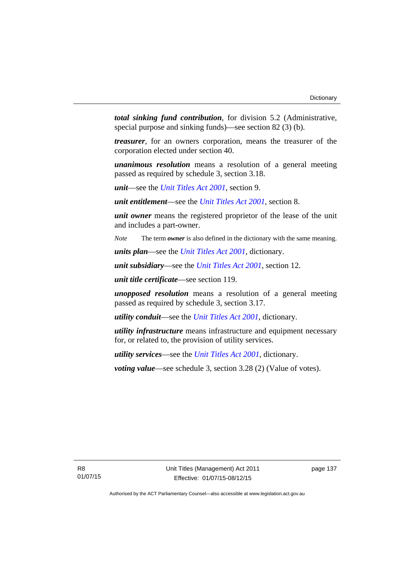*total sinking fund contribution*, for division 5.2 (Administrative, special purpose and sinking funds)—see section 82 (3) (b).

*treasurer*, for an owners corporation, means the treasurer of the corporation elected under section 40.

*unanimous resolution* means a resolution of a general meeting passed as required by schedule 3, section 3.18.

*unit*—see the *[Unit Titles Act 2001](http://www.legislation.act.gov.au/a/2001-16)*, section 9.

*unit entitlement*—see the *[Unit Titles Act 2001](http://www.legislation.act.gov.au/a/2001-16)*, section 8.

*unit owner* means the registered proprietor of the lease of the unit and includes a part-owner.

*Note* The term *owner* is also defined in the dictionary with the same meaning.

*units plan*—see the *[Unit Titles Act 2001](http://www.legislation.act.gov.au/a/2001-16)*, dictionary.

*unit subsidiary*—see the *[Unit Titles Act 2001](http://www.legislation.act.gov.au/a/2001-16)*, section 12.

*unit title certificate*—see section 119.

*unopposed resolution* means a resolution of a general meeting passed as required by schedule 3, section 3.17.

*utility conduit*—see the *[Unit Titles Act 2001](http://www.legislation.act.gov.au/a/2001-16)*, dictionary.

*utility infrastructure* means infrastructure and equipment necessary for, or related to, the provision of utility services.

*utility services*—see the *[Unit Titles Act 2001](http://www.legislation.act.gov.au/a/2001-16)*, dictionary.

*voting value—see schedule 3, section 3.28 (2) (Value of votes).*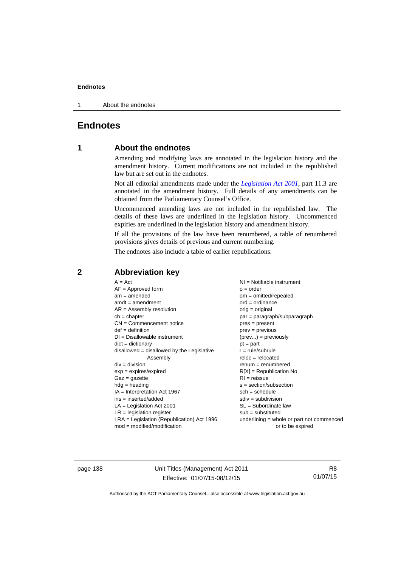1 About the endnotes

# **Endnotes**

# **1 About the endnotes**

Amending and modifying laws are annotated in the legislation history and the amendment history. Current modifications are not included in the republished law but are set out in the endnotes.

Not all editorial amendments made under the *[Legislation Act 2001](http://www.legislation.act.gov.au/a/2001-14)*, part 11.3 are annotated in the amendment history. Full details of any amendments can be obtained from the Parliamentary Counsel's Office.

Uncommenced amending laws are not included in the republished law. The details of these laws are underlined in the legislation history. Uncommenced expiries are underlined in the legislation history and amendment history.

If all the provisions of the law have been renumbered, a table of renumbered provisions gives details of previous and current numbering.

The endnotes also include a table of earlier republications.

| $A = Act$<br>$AF =$ Approved form<br>$am = amended$<br>$amdt = amendment$<br>$AR = Assembly resolution$<br>$ch = chapter$<br>$CN =$ Commencement notice<br>$def = definition$<br>$DI = Disallowable instrument$<br>$dict = dictionary$<br>$disallowed = disallowed by the Legislative$<br>Assembly<br>$div = division$<br>$exp = expires/expired$<br>$Gaz = qazette$<br>$hdg =$ heading<br>$IA = Interpretation Act 1967$<br>$ins = inserted/added$<br>$LA =$ Legislation Act 2001<br>$LR =$ legislation register | NI = Notifiable instrument<br>$o = order$<br>$om = omitted/repealed$<br>$ord = ordinance$<br>$orig = original$<br>par = paragraph/subparagraph<br>$pres = present$<br>$prev = previous$<br>$(\text{prev}) = \text{previously}$<br>$pt = part$<br>$r = rule/subrule$<br>$reloc = relocated$<br>$remum = renumbered$<br>$R[X]$ = Republication No<br>$RI = reissue$<br>$s = section/subsection$<br>$sch = schedule$<br>$sdiv = subdivision$<br>$SL = Subordinate$ law<br>$sub =$ substituted |
|-------------------------------------------------------------------------------------------------------------------------------------------------------------------------------------------------------------------------------------------------------------------------------------------------------------------------------------------------------------------------------------------------------------------------------------------------------------------------------------------------------------------|--------------------------------------------------------------------------------------------------------------------------------------------------------------------------------------------------------------------------------------------------------------------------------------------------------------------------------------------------------------------------------------------------------------------------------------------------------------------------------------------|
| $LRA =$ Legislation (Republication) Act 1996                                                                                                                                                                                                                                                                                                                                                                                                                                                                      |                                                                                                                                                                                                                                                                                                                                                                                                                                                                                            |
| $mod = modified/modification$                                                                                                                                                                                                                                                                                                                                                                                                                                                                                     | $underlining = whole or part not commenced$<br>or to be expired                                                                                                                                                                                                                                                                                                                                                                                                                            |

# **2 Abbreviation key**

page 138 Unit Titles (Management) Act 2011 Effective: 01/07/15-08/12/15

R8 01/07/15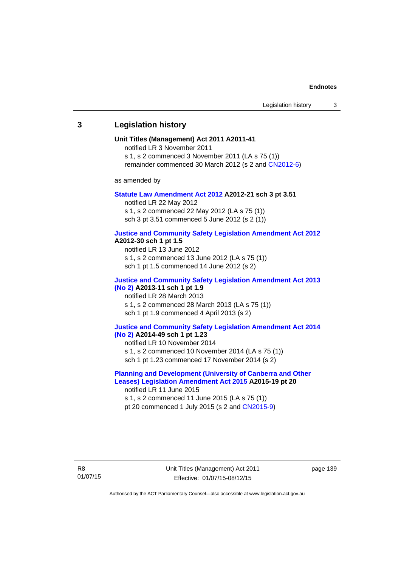## **3 Legislation history**

#### **Unit Titles (Management) Act 2011 A2011-41**

notified LR 3 November 2011

s 1, s 2 commenced 3 November 2011 (LA s 75 (1))

remainder commenced 30 March 2012 (s 2 and [CN2012-6](http://www.legislation.act.gov.au/cn/2012-6/default.asp))

as amended by

#### **[Statute Law Amendment Act 2012](http://www.legislation.act.gov.au/a/2012-21) A2012-21 sch 3 pt 3.51**

notified LR 22 May 2012 s 1, s 2 commenced 22 May 2012 (LA s 75 (1)) sch 3 pt 3.51 commenced 5 June 2012 (s 2 (1))

#### **[Justice and Community Safety Legislation Amendment Act 2012](http://www.legislation.act.gov.au/a/2012-13)**

#### **A2012-30 sch 1 pt 1.5**

notified LR 13 June 2012 s 1, s 2 commenced 13 June 2012 (LA s 75 (1)) sch 1 pt 1.5 commenced 14 June 2012 (s 2)

### **[Justice and Community Safety Legislation Amendment Act 2013](http://www.legislation.act.gov.au/a/2013-11)  [\(No 2\)](http://www.legislation.act.gov.au/a/2013-11) A2013-11 sch 1 pt 1.9**  notified LR 28 March 2013 s 1, s 2 commenced 28 March 2013 (LA s 75 (1))

sch 1 pt 1.9 commenced 4 April 2013 (s 2)

#### **[Justice and Community Safety Legislation Amendment Act 2014](http://www.legislation.act.gov.au/a/2014-49)  [\(No 2\)](http://www.legislation.act.gov.au/a/2014-49) A2014-49 sch 1 pt 1.23**

notified LR 10 November 2014

s 1, s 2 commenced 10 November 2014 (LA s 75 (1)) sch 1 pt 1.23 commenced 17 November 2014 (s 2)

## **[Planning and Development \(University of Canberra and Other](http://www.legislation.act.gov.au/a/2015-19)  [Leases\) Legislation Amendment Act 2015](http://www.legislation.act.gov.au/a/2015-19) A2015-19 pt 20**

notified LR 11 June 2015 s 1, s 2 commenced 11 June 2015 (LA s 75 (1)) pt 20 commenced 1 July 2015 (s 2 and [CN2015-9\)](http://www.legislation.act.gov.au/cn/2015-8/default.asp)

Unit Titles (Management) Act 2011 Effective: 01/07/15-08/12/15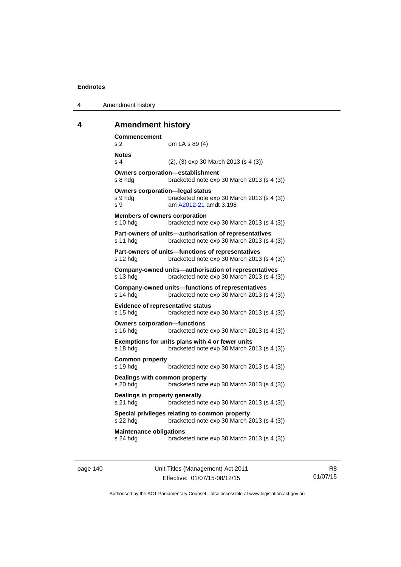4 Amendment history

# **4 Amendment history**

| Commencement<br>s <sub>2</sub><br>om LA s 89 (4)                                                                                            |
|---------------------------------------------------------------------------------------------------------------------------------------------|
| <b>Notes</b><br>s <sub>4</sub><br>$(2)$ , $(3)$ exp 30 March 2013 (s 4 $(3)$ )                                                              |
| <b>Owners corporation-establishment</b><br>s 8 hdg<br>bracketed note exp 30 March 2013 (s 4 (3))                                            |
| <b>Owners corporation-legal status</b><br>bracketed note exp 30 March 2013 (s 4 (3))<br>s 9 hdg<br>am A2012-21 amdt 3.198<br>S <sub>9</sub> |
| <b>Members of owners corporation</b><br>s 10 hdg<br>bracketed note exp 30 March 2013 (s 4 (3))                                              |
| Part-owners of units-authorisation of representatives<br>bracketed note exp 30 March 2013 (s 4 (3))<br>s 11 hdg                             |
| Part-owners of units-functions of representatives<br>bracketed note exp 30 March 2013 (s 4 (3))<br>s 12 hdg                                 |
| Company-owned units-authorisation of representatives<br>s 13 hdg<br>bracketed note exp 30 March 2013 (s 4 (3))                              |
| <b>Company-owned units-functions of representatives</b><br>bracketed note exp 30 March 2013 (s 4 (3))<br>s 14 hdg                           |
| <b>Evidence of representative status</b><br>s 15 hdg<br>bracketed note exp 30 March 2013 (s 4 (3))                                          |
| <b>Owners corporation-functions</b><br>s 16 hdg<br>bracketed note exp 30 March 2013 (s 4 (3))                                               |
| Exemptions for units plans with 4 or fewer units<br>s 18 hdg<br>bracketed note exp 30 March 2013 (s 4 (3))                                  |
| <b>Common property</b><br>bracketed note exp 30 March 2013 (s 4 (3))<br>s 19 hdg                                                            |
| Dealings with common property<br>s 20 hdg<br>bracketed note exp 30 March 2013 (s 4 (3))                                                     |
| Dealings in property generally<br>s 21 hdg<br>bracketed note exp 30 March 2013 (s 4 (3))                                                    |
| Special privileges relating to common property<br>bracketed note exp 30 March 2013 (s 4 (3))<br>s 22 hdg                                    |
| <b>Maintenance obligations</b><br>s 24 hdg<br>bracketed note exp 30 March 2013 (s 4 (3))                                                    |

page 140 Unit Titles (Management) Act 2011 Effective: 01/07/15-08/12/15

R8 01/07/15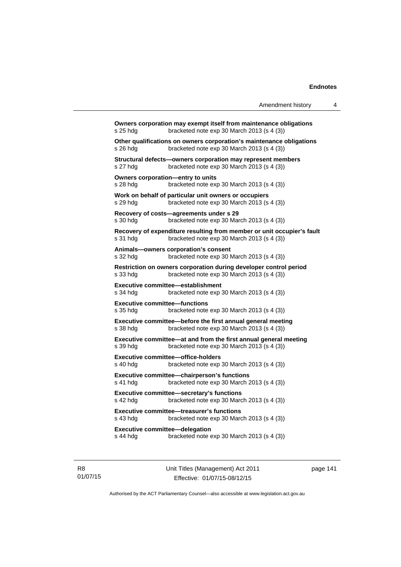| s 25 hdg                                          | Owners corporation may exempt itself from maintenance obligations<br>bracketed note exp 30 March 2013 (s 4 (3))      |
|---------------------------------------------------|----------------------------------------------------------------------------------------------------------------------|
| s 26 hda                                          | Other qualifications on owners corporation's maintenance obligations<br>bracketed note exp 30 March 2013 (s 4 (3))   |
| s 27 hdg                                          | Structural defects-owners corporation may represent members<br>bracketed note exp 30 March 2013 (s 4 (3))            |
| Owners corporation-entry to units<br>s 28 hdg     | bracketed note exp 30 March 2013 (s 4 (3))                                                                           |
| s 29 hdg                                          | Work on behalf of particular unit owners or occupiers<br>bracketed note exp 30 March 2013 (s 4 (3))                  |
| s 30 hda                                          | Recovery of costs-agreements under s 29<br>bracketed note exp 30 March 2013 (s 4 (3))                                |
| s 31 hda                                          | Recovery of expenditure resulting from member or unit occupier's fault<br>bracketed note exp 30 March 2013 (s 4 (3)) |
| s 32 hda                                          | Animals-owners corporation's consent<br>bracketed note exp 30 March 2013 (s 4 (3))                                   |
| s 33 hdg                                          | Restriction on owners corporation during developer control period<br>bracketed note exp 30 March 2013 (s 4 (3))      |
| s 34 hdg                                          | <b>Executive committee-establishment</b><br>bracketed note exp 30 March 2013 (s 4 (3))                               |
| <b>Executive committee-functions</b><br>s 35 hdg  | bracketed note exp 30 March 2013 (s 4 (3))                                                                           |
| s 38 hdg                                          | Executive committee-before the first annual general meeting<br>bracketed note exp 30 March 2013 (s 4 (3))            |
| s 39 hdg                                          | Executive committee-at and from the first annual general meeting<br>bracketed note exp 30 March 2013 (s 4 (3))       |
| s 40 hdg                                          | Executive committee-office-holders<br>bracketed note exp 30 March 2013 (s 4 (3))                                     |
| s 41 hda                                          | Executive committee-chairperson's functions<br>bracketed note exp 30 March 2013 (s 4 (3))                            |
| s 42 hdg                                          | Executive committee-secretary's functions<br>bracketed note exp 30 March 2013 (s 4 (3))                              |
| s 43 hda                                          | <b>Executive committee-treasurer's functions</b><br>bracketed note exp 30 March 2013 (s 4 (3))                       |
| <b>Executive committee-delegation</b><br>s 44 hdg | bracketed note exp 30 March 2013 (s 4 (3))                                                                           |
|                                                   |                                                                                                                      |

R8 01/07/15 Unit Titles (Management) Act 2011 Effective: 01/07/15-08/12/15

page 141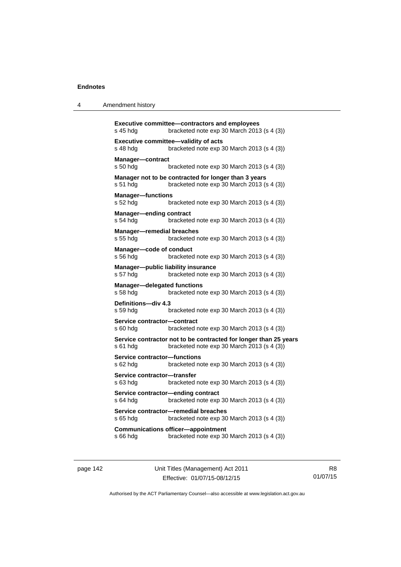| 4 | Amendment history |  |
|---|-------------------|--|
|---|-------------------|--|

```
Executive committee—contractors and employees 
s 45 hdg bracketed note exp 30 March 2013 (s 4 (3)) 
Executive committee—validity of acts 
s 48 hdg bracketed note exp 30 March 2013 (s 4 (3)) 
Manager—contract 
s 50 hdg bracketed note exp 30 March 2013 (s 4 (3)) 
Manager not to be contracted for longer than 3 years 
s 51 hdg bracketed note exp 30 March 2013 (s 4 (3)) 
Manager—functions 
s 52 hdg bracketed note exp 30 March 2013 (s 4 (3)) 
Manager—ending contract 
s 54 hdg bracketed note exp 30 March 2013 (s 4 (3)) 
Manager—remedial breaches 
s 55 hdg bracketed note exp 30 March 2013 (s 4 (3)) 
Manager—code of conduct 
s 56 hdg bracketed note exp 30 March 2013 (s 4 (3)) 
Manager—public liability insurance 
s 57 hdg bracketed note exp 30 March 2013 (s 4 (3)) 
Manager—delegated functions 
s 58 hdg bracketed note exp 30 March 2013 (s 4 (3)) 
Definitions—div 4.3 
s 59 hdg bracketed note exp 30 March 2013 (s 4 (3)) 
Service contractor—contract 
s 60 hdg bracketed note exp 30 March 2013 (s 4 (3)) 
Service contractor not to be contracted for longer than 25 years 
s 61 hdg bracketed note exp 30 March 2013 (s 4 (3)) 
Service contractor—functions 
s 62 hdg bracketed note exp 30 March 2013 (s 4 (3)) 
Service contractor—transfer 
s 63 hdg bracketed note exp 30 March 2013 (s 4 (3)) 
Service contractor—ending contract 
s 64 hdg bracketed note exp 30 March 2013 (s 4 (3)) 
Service contractor—remedial breaches 
s 65 hdg bracketed note exp 30 March 2013 (s 4 (3)) 
Communications officer—appointment 
s 66 hdg bracketed note exp 30 March 2013 (s 4 (3))
```
page 142 Unit Titles (Management) Act 2011 Effective: 01/07/15-08/12/15

R8 01/07/15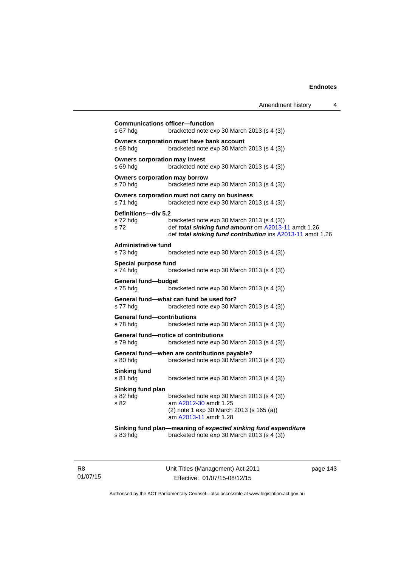| <b>Communications officer-function</b><br>s 67 hdg | bracketed note exp 30 March 2013 (s 4 (3))                                                                                                                      |
|----------------------------------------------------|-----------------------------------------------------------------------------------------------------------------------------------------------------------------|
| s 68 hda                                           | Owners corporation must have bank account<br>bracketed note exp 30 March 2013 (s 4 (3))                                                                         |
| <b>Owners corporation may invest</b><br>s 69 hdg   | bracketed note $exp 30$ March 2013 (s 4 (3))                                                                                                                    |
| <b>Owners corporation may borrow</b><br>s 70 hda   | bracketed note exp 30 March 2013 (s 4 (3))                                                                                                                      |
| s 71 hdg                                           | Owners corporation must not carry on business<br>bracketed note exp 30 March 2013 (s 4 (3))                                                                     |
| Definitions-div 5.2<br>s 72 hdg<br>s 72            | bracketed note exp 30 March 2013 (s 4 (3))<br>def total sinking fund amount om A2013-11 amdt 1.26<br>def total sinking fund contribution ins A2013-11 amdt 1.26 |
| <b>Administrative fund</b><br>s 73 hda             | bracketed note exp 30 March 2013 (s 4 (3))                                                                                                                      |
| Special purpose fund<br>s 74 hdg                   | bracketed note exp 30 March 2013 (s 4 (3))                                                                                                                      |
| General fund-budget<br>s 75 hdg                    | bracketed note exp 30 March 2013 (s 4 (3))                                                                                                                      |
| s 77 hda                                           | General fund—what can fund be used for?<br>bracketed note exp 30 March 2013 (s 4 (3))                                                                           |
| <b>General fund-contributions</b><br>s 78 hda      | bracketed note exp 30 March 2013 (s 4 (3))                                                                                                                      |
| s 79 hdg                                           | General fund-notice of contributions<br>bracketed note exp 30 March 2013 (s 4 (3))                                                                              |
| s 80 hdg                                           | General fund-when are contributions payable?<br>bracketed note exp 30 March 2013 (s 4 (3))                                                                      |
| <b>Sinking fund</b><br>s 81 hdg                    | bracketed note $exp 30$ March 2013 (s 4 (3))                                                                                                                    |
| Sinking fund plan<br>s 82 hda<br>s 82              | bracketed note exp 30 March 2013 (s 4 (3))<br>am A2012-30 amdt 1.25<br>(2) note 1 exp 30 March 2013 (s 165 (a))<br>am A2013-11 amdt 1.28                        |
| s 83 hda                                           | Sinking fund plan-meaning of expected sinking fund expenditure<br>bracketed note exp 30 March 2013 (s 4 (3))                                                    |

R8 01/07/15 Unit Titles (Management) Act 2011 Effective: 01/07/15-08/12/15

page 143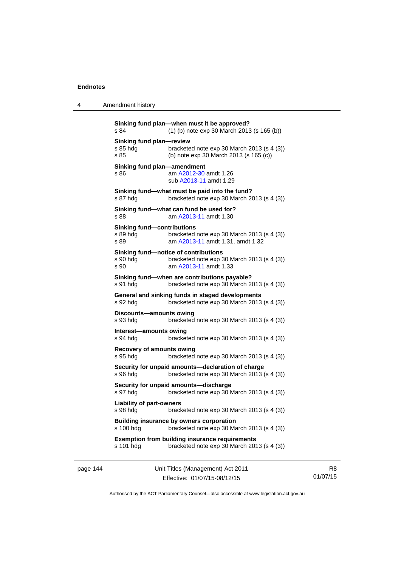4 Amendment history

| s 84                                                  | (1) (b) note exp 30 March 2013 (s 165 (b))                                                                  |
|-------------------------------------------------------|-------------------------------------------------------------------------------------------------------------|
| Sinking fund plan-review<br>s 85 hdg<br>s 85          | bracketed note exp 30 March 2013 (s 4 (3))<br>(b) note exp 30 March 2013 (s 165 (c))                        |
| Sinking fund plan-amendment<br>s 86                   | am A2012-30 amdt 1.26<br>sub A2013-11 amdt 1.29                                                             |
| s 87 hdg                                              | Sinking fund-what must be paid into the fund?<br>bracketed note exp 30 March 2013 (s 4 (3))                 |
| s 88                                                  | Sinking fund—what can fund be used for?<br>am A2013-11 amdt 1.30                                            |
| <b>Sinking fund-contributions</b><br>s 89 hdg<br>s 89 | bracketed note exp 30 March 2013 (s 4 (3))<br>am A2013-11 amdt 1.31, amdt 1.32                              |
| s 90 hdg<br>s 90                                      | Sinking fund-notice of contributions<br>bracketed note exp 30 March 2013 (s 4 (3))<br>am A2013-11 amdt 1.33 |
| s 91 hdg                                              | Sinking fund-when are contributions payable?<br>bracketed note exp 30 March 2013 (s 4 (3))                  |
| s 92 hdg                                              | General and sinking funds in staged developments<br>bracketed note exp 30 March 2013 (s 4 (3))              |
| Discounts-amounts owing<br>s 93 hdg                   | bracketed note $exp 30$ March 2013 (s 4 (3))                                                                |
| Interest-amounts owing<br>s 94 hdg                    | bracketed note exp 30 March 2013 (s 4 (3))                                                                  |
| <b>Recovery of amounts owing</b><br>s 95 hdg          | bracketed note $exp 30$ March 2013 (s 4 (3))                                                                |
| s 96 hdg                                              | Security for unpaid amounts-declaration of charge<br>bracketed note exp 30 March 2013 (s 4 (3))             |
| s 97 hdg                                              | Security for unpaid amounts-discharge<br>bracketed note $exp 30$ March 2013 (s 4 (3))                       |
| <b>Liability of part-owners</b><br>s 98 hda           | bracketed note $exp 30$ March 2013 (s 4 (3))                                                                |
| s 100 hdg                                             | <b>Building insurance by owners corporation</b><br>bracketed note exp 30 March 2013 (s 4 (3))               |
|                                                       |                                                                                                             |

page 144 Unit Titles (Management) Act 2011 Effective: 01/07/15-08/12/15

R8 01/07/15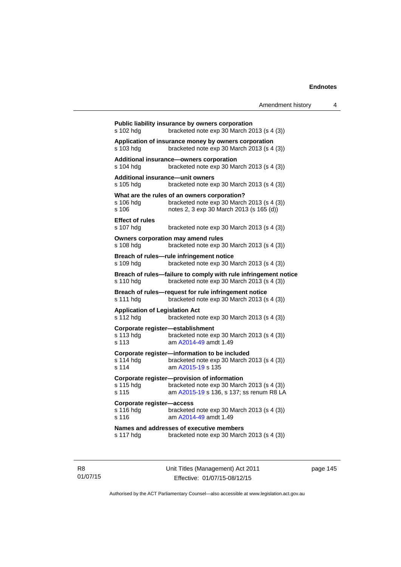| s 102 hdg                                              | Public liability insurance by owners corporation<br>bracketed note exp 30 March 2013 (s 4 (3))                                         |
|--------------------------------------------------------|----------------------------------------------------------------------------------------------------------------------------------------|
| s 103 hdg                                              | Application of insurance money by owners corporation<br>bracketed note $exp 30$ March 2013 (s 4 (3))                                   |
| s 104 hdg                                              | Additional insurance—owners corporation<br>bracketed note exp 30 March 2013 (s 4 (3))                                                  |
| Additional insurance-unit owners<br>s 105 hdg          | bracketed note exp 30 March 2013 (s 4 (3))                                                                                             |
| s 106 hda<br>s 106                                     | What are the rules of an owners corporation?<br>bracketed note exp 30 March 2013 (s 4 (3))<br>notes 2, 3 exp 30 March 2013 (s 165 (d)) |
| <b>Effect of rules</b><br>s 107 hdg                    | bracketed note $exp 30$ March 2013 (s 4 (3))                                                                                           |
| s 108 hdg                                              | Owners corporation may amend rules<br>bracketed note exp 30 March 2013 (s 4 (3))                                                       |
| s 109 hdg                                              | Breach of rules-rule infringement notice<br>bracketed note $exp 30$ March 2013 (s 4 (3))                                               |
| s 110 hdg                                              | Breach of rules-failure to comply with rule infringement notice<br>bracketed note exp 30 March 2013 (s 4 (3))                          |
| s 111 hdg                                              | Breach of rules-request for rule infringement notice<br>bracketed note exp 30 March 2013 (s 4 (3))                                     |
| <b>Application of Legislation Act</b><br>s 112 hdg     | bracketed note exp 30 March 2013 (s 4 (3))                                                                                             |
| Corporate register-establishment<br>s 113 hdg<br>s 113 | bracketed note exp 30 March 2013 (s 4 (3))<br>am A2014-49 amdt 1.49                                                                    |
| s 114 hda<br>s 114                                     | Corporate register-information to be included<br>bracketed note exp 30 March 2013 (s 4 (3))<br>am A2015-19 s 135                       |
| s 115 hdg<br>s 115                                     | Corporate register-provision of information<br>bracketed note exp 30 March 2013 (s 4 (3))<br>am A2015-19 s 136, s 137; ss renum R8 LA  |
| Corporate register-access<br>s 116 hdg<br>s 116        | bracketed note exp 30 March 2013 (s 4 (3))<br>am A2014-49 amdt 1.49                                                                    |
| s 117 hdg                                              | Names and addresses of executive members<br>bracketed note exp 30 March 2013 (s 4 (3))                                                 |
|                                                        |                                                                                                                                        |

R8 01/07/15 Unit Titles (Management) Act 2011 Effective: 01/07/15-08/12/15

page 145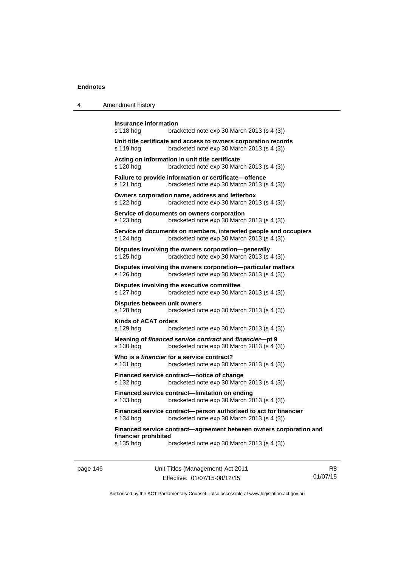| 4 | Amendment history |
|---|-------------------|
|---|-------------------|

| <b>Insurance information</b><br>s 118 hdg<br>bracketed note $exp 30$ March 2013 (s 4 (3))                                   |  |
|-----------------------------------------------------------------------------------------------------------------------------|--|
| Unit title certificate and access to owners corporation records<br>bracketed note exp 30 March 2013 (s 4 (3))<br>s 119 hdg  |  |
| Acting on information in unit title certificate<br>s 120 hdg<br>bracketed note exp 30 March 2013 (s 4 (3))                  |  |
| Failure to provide information or certificate-offence<br>s 121 hdg<br>bracketed note exp 30 March 2013 (s 4 (3))            |  |
| Owners corporation name, address and letterbox<br>bracketed note exp 30 March 2013 (s 4 (3))<br>s 122 hdg                   |  |
| Service of documents on owners corporation<br>bracketed note exp 30 March 2013 (s 4 (3))<br>s 123 hdg                       |  |
| Service of documents on members, interested people and occupiers<br>bracketed note exp 30 March 2013 (s 4 (3))<br>s 124 hdg |  |
| Disputes involving the owners corporation-generally<br>bracketed note exp 30 March 2013 (s 4 (3))<br>s 125 hdg              |  |
| Disputes involving the owners corporation-particular matters<br>bracketed note exp 30 March 2013 (s 4 (3))<br>s 126 hdg     |  |
| Disputes involving the executive committee<br>bracketed note exp 30 March 2013 (s 4 (3))<br>s 127 hdg                       |  |
| Disputes between unit owners<br>s 128 hdg<br>bracketed note $exp 30$ March 2013 (s 4 (3))                                   |  |
| Kinds of ACAT orders<br>s 129 hdg<br>bracketed note $exp 30$ March 2013 (s 4 (3))                                           |  |
| Meaning of financed service contract and financier-pt 9<br>s 130 hdg<br>bracketed note exp 30 March 2013 (s 4 (3))          |  |
| Who is a <i>financier</i> for a service contract?<br>s 131 hdg<br>bracketed note exp 30 March 2013 (s 4 (3))                |  |
| Financed service contract-notice of change<br>bracketed note exp 30 March 2013 (s 4 (3))<br>s 132 hdg                       |  |
| Financed service contract—limitation on ending<br>bracketed note exp 30 March 2013 (s 4 (3))<br>s 133 hdg                   |  |
| Financed service contract-person authorised to act for financier<br>bracketed note exp 30 March 2013 (s 4 (3))<br>s 134 hdg |  |
| Financed service contract-agreement between owners corporation and<br>financier prohibited                                  |  |
| s 135 hdg<br>bracketed note exp 30 March 2013 (s 4 (3))                                                                     |  |

page 146 Unit Titles (Management) Act 2011 Effective: 01/07/15-08/12/15

R8 01/07/15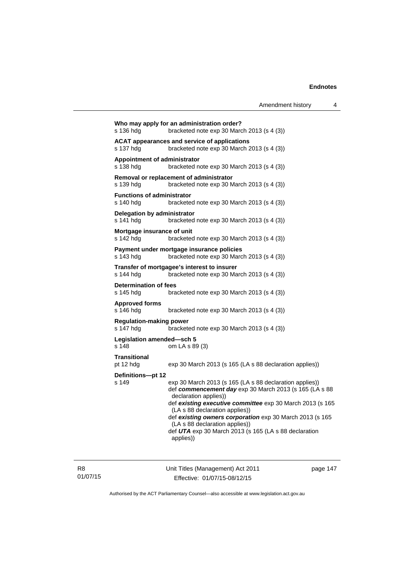| s 136 hdg                                      | Who may apply for an administration order?<br>bracketed note $exp 30$ March 2013 (s 4 (3))                                                                                                                                                                                                                                                                                                                    |
|------------------------------------------------|---------------------------------------------------------------------------------------------------------------------------------------------------------------------------------------------------------------------------------------------------------------------------------------------------------------------------------------------------------------------------------------------------------------|
| s 137 hdg                                      | <b>ACAT appearances and service of applications</b><br>bracketed note $exp 30$ March 2013 (s 4 (3))                                                                                                                                                                                                                                                                                                           |
| Appointment of administrator<br>s 138 hdg      | bracketed note exp 30 March 2013 (s 4 (3))                                                                                                                                                                                                                                                                                                                                                                    |
| s 139 hdg                                      | Removal or replacement of administrator<br>bracketed note $exp 30$ March 2013 (s 4 (3))                                                                                                                                                                                                                                                                                                                       |
| <b>Functions of administrator</b><br>s 140 hdg | bracketed note $exp 30$ March 2013 (s 4 (3))                                                                                                                                                                                                                                                                                                                                                                  |
| Delegation by administrator<br>s 141 hdg       | bracketed note $exp 30$ March 2013 (s 4 (3))                                                                                                                                                                                                                                                                                                                                                                  |
| Mortgage insurance of unit<br>s 142 hdg        | bracketed note $exp 30$ March 2013 (s 4 (3))                                                                                                                                                                                                                                                                                                                                                                  |
| s 143 hdg                                      | Payment under mortgage insurance policies<br>bracketed note exp 30 March 2013 (s 4 (3))                                                                                                                                                                                                                                                                                                                       |
| s 144 hdg                                      | Transfer of mortgagee's interest to insurer<br>bracketed note exp 30 March 2013 (s 4 (3))                                                                                                                                                                                                                                                                                                                     |
| <b>Determination of fees</b><br>s 145 hdg      | bracketed note $\exp 30$ March 2013 (s 4 (3))                                                                                                                                                                                                                                                                                                                                                                 |
| <b>Approved forms</b><br>s 146 hdg             | bracketed note $\exp 30$ March 2013 (s 4 (3))                                                                                                                                                                                                                                                                                                                                                                 |
| <b>Regulation-making power</b><br>s 147 hdg    | bracketed note exp 30 March 2013 (s 4 (3))                                                                                                                                                                                                                                                                                                                                                                    |
| Legislation amended-sch 5<br>s 148             | om LA s 89 (3)                                                                                                                                                                                                                                                                                                                                                                                                |
| Transitional<br>pt 12 hdg                      | exp 30 March 2013 (s 165 (LA s 88 declaration applies))                                                                                                                                                                                                                                                                                                                                                       |
|                                                |                                                                                                                                                                                                                                                                                                                                                                                                               |
| Definitions-pt 12<br>s 149                     | exp 30 March 2013 (s 165 (LA s 88 declaration applies))<br>def commencement day exp 30 March 2013 (s 165 (LA s 88<br>declaration applies))<br>def existing executive committee exp 30 March 2013 (s 165<br>(LA s 88 declaration applies))<br>def existing owners corporation exp 30 March 2013 (s 165<br>(LA s 88 declaration applies))<br>def UTA exp 30 March 2013 (s 165 (LA s 88 declaration<br>applies)) |
|                                                |                                                                                                                                                                                                                                                                                                                                                                                                               |

R8 01/07/15 Unit Titles (Management) Act 2011 Effective: 01/07/15-08/12/15

page 147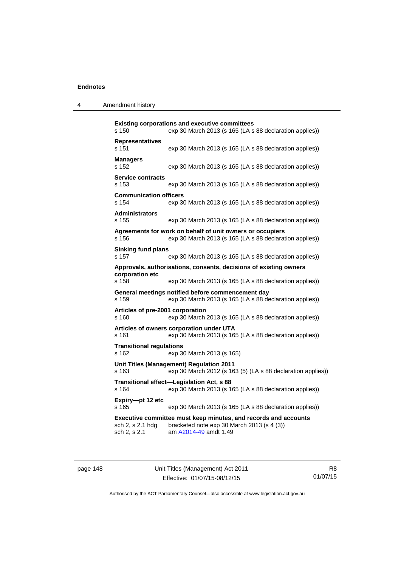| 4 | Amendment history |
|---|-------------------|
|---|-------------------|

| s 150                                     | <b>Existing corporations and executive committees</b><br>exp 30 March 2013 (s 165 (LA s 88 declaration applies))                       |
|-------------------------------------------|----------------------------------------------------------------------------------------------------------------------------------------|
| <b>Representatives</b><br>s 151           | exp 30 March 2013 (s 165 (LA s 88 declaration applies))                                                                                |
| <b>Managers</b><br>s 152                  | exp 30 March 2013 (s 165 (LA s 88 declaration applies))                                                                                |
| <b>Service contracts</b><br>s 153         | exp 30 March 2013 (s 165 (LA s 88 declaration applies))                                                                                |
| <b>Communication officers</b><br>s 154    | exp 30 March 2013 (s 165 (LA s 88 declaration applies))                                                                                |
| <b>Administrators</b><br>s 155            | exp 30 March 2013 (s 165 (LA s 88 declaration applies))                                                                                |
| s 156                                     | Agreements for work on behalf of unit owners or occupiers<br>exp 30 March 2013 (s 165 (LA s 88 declaration applies))                   |
| <b>Sinking fund plans</b><br>s 157        | exp 30 March 2013 (s 165 (LA s 88 declaration applies))                                                                                |
| corporation etc<br>s 158                  | Approvals, authorisations, consents, decisions of existing owners<br>exp 30 March 2013 (s 165 (LA s 88 declaration applies))           |
| s 159                                     | General meetings notified before commencement day<br>exp 30 March 2013 (s 165 (LA s 88 declaration applies))                           |
| Articles of pre-2001 corporation<br>s 160 | exp 30 March 2013 (s 165 (LA s 88 declaration applies))                                                                                |
| s 161                                     | Articles of owners corporation under UTA<br>exp 30 March 2013 (s 165 (LA s 88 declaration applies))                                    |
| <b>Transitional regulations</b><br>s 162  | exp 30 March 2013 (s 165)                                                                                                              |
| s 163                                     | Unit Titles (Management) Regulation 2011<br>exp 30 March 2012 (s 163 (5) (LA s 88 declaration applies))                                |
| s 164                                     | Transitional effect-Legislation Act, s 88<br>exp 30 March 2013 (s 165 (LA s 88 declaration applies))                                   |
| Expiry-pt 12 etc<br>s 165                 | exp 30 March 2013 (s 165 (LA s 88 declaration applies))                                                                                |
| sch 2, s 2.1 hdg<br>sch 2, s 2.1          | Executive committee must keep minutes, and records and accounts<br>bracketed note exp 30 March 2013 (s 4 (3))<br>am A2014-49 amdt 1.49 |

page 148 Unit Titles (Management) Act 2011 Effective: 01/07/15-08/12/15

R8 01/07/15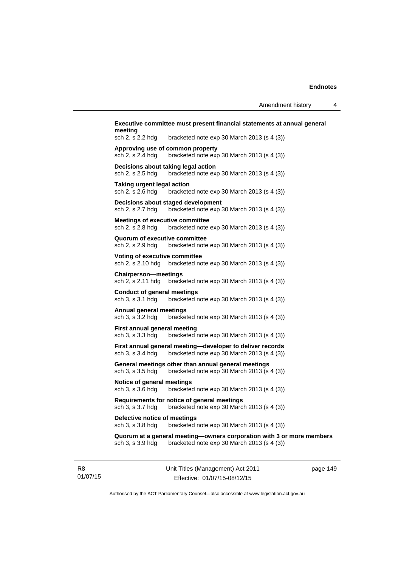| sch 2, s 2.2 hdg                                           | bracketed note $exp 30$ March 2013 (s 4 (3))                                                              |
|------------------------------------------------------------|-----------------------------------------------------------------------------------------------------------|
| sch 2, s 2.4 hdg                                           | Approving use of common property<br>bracketed note exp 30 March 2013 (s 4 (3))                            |
| sch 2, s 2.5 hdg                                           | Decisions about taking legal action<br>bracketed note $exp 30$ March 2013 (s 4 (3))                       |
| Taking urgent legal action<br>sch 2, s 2.6 hdg             | bracketed note $exp 30$ March 2013 (s 4 (3))                                                              |
| sch 2, s 2.7 hdg                                           | Decisions about staged development<br>bracketed note exp 30 March 2013 (s 4 (3))                          |
| <b>Meetings of executive committee</b><br>sch 2, s 2.8 hdg | bracketed note $exp 30$ March 2013 (s 4 (3))                                                              |
| Quorum of executive committee<br>sch 2, s 2.9 hdg          | bracketed note exp 30 March 2013 (s 4 (3))                                                                |
| Voting of executive committee<br>sch 2, s 2.10 hdg         | bracketed note $exp 30$ March 2013 (s 4 (3))                                                              |
| <b>Chairperson-meetings</b><br>sch 2, s 2.11 hdg           | bracketed note exp 30 March 2013 (s 4 (3))                                                                |
| Conduct of general meetings<br>sch 3, s 3.1 hdg            | bracketed note exp 30 March 2013 (s 4 (3))                                                                |
| Annual general meetings<br>sch 3, s 3.2 hdg                | bracketed note $exp 30$ March 2013 $(s 4 (3))$                                                            |
| First annual general meeting<br>sch 3, s 3.3 hdg           | bracketed note exp 30 March 2013 (s 4 (3))                                                                |
| sch 3, s 3.4 hdg                                           | First annual general meeting-developer to deliver records<br>bracketed note $exp 30$ March 2013 (s 4 (3)) |
| sch 3, s 3.5 hdg                                           | General meetings other than annual general meetings<br>bracketed note exp 30 March 2013 (s 4 (3))         |
| Notice of general meetings<br>sch 3, s 3.6 hdg             | bracketed note $exp 30$ March 2013 (s 4 (3))                                                              |
| sch 3, s 3.7 hdg                                           | Requirements for notice of general meetings<br>bracketed note exp 30 March 2013 (s 4 (3))                 |
| Defective notice of meetings<br>sch 3, s 3.8 hdg           | bracketed note exp 30 March 2013 (s 4 (3))                                                                |
|                                                            | Quorum at a general meeting-owners corporation with 3 or more members                                     |

R8 01/07/15 Unit Titles (Management) Act 2011 Effective: 01/07/15-08/12/15

page 149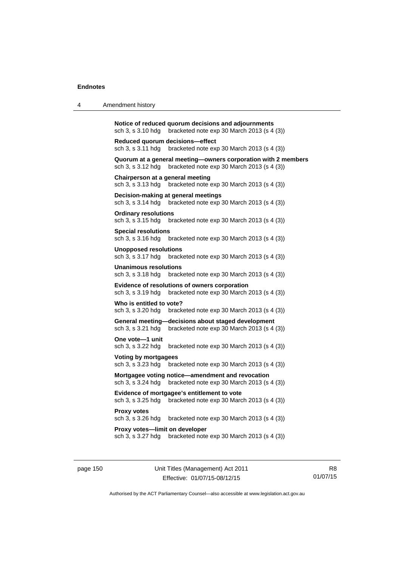| 4 | Amendment history                                                                                                                |
|---|----------------------------------------------------------------------------------------------------------------------------------|
|   | Notice of reduced quorum decisions and adjournments<br>sch 3, s 3.10 hdg<br>bracketed note $exp 30$ March 2013 (s 4 (3))         |
|   | Reduced quorum decisions—effect<br>sch 3, s 3.11 hdg<br>bracketed note exp 30 March 2013 (s 4 (3))                               |
|   | Quorum at a general meeting-owners corporation with 2 members<br>sch 3, s 3.12 hdg<br>bracketed note exp 30 March 2013 (s 4 (3)) |
|   | Chairperson at a general meeting<br>bracketed note exp 30 March 2013 (s 4 (3))<br>sch 3, s 3.13 hdg                              |
|   | Decision-making at general meetings<br>sch 3, s 3.14 hdg<br>bracketed note $exp 30$ March 2013 (s 4 (3))                         |
|   | <b>Ordinary resolutions</b><br>sch 3, s 3.15 hdg<br>bracketed note $exp 30$ March 2013 (s 4 (3))                                 |
|   | <b>Special resolutions</b><br>sch 3, s 3.16 hdg<br>bracketed note $\exp 30$ March 2013 (s 4 (3))                                 |
|   | Unopposed resolutions<br>sch 3, s 3.17 hdg<br>bracketed note $exp 30$ March 2013 (s 4 (3))                                       |
|   | Unanimous resolutions<br>sch 3, s 3.18 hdg<br>bracketed note $exp 30$ March 2013 (s 4 (3))                                       |
|   | Evidence of resolutions of owners corporation<br>bracketed note exp 30 March 2013 (s 4 (3))<br>sch 3, s 3.19 hdg                 |
|   | Who is entitled to vote?<br>sch 3, s 3.20 hdg<br>bracketed note $\exp 30$ March 2013 (s 4 (3))                                   |
|   | General meeting-<br>decisions about staged development<br>sch 3, s 3.21 hdg<br>bracketed note exp 30 March 2013 (s 4 (3))        |
|   | One vote-1 unit<br>sch 3, s 3.22 hdg<br>bracketed note $exp 30$ March 2013 $(s 4 (3))$                                           |
|   | Voting by mortgagees<br>sch 3, s 3.23 hdg<br>bracketed note exp 30 March 2013 (s 4 (3))                                          |
|   | Mortgagee voting notice—amendment and revocation<br>sch 3, s 3.24 hdg<br>bracketed note $exp 30$ March 2013 $(s 4 (3))$          |
|   | Evidence of mortgagee's entitlement to vote<br>sch 3, s 3.25 hdg<br>bracketed note exp 30 March 2013 (s 4 (3))                   |
|   | <b>Proxy votes</b><br>sch 3, s 3.26 hdg<br>bracketed note $exp 30$ March 2013 (s 4 (3))                                          |
|   | Proxy votes—limit on developer<br>sch 3, s 3.27 hdg<br>bracketed note exp 30 March 2013 (s 4 (3))                                |
|   |                                                                                                                                  |

page 150 Unit Titles (Management) Act 2011 Effective: 01/07/15-08/12/15

R8 01/07/15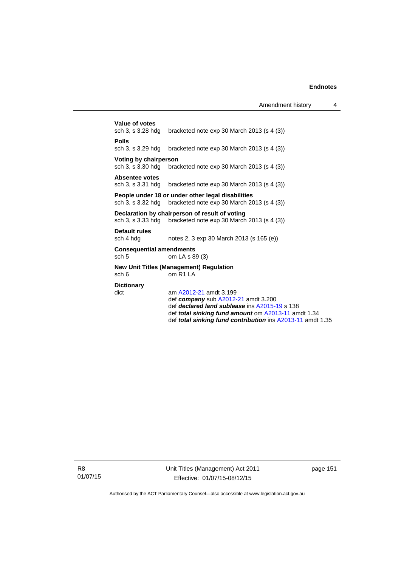|                                                                                                                | Value of votes<br>sch 3, s 3.28 hdg                 | bracketed note $exp 30$ March 2013 (s 4 (3))                                                                                                                                                                                                 |  |  |  |
|----------------------------------------------------------------------------------------------------------------|-----------------------------------------------------|----------------------------------------------------------------------------------------------------------------------------------------------------------------------------------------------------------------------------------------------|--|--|--|
|                                                                                                                | <b>Polls</b><br>sch 3, s 3.29 hdg                   | bracketed note $exp 30$ March 2013 (s 4 (3))                                                                                                                                                                                                 |  |  |  |
|                                                                                                                | Voting by chairperson                               | sch 3, s $3.30$ hdg bracketed note $\exp 30$ March 2013 (s 4 (3))                                                                                                                                                                            |  |  |  |
|                                                                                                                | Absentee votes                                      | sch 3, s $3.31$ hdg bracketed note $\exp 30$ March 2013 (s 4 (3))                                                                                                                                                                            |  |  |  |
|                                                                                                                |                                                     | People under 18 or under other legal disabilities<br>sch 3, s $3.32$ hdg bracketed note exp 30 March 2013 (s $4(3)$ )                                                                                                                        |  |  |  |
| Declaration by chairperson of result of voting<br>sch 3, s 3.33 hdg bracketed note exp 30 March 2013 (s 4 (3)) |                                                     |                                                                                                                                                                                                                                              |  |  |  |
|                                                                                                                | Default rules<br>sch 4 hdg                          | notes 2, 3 exp 30 March 2013 (s 165 (e))                                                                                                                                                                                                     |  |  |  |
|                                                                                                                | <b>Consequential amendments</b><br>sch <sub>5</sub> | om LA s 89 (3)                                                                                                                                                                                                                               |  |  |  |
|                                                                                                                | sch 6                                               | <b>New Unit Titles (Management) Regulation</b><br>omR1IA                                                                                                                                                                                     |  |  |  |
|                                                                                                                | <b>Dictionary</b><br>dict                           | am A2012-21 amdt 3.199<br>def company sub $A2012-21$ amdt 3.200<br>def declared land sublease ins A2015-19 s 138<br>def <b>total sinking fund amount</b> om A2013-11 amdt 1.34<br>def total sinking fund contribution ins A2013-11 amdt 1.35 |  |  |  |

R8 01/07/15 Unit Titles (Management) Act 2011 Effective: 01/07/15-08/12/15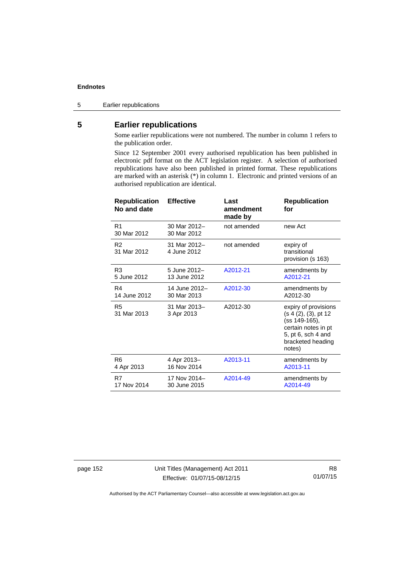5 Earlier republications

# **5 Earlier republications**

Some earlier republications were not numbered. The number in column 1 refers to the publication order.

Since 12 September 2001 every authorised republication has been published in electronic pdf format on the ACT legislation register. A selection of authorised republications have also been published in printed format. These republications are marked with an asterisk (\*) in column 1. Electronic and printed versions of an authorised republication are identical.

| <b>Republication</b><br>No and date | <b>Effective</b>            | Last<br>amendment<br>made by | <b>Republication</b><br>for                                                                                                               |
|-------------------------------------|-----------------------------|------------------------------|-------------------------------------------------------------------------------------------------------------------------------------------|
| R <sub>1</sub><br>30 Mar 2012       | 30 Mar 2012-<br>30 Mar 2012 | not amended                  | new Act                                                                                                                                   |
| R <sub>2</sub><br>31 Mar 2012       | 31 Mar 2012-<br>4 June 2012 | not amended                  | expiry of<br>transitional<br>provision (s 163)                                                                                            |
| R <sub>3</sub>                      | 5 June 2012-                | A2012-21                     | amendments by                                                                                                                             |
| 5 June 2012                         | 13 June 2012                |                              | A2012-21                                                                                                                                  |
| R4                                  | 14 June 2012-               | A2012-30                     | amendments by                                                                                                                             |
| 14 June 2012                        | 30 Mar 2013                 |                              | A2012-30                                                                                                                                  |
| R5<br>31 Mar 2013                   | 31 Mar 2013-<br>3 Apr 2013  | A2012-30                     | expiry of provisions<br>(s 4 (2), (3), pt 12<br>(ss 149-165),<br>certain notes in pt<br>5, pt 6, sch 4 and<br>bracketed heading<br>notes) |
| R <sub>6</sub>                      | 4 Apr 2013-                 | A2013-11                     | amendments by                                                                                                                             |
| 4 Apr 2013                          | 16 Nov 2014                 |                              | A2013-11                                                                                                                                  |
| R7                                  | 17 Nov 2014-                | A2014-49                     | amendments by                                                                                                                             |
| 17 Nov 2014                         | 30 June 2015                |                              | A2014-49                                                                                                                                  |

page 152 Unit Titles (Management) Act 2011 Effective: 01/07/15-08/12/15

R8 01/07/15